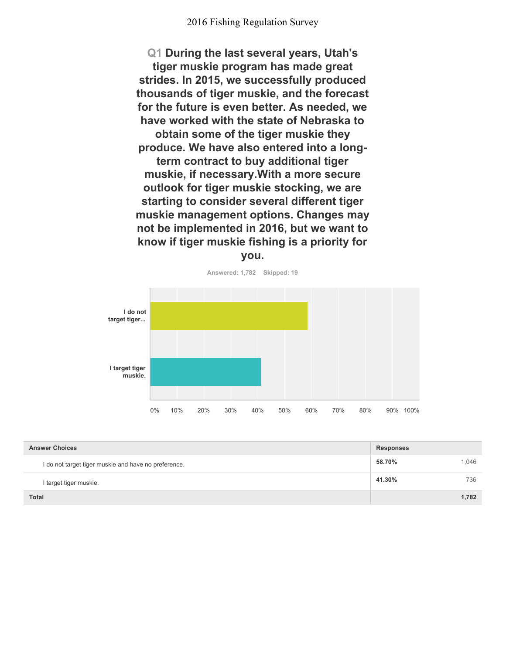**Q1 During the last several years, Utah's tiger muskie program has made great strides. In 2015, we successfully produced thousands of tiger muskie, and the forecast for the future is even better. As needed, we have worked with the state of Nebraska to obtain some of the tiger muskie they produce. We have also entered into a longterm contract to buy additional tiger muskie, if necessary.With a more secure outlook for tiger muskie stocking, we are starting to consider several different tiger muskie management options. Changes may not be implemented in 2016, but we want to know if tiger muskie fishing is a priority for you.**



**Answered: 1,782 Skipped: 19**

| <b>Answer Choices</b>                                | <b>Responses</b> |       |
|------------------------------------------------------|------------------|-------|
| I do not target tiger muskie and have no preference. | 58.70%           | 1.046 |
| I target tiger muskie.                               | 41.30%           | 736   |
| <b>Total</b>                                         |                  | 1.782 |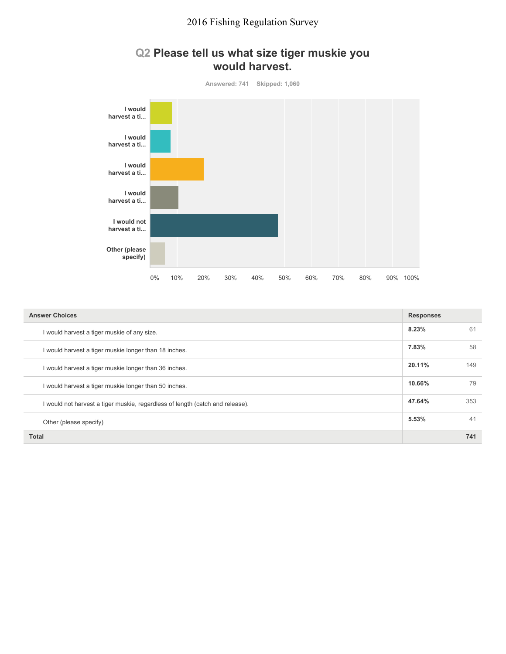

#### **Q2 Please tell us what size tiger muskie you would harvest.**

| <b>Answer Choices</b>                                                         |        |     |
|-------------------------------------------------------------------------------|--------|-----|
| I would harvest a tiger muskie of any size.                                   | 8.23%  | 61  |
| I would harvest a tiger muskie longer than 18 inches.                         | 7.83%  | 58  |
| I would harvest a tiger muskie longer than 36 inches.                         | 20.11% | 149 |
| I would harvest a tiger muskie longer than 50 inches.                         | 10.66% | 79  |
| I would not harvest a tiger muskie, regardless of length (catch and release). | 47.64% | 353 |
| Other (please specify)                                                        | 5.53%  | 41  |
| Total                                                                         |        | 741 |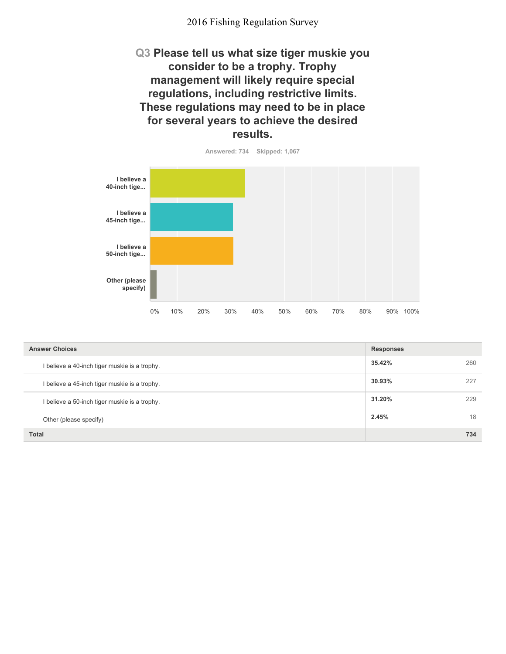**Q3 Please tell us what size tiger muskie you consider to be a trophy. Trophy management will likely require special regulations, including restrictive limits. These regulations may need to be in place for several years to achieve the desired results.**



| <b>Answer Choices</b>                         | <b>Responses</b> |     |
|-----------------------------------------------|------------------|-----|
| I believe a 40-inch tiger muskie is a trophy. | 35.42%           | 260 |
| I believe a 45-inch tiger muskie is a trophy. | 30.93%           | 227 |
| I believe a 50-inch tiger muskie is a trophy. | 31.20%           | 229 |
| Other (please specify)                        | 2.45%            | 18  |
| <b>Total</b>                                  |                  | 734 |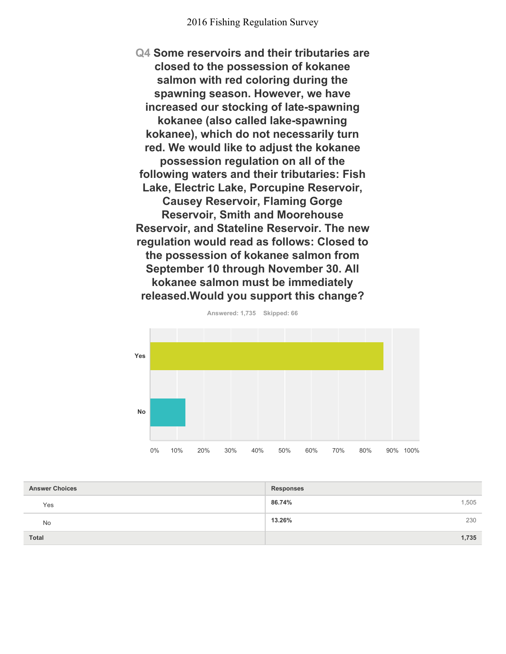**Q4 Some reservoirs and their tributaries are closed to the possession of kokanee salmon with red coloring during the spawning season. However, we have increased our stocking of late-spawning kokanee (also called lake-spawning kokanee), which do not necessarily turn red. We would like to adjust the kokanee possession regulation on all of the following waters and their tributaries: Fish Lake, Electric Lake, Porcupine Reservoir, Causey Reservoir, Flaming Gorge Reservoir, Smith and Moorehouse Reservoir, and Stateline Reservoir. The new regulation would read as follows: Closed to the possession of kokanee salmon from September 10 through November 30. All kokanee salmon must be immediately released.Would you support this change?**



**Answered: 1,735 Skipped: 66**

| <b>Answer Choices</b> | <b>Responses</b> |
|-----------------------|------------------|
| Yes                   | 86.74%<br>1,505  |
| <b>No</b>             | 13.26%<br>230    |
| <b>Total</b>          | 1,735            |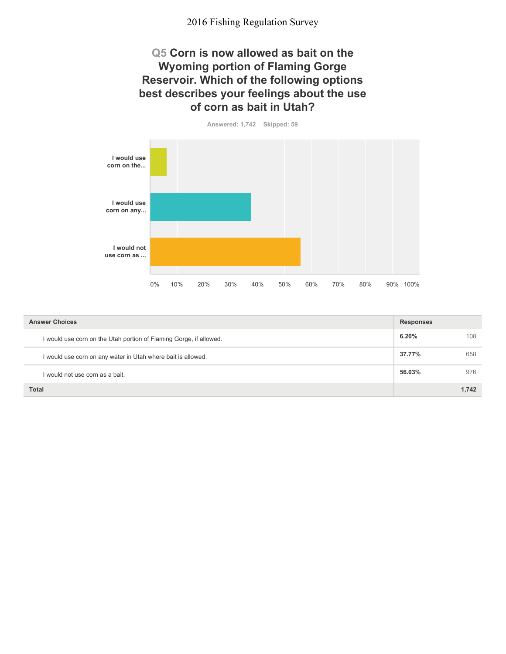#### **Q5 Corn is now allowed as bait on the Wyoming portion of Flaming Gorge Reservoir. Which of the following options best describes your feelings about the use of corn as bait in Utah?**





| <b>Answer Choices</b>                                              |        |       |
|--------------------------------------------------------------------|--------|-------|
| I would use corn on the Utah portion of Flaming Gorge, if allowed. | 6.20%  | 108   |
| I would use corn on any water in Utah where bait is allowed.       | 37.77% | 658   |
| would not use corn as a bait.                                      | 56.03% | 976   |
| <b>Total</b>                                                       |        | 1.742 |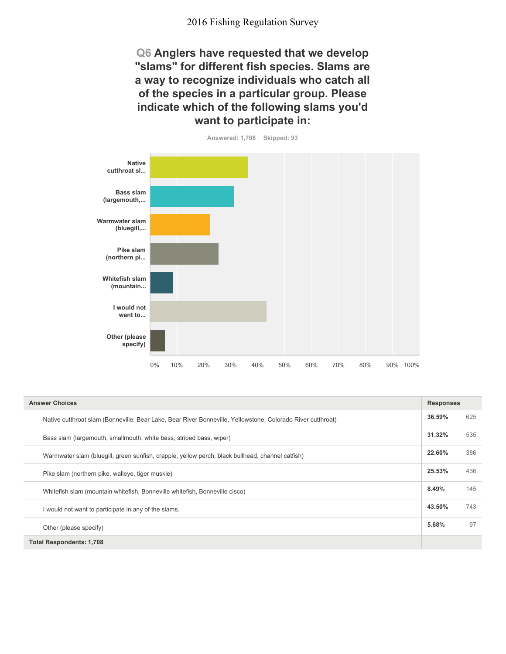**Q6 Anglers have requested that we develop "slams" for different fish species. Slams are a way to recognize individuals who catch all of the species in a particular group. Please indicate which of the following slams you'd want to participate in:**



| <b>Answer Choices</b>                                                                                       |        | <b>Responses</b> |  |
|-------------------------------------------------------------------------------------------------------------|--------|------------------|--|
| Native cutthroat slam (Bonneville, Bear Lake, Bear River Bonneville, Yellowstone, Colorado River cutthroat) | 36.59% | 625              |  |
| Bass slam (largemouth, smallmouth, white bass, striped bass, wiper)                                         | 31.32% | 535              |  |
| Warmwater slam (bluegill, green sunfish, crappie, yellow perch, black bullhead, channel catfish)            | 22.60% | 386              |  |
| Pike slam (northern pike, walleye, tiger muskie)                                                            | 25.53% | 436              |  |
| Whitefish slam (mountain whitefish, Bonneville whitefish, Bonneville cisco)                                 | 8.49%  | 145              |  |
| I would not want to participate in any of the slams.                                                        | 43.50% | 743              |  |
| Other (please specify)                                                                                      | 5.68%  | 97               |  |
| <b>Total Respondents: 1,708</b>                                                                             |        |                  |  |

**Answered: 1,708 Skipped: 93**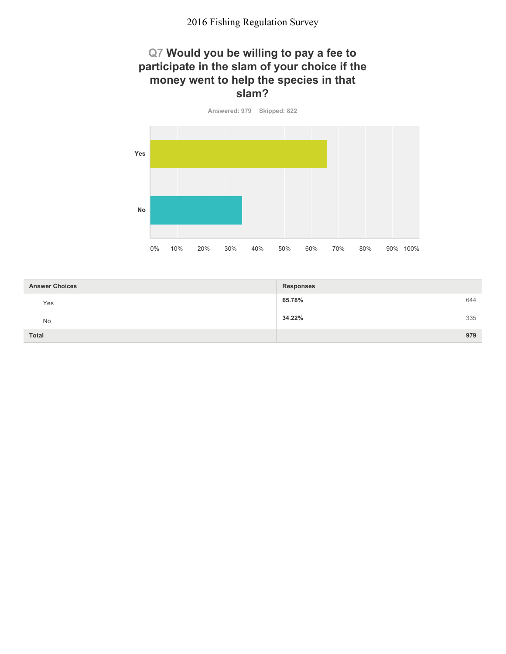#### **Q7 Would you be willing to pay a fee to participate in the slam of your choice if the money went to help the species in that slam?**

**Answered: 979 Skipped: 822 Yes No** 0% 10% 20% 30% 40% 50% 60% 70% 80% 90% 100%

| <b>Answer Choices</b> | <b>Responses</b> |     |
|-----------------------|------------------|-----|
| Yes                   | 65.78%           | 644 |
| No                    | 34.22%           | 335 |
| <b>Total</b>          |                  | 979 |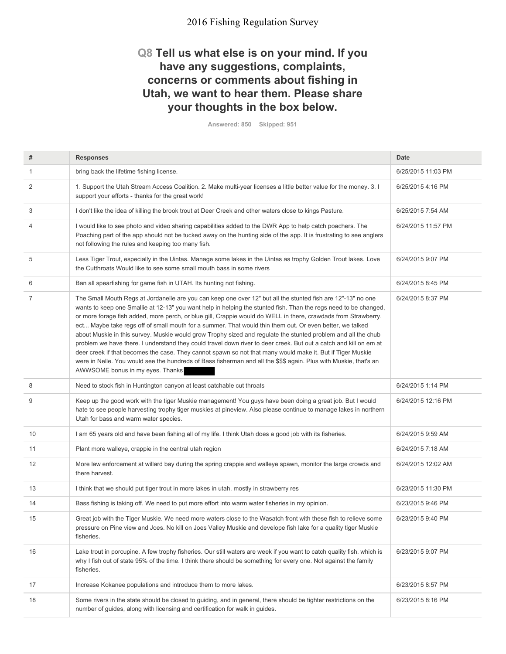#### **Q8 Tell us what else is on your mind. If you have any suggestions, complaints, concerns or comments about fishing in Utah, we want to hear them. Please share your thoughts in the box below.**

**Answered: 850 Skipped: 951**

| #  | <b>Responses</b>                                                                                                                                                                                                                                                                                                                                                                                                                                                                                                                                                                                                                                                                                                                                                                                                                                                                                                                                                            | <b>Date</b>        |
|----|-----------------------------------------------------------------------------------------------------------------------------------------------------------------------------------------------------------------------------------------------------------------------------------------------------------------------------------------------------------------------------------------------------------------------------------------------------------------------------------------------------------------------------------------------------------------------------------------------------------------------------------------------------------------------------------------------------------------------------------------------------------------------------------------------------------------------------------------------------------------------------------------------------------------------------------------------------------------------------|--------------------|
| 1  | bring back the lifetime fishing license.                                                                                                                                                                                                                                                                                                                                                                                                                                                                                                                                                                                                                                                                                                                                                                                                                                                                                                                                    | 6/25/2015 11:03 PM |
| 2  | 1. Support the Utah Stream Access Coalition. 2. Make multi-year licenses a little better value for the money. 3. I<br>support your efforts - thanks for the great work!                                                                                                                                                                                                                                                                                                                                                                                                                                                                                                                                                                                                                                                                                                                                                                                                     | 6/25/2015 4:16 PM  |
| 3  | I don't like the idea of killing the brook trout at Deer Creek and other waters close to kings Pasture.                                                                                                                                                                                                                                                                                                                                                                                                                                                                                                                                                                                                                                                                                                                                                                                                                                                                     | 6/25/2015 7:54 AM  |
| 4  | I would like to see photo and video sharing capabilities added to the DWR App to help catch poachers. The<br>Poaching part of the app should not be tucked away on the hunting side of the app. It is frustrating to see anglers<br>not following the rules and keeping too many fish.                                                                                                                                                                                                                                                                                                                                                                                                                                                                                                                                                                                                                                                                                      | 6/24/2015 11:57 PM |
| 5  | Less Tiger Trout, especially in the Uintas. Manage some lakes in the Uintas as trophy Golden Trout lakes. Love<br>the Cutthroats Would like to see some small mouth bass in some rivers                                                                                                                                                                                                                                                                                                                                                                                                                                                                                                                                                                                                                                                                                                                                                                                     | 6/24/2015 9:07 PM  |
| 6  | Ban all spearfishing for game fish in UTAH. Its hunting not fishing.                                                                                                                                                                                                                                                                                                                                                                                                                                                                                                                                                                                                                                                                                                                                                                                                                                                                                                        | 6/24/2015 8:45 PM  |
| 7  | The Small Mouth Regs at Jordanelle are you can keep one over 12" but all the stunted fish are 12"-13" no one<br>wants to keep one Smallie at 12-13" you want help in helping the stunted fish. Than the regs need to be changed,<br>or more forage fish added, more perch, or blue gill, Crappie would do WELL in there, crawdads from Strawberry,<br>ect Maybe take regs off of small mouth for a summer. That would thin them out. Or even better, we talked<br>about Muskie in this survey. Muskie would grow Trophy sized and regulate the stunted problem and all the chub<br>problem we have there. I understand they could travel down river to deer creek. But out a catch and kill on em at<br>deer creek if that becomes the case. They cannot spawn so not that many would make it. But if Tiger Muskie<br>were in Nelle. You would see the hundreds of Bass fisherman and all the \$\$\$ again. Plus with Muskie, that's an<br>AWWSOME bonus in my eyes. Thanks | 6/24/2015 8:37 PM  |
| 8  | Need to stock fish in Huntington canyon at least catchable cut throats                                                                                                                                                                                                                                                                                                                                                                                                                                                                                                                                                                                                                                                                                                                                                                                                                                                                                                      | 6/24/2015 1:14 PM  |
| 9  | Keep up the good work with the tiger Muskie management! You guys have been doing a great job. But I would<br>hate to see people harvesting trophy tiger muskies at pineview. Also please continue to manage lakes in northern<br>Utah for bass and warm water species.                                                                                                                                                                                                                                                                                                                                                                                                                                                                                                                                                                                                                                                                                                      | 6/24/2015 12:16 PM |
| 10 | I am 65 years old and have been fishing all of my life. I think Utah does a good job with its fisheries.                                                                                                                                                                                                                                                                                                                                                                                                                                                                                                                                                                                                                                                                                                                                                                                                                                                                    | 6/24/2015 9:59 AM  |
| 11 | Plant more walleye, crappie in the central utah region                                                                                                                                                                                                                                                                                                                                                                                                                                                                                                                                                                                                                                                                                                                                                                                                                                                                                                                      | 6/24/2015 7:18 AM  |
| 12 | More law enforcement at willard bay during the spring crappie and walleye spawn, monitor the large crowds and<br>there harvest.                                                                                                                                                                                                                                                                                                                                                                                                                                                                                                                                                                                                                                                                                                                                                                                                                                             | 6/24/2015 12:02 AM |
| 13 | I think that we should put tiger trout in more lakes in utah. mostly in strawberry res                                                                                                                                                                                                                                                                                                                                                                                                                                                                                                                                                                                                                                                                                                                                                                                                                                                                                      | 6/23/2015 11:30 PM |
| 14 | Bass fishing is taking off. We need to put more effort into warm water fisheries in my opinion.                                                                                                                                                                                                                                                                                                                                                                                                                                                                                                                                                                                                                                                                                                                                                                                                                                                                             | 6/23/2015 9:46 PM  |
| 15 | Great job with the Tiger Muskie. We need more waters close to the Wasatch front with these fish to relieve some<br>pressure on Pine view and Joes. No kill on Joes Valley Muskie and develope fish lake for a quality tiger Muskie<br>fisheries.                                                                                                                                                                                                                                                                                                                                                                                                                                                                                                                                                                                                                                                                                                                            | 6/23/2015 9:40 PM  |
| 16 | Lake trout in porcupine. A few trophy fisheries. Our still waters are week if you want to catch quality fish. which is<br>why I fish out of state 95% of the time. I think there should be something for every one. Not against the family<br>fisheries.                                                                                                                                                                                                                                                                                                                                                                                                                                                                                                                                                                                                                                                                                                                    | 6/23/2015 9:07 PM  |
| 17 | Increase Kokanee populations and introduce them to more lakes.                                                                                                                                                                                                                                                                                                                                                                                                                                                                                                                                                                                                                                                                                                                                                                                                                                                                                                              | 6/23/2015 8:57 PM  |
| 18 | Some rivers in the state should be closed to guiding, and in general, there should be tighter restrictions on the<br>number of guides, along with licensing and certification for walk in guides.                                                                                                                                                                                                                                                                                                                                                                                                                                                                                                                                                                                                                                                                                                                                                                           | 6/23/2015 8:16 PM  |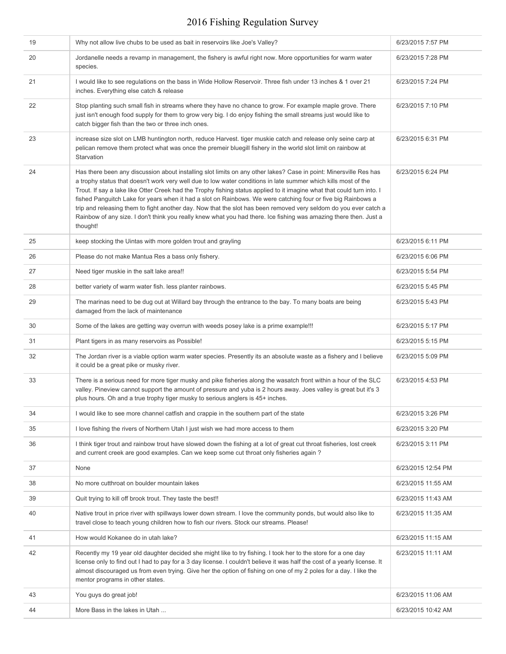| 19 | Why not allow live chubs to be used as bait in reservoirs like Joe's Valley?                                                                                                                                                                                                                                                                                                                                                                                                                                                                                                                                                                                                                                                       | 6/23/2015 7:57 PM  |
|----|------------------------------------------------------------------------------------------------------------------------------------------------------------------------------------------------------------------------------------------------------------------------------------------------------------------------------------------------------------------------------------------------------------------------------------------------------------------------------------------------------------------------------------------------------------------------------------------------------------------------------------------------------------------------------------------------------------------------------------|--------------------|
| 20 | Jordanelle needs a revamp in management, the fishery is awful right now. More opportunities for warm water<br>species.                                                                                                                                                                                                                                                                                                                                                                                                                                                                                                                                                                                                             | 6/23/2015 7:28 PM  |
| 21 | I would like to see regulations on the bass in Wide Hollow Reservoir. Three fish under 13 inches & 1 over 21<br>inches. Everything else catch & release                                                                                                                                                                                                                                                                                                                                                                                                                                                                                                                                                                            | 6/23/2015 7:24 PM  |
| 22 | Stop planting such small fish in streams where they have no chance to grow. For example maple grove. There<br>just isn't enough food supply for them to grow very big. I do enjoy fishing the small streams just would like to<br>catch bigger fish than the two or three inch ones.                                                                                                                                                                                                                                                                                                                                                                                                                                               | 6/23/2015 7:10 PM  |
| 23 | increase size slot on LMB huntington north, reduce Harvest. tiger muskie catch and release only seine carp at<br>pelican remove them protect what was once the premeir bluegill fishery in the world slot limit on rainbow at<br>Starvation                                                                                                                                                                                                                                                                                                                                                                                                                                                                                        | 6/23/2015 6:31 PM  |
| 24 | Has there been any discussion about installing slot limits on any other lakes? Case in point: Minersville Res has<br>a trophy status that doesn't work very well due to low water conditions in late summer which kills most of the<br>Trout. If say a lake like Otter Creek had the Trophy fishing status applied to it imagine what that could turn into. I<br>fished Panguitch Lake for years when it had a slot on Rainbows. We were catching four or five big Rainbows a<br>trip and releasing them to fight another day. Now that the slot has been removed very seldom do you ever catch a<br>Rainbow of any size. I don't think you really knew what you had there. Ice fishing was amazing there then. Just a<br>thought! | 6/23/2015 6:24 PM  |
| 25 | keep stocking the Uintas with more golden trout and grayling                                                                                                                                                                                                                                                                                                                                                                                                                                                                                                                                                                                                                                                                       | 6/23/2015 6:11 PM  |
| 26 | Please do not make Mantua Res a bass only fishery.                                                                                                                                                                                                                                                                                                                                                                                                                                                                                                                                                                                                                                                                                 | 6/23/2015 6:06 PM  |
| 27 | Need tiger muskie in the salt lake area!!                                                                                                                                                                                                                                                                                                                                                                                                                                                                                                                                                                                                                                                                                          | 6/23/2015 5:54 PM  |
| 28 | better variety of warm water fish. less planter rainbows.                                                                                                                                                                                                                                                                                                                                                                                                                                                                                                                                                                                                                                                                          | 6/23/2015 5:45 PM  |
| 29 | The marinas need to be dug out at Willard bay through the entrance to the bay. To many boats are being<br>damaged from the lack of maintenance                                                                                                                                                                                                                                                                                                                                                                                                                                                                                                                                                                                     | 6/23/2015 5:43 PM  |
| 30 | Some of the lakes are getting way overrun with weeds posey lake is a prime example!!!                                                                                                                                                                                                                                                                                                                                                                                                                                                                                                                                                                                                                                              | 6/23/2015 5:17 PM  |
| 31 | Plant tigers in as many reservoirs as Possible!                                                                                                                                                                                                                                                                                                                                                                                                                                                                                                                                                                                                                                                                                    | 6/23/2015 5:15 PM  |
| 32 | The Jordan river is a viable option warm water species. Presently its an absolute waste as a fishery and I believe<br>it could be a great pike or musky river.                                                                                                                                                                                                                                                                                                                                                                                                                                                                                                                                                                     | 6/23/2015 5:09 PM  |
| 33 | There is a serious need for more tiger musky and pike fisheries along the wasatch front within a hour of the SLC<br>valley. Pineview cannot support the amount of pressure and yuba is 2 hours away. Joes valley is great but it's 3<br>plus hours. Oh and a true trophy tiger musky to serious anglers is 45+ inches.                                                                                                                                                                                                                                                                                                                                                                                                             | 6/23/2015 4:53 PM  |
| 34 | I would like to see more channel catfish and crappie in the southern part of the state                                                                                                                                                                                                                                                                                                                                                                                                                                                                                                                                                                                                                                             | 6/23/2015 3:26 PM  |
| 35 | I love fishing the rivers of Northern Utah I just wish we had more access to them                                                                                                                                                                                                                                                                                                                                                                                                                                                                                                                                                                                                                                                  | 6/23/2015 3:20 PM  |
| 36 | I think tiger trout and rainbow trout have slowed down the fishing at a lot of great cut throat fisheries, lost creek<br>and current creek are good examples. Can we keep some cut throat only fisheries again?                                                                                                                                                                                                                                                                                                                                                                                                                                                                                                                    | 6/23/2015 3:11 PM  |
| 37 | None                                                                                                                                                                                                                                                                                                                                                                                                                                                                                                                                                                                                                                                                                                                               | 6/23/2015 12:54 PM |
| 38 | No more cutthroat on boulder mountain lakes                                                                                                                                                                                                                                                                                                                                                                                                                                                                                                                                                                                                                                                                                        | 6/23/2015 11:55 AM |
| 39 | Quit trying to kill off brook trout. They taste the best!!                                                                                                                                                                                                                                                                                                                                                                                                                                                                                                                                                                                                                                                                         | 6/23/2015 11:43 AM |
| 40 | Native trout in price river with spillways lower down stream. I love the community ponds, but would also like to<br>travel close to teach young children how to fish our rivers. Stock our streams. Please!                                                                                                                                                                                                                                                                                                                                                                                                                                                                                                                        | 6/23/2015 11:35 AM |
| 41 | How would Kokanee do in utah lake?                                                                                                                                                                                                                                                                                                                                                                                                                                                                                                                                                                                                                                                                                                 | 6/23/2015 11:15 AM |
| 42 | Recently my 19 year old daughter decided she might like to try fishing. I took her to the store for a one day<br>license only to find out I had to pay for a 3 day license. I couldn't believe it was half the cost of a yearly license. It<br>almost discouraged us from even trying. Give her the option of fishing on one of my 2 poles for a day. I like the<br>mentor programs in other states.                                                                                                                                                                                                                                                                                                                               | 6/23/2015 11:11 AM |
| 43 | You guys do great job!                                                                                                                                                                                                                                                                                                                                                                                                                                                                                                                                                                                                                                                                                                             | 6/23/2015 11:06 AM |
| 44 | More Bass in the lakes in Utah                                                                                                                                                                                                                                                                                                                                                                                                                                                                                                                                                                                                                                                                                                     | 6/23/2015 10:42 AM |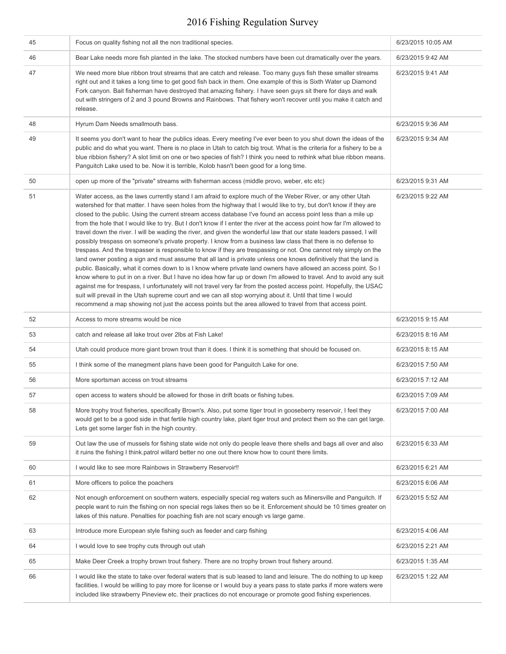| 45 | Focus on quality fishing not all the non traditional species.                                                                                                                                                                                                                                                                                                                                                                                                                                                                                                                                                                                                                                                                                                                                                                                                                                                                                                                                                                                                                                                                                                                                                                                                                                                                                                                                                                                                                                                                                                 | 6/23/2015 10:05 AM |
|----|---------------------------------------------------------------------------------------------------------------------------------------------------------------------------------------------------------------------------------------------------------------------------------------------------------------------------------------------------------------------------------------------------------------------------------------------------------------------------------------------------------------------------------------------------------------------------------------------------------------------------------------------------------------------------------------------------------------------------------------------------------------------------------------------------------------------------------------------------------------------------------------------------------------------------------------------------------------------------------------------------------------------------------------------------------------------------------------------------------------------------------------------------------------------------------------------------------------------------------------------------------------------------------------------------------------------------------------------------------------------------------------------------------------------------------------------------------------------------------------------------------------------------------------------------------------|--------------------|
| 46 | Bear Lake needs more fish planted in the lake. The stocked numbers have been cut dramatically over the years.                                                                                                                                                                                                                                                                                                                                                                                                                                                                                                                                                                                                                                                                                                                                                                                                                                                                                                                                                                                                                                                                                                                                                                                                                                                                                                                                                                                                                                                 | 6/23/2015 9:42 AM  |
| 47 | We need more blue ribbon trout streams that are catch and release. Too many guys fish these smaller streams<br>right out and it takes a long time to get good fish back in them. One example of this is Sixth Water up Diamond<br>Fork canyon. Bait fisherman have destroyed that amazing fishery. I have seen guys sit there for days and walk<br>out with stringers of 2 and 3 pound Browns and Rainbows. That fishery won't recover until you make it catch and<br>release.                                                                                                                                                                                                                                                                                                                                                                                                                                                                                                                                                                                                                                                                                                                                                                                                                                                                                                                                                                                                                                                                                | 6/23/2015 9:41 AM  |
| 48 | Hyrum Dam Needs smallmouth bass.                                                                                                                                                                                                                                                                                                                                                                                                                                                                                                                                                                                                                                                                                                                                                                                                                                                                                                                                                                                                                                                                                                                                                                                                                                                                                                                                                                                                                                                                                                                              | 6/23/2015 9:36 AM  |
| 49 | It seems you don't want to hear the publics ideas. Every meeting I've ever been to you shut down the ideas of the<br>public and do what you want. There is no place in Utah to catch big trout. What is the criteria for a fishery to be a<br>blue ribbion fishery? A slot limit on one or two species of fish? I think you need to rethink what blue ribbon means.<br>Panguitch Lake used to be. Now it is terrible, Kolob hasn't been good for a long time.                                                                                                                                                                                                                                                                                                                                                                                                                                                                                                                                                                                                                                                                                                                                                                                                                                                                                                                                                                                                                                                                                                 | 6/23/2015 9:34 AM  |
| 50 | open up more of the "private" streams with fisherman access (middle provo, weber, etc etc)                                                                                                                                                                                                                                                                                                                                                                                                                                                                                                                                                                                                                                                                                                                                                                                                                                                                                                                                                                                                                                                                                                                                                                                                                                                                                                                                                                                                                                                                    | 6/23/2015 9:31 AM  |
| 51 | Water access, as the laws currently stand I am afraid to explore much of the Weber River, or any other Utah<br>watershed for that matter. I have seen holes from the highway that I would like to try, but don't know if they are<br>closed to the public. Using the current stream access database I've found an access point less than a mile up<br>from the hole that I would like to try. But I don't know if I enter the river at the access point how far I'm allowed to<br>travel down the river. I will be wading the river, and given the wonderful law that our state leaders passed, I will<br>possibly trespass on someone's private property. I know from a business law class that there is no defense to<br>trespass. And the trespasser is responsible to know if they are trespassing or not. One cannot rely simply on the<br>land owner posting a sign and must assume that all land is private unless one knows definitively that the land is<br>public. Basically, what it comes down to is I know where private land owners have allowed an access point. So I<br>know where to put in on a river. But I have no idea how far up or down I'm allowed to travel. And to avoid any suit<br>against me for trespass, I unfortunately will not travel very far from the posted access point. Hopefully, the USAC<br>suit will prevail in the Utah supreme court and we can all stop worrying about it. Until that time I would<br>recommend a map showing not just the access points but the area allowed to travel from that access point. | 6/23/2015 9:22 AM  |
| 52 | Access to more streams would be nice                                                                                                                                                                                                                                                                                                                                                                                                                                                                                                                                                                                                                                                                                                                                                                                                                                                                                                                                                                                                                                                                                                                                                                                                                                                                                                                                                                                                                                                                                                                          | 6/23/2015 9:15 AM  |
| 53 | catch and release all lake trout over 2lbs at Fish Lake!                                                                                                                                                                                                                                                                                                                                                                                                                                                                                                                                                                                                                                                                                                                                                                                                                                                                                                                                                                                                                                                                                                                                                                                                                                                                                                                                                                                                                                                                                                      | 6/23/2015 8:16 AM  |
| 54 | Utah could produce more giant brown trout than it does. I think it is something that should be focused on.                                                                                                                                                                                                                                                                                                                                                                                                                                                                                                                                                                                                                                                                                                                                                                                                                                                                                                                                                                                                                                                                                                                                                                                                                                                                                                                                                                                                                                                    | 6/23/2015 8:15 AM  |
| 55 | I think some of the manegment plans have been good for Panguitch Lake for one.                                                                                                                                                                                                                                                                                                                                                                                                                                                                                                                                                                                                                                                                                                                                                                                                                                                                                                                                                                                                                                                                                                                                                                                                                                                                                                                                                                                                                                                                                | 6/23/2015 7:50 AM  |
| 56 | More sportsman access on trout streams                                                                                                                                                                                                                                                                                                                                                                                                                                                                                                                                                                                                                                                                                                                                                                                                                                                                                                                                                                                                                                                                                                                                                                                                                                                                                                                                                                                                                                                                                                                        | 6/23/2015 7:12 AM  |
| 57 | open access to waters should be allowed for those in drift boats or fishing tubes.                                                                                                                                                                                                                                                                                                                                                                                                                                                                                                                                                                                                                                                                                                                                                                                                                                                                                                                                                                                                                                                                                                                                                                                                                                                                                                                                                                                                                                                                            | 6/23/2015 7:09 AM  |
| 58 | More trophy trout fisheries, specifically Brown's. Also, put some tiger trout in gooseberry reservoir, I feel they<br>would get to be a good side in that fertile high country lake, plant tiger trout and protect them so the can get large.<br>Lets get some larger fish in the high country.                                                                                                                                                                                                                                                                                                                                                                                                                                                                                                                                                                                                                                                                                                                                                                                                                                                                                                                                                                                                                                                                                                                                                                                                                                                               | 6/23/2015 7:00 AM  |
| 59 | Out law the use of mussels for fishing state wide not only do people leave there shells and bags all over and also<br>it ruins the fishing I think patrol willard better no one out there know how to count there limits.                                                                                                                                                                                                                                                                                                                                                                                                                                                                                                                                                                                                                                                                                                                                                                                                                                                                                                                                                                                                                                                                                                                                                                                                                                                                                                                                     | 6/23/2015 6:33 AM  |
| 60 | I would like to see more Rainbows in Strawberry Reservoir!!                                                                                                                                                                                                                                                                                                                                                                                                                                                                                                                                                                                                                                                                                                                                                                                                                                                                                                                                                                                                                                                                                                                                                                                                                                                                                                                                                                                                                                                                                                   | 6/23/2015 6:21 AM  |
| 61 | More officers to police the poachers                                                                                                                                                                                                                                                                                                                                                                                                                                                                                                                                                                                                                                                                                                                                                                                                                                                                                                                                                                                                                                                                                                                                                                                                                                                                                                                                                                                                                                                                                                                          | 6/23/2015 6:06 AM  |
| 62 | Not enough enforcement on southern waters, especially special reg waters such as Minersville and Panguitch. If<br>people want to ruin the fishing on non special regs lakes then so be it. Enforcement should be 10 times greater on<br>lakes of this nature. Penalties for poaching fish are not scary enough vs large game.                                                                                                                                                                                                                                                                                                                                                                                                                                                                                                                                                                                                                                                                                                                                                                                                                                                                                                                                                                                                                                                                                                                                                                                                                                 | 6/23/2015 5:52 AM  |
| 63 | Introduce more European style fishing such as feeder and carp fishing                                                                                                                                                                                                                                                                                                                                                                                                                                                                                                                                                                                                                                                                                                                                                                                                                                                                                                                                                                                                                                                                                                                                                                                                                                                                                                                                                                                                                                                                                         | 6/23/2015 4:06 AM  |
| 64 | I would love to see trophy cuts through out utah                                                                                                                                                                                                                                                                                                                                                                                                                                                                                                                                                                                                                                                                                                                                                                                                                                                                                                                                                                                                                                                                                                                                                                                                                                                                                                                                                                                                                                                                                                              | 6/23/2015 2:21 AM  |
| 65 | Make Deer Creek a trophy brown trout fishery. There are no trophy brown trout fishery around.                                                                                                                                                                                                                                                                                                                                                                                                                                                                                                                                                                                                                                                                                                                                                                                                                                                                                                                                                                                                                                                                                                                                                                                                                                                                                                                                                                                                                                                                 | 6/23/2015 1:35 AM  |
| 66 | I would like the state to take over federal waters that is sub leased to land and leisure. The do nothing to up keep<br>facilities. I would be willing to pay more for license or I would buy a years pass to state parks if more waters were<br>included like strawberry Pineview etc. their practices do not encourage or promote good fishing experiences.                                                                                                                                                                                                                                                                                                                                                                                                                                                                                                                                                                                                                                                                                                                                                                                                                                                                                                                                                                                                                                                                                                                                                                                                 | 6/23/2015 1:22 AM  |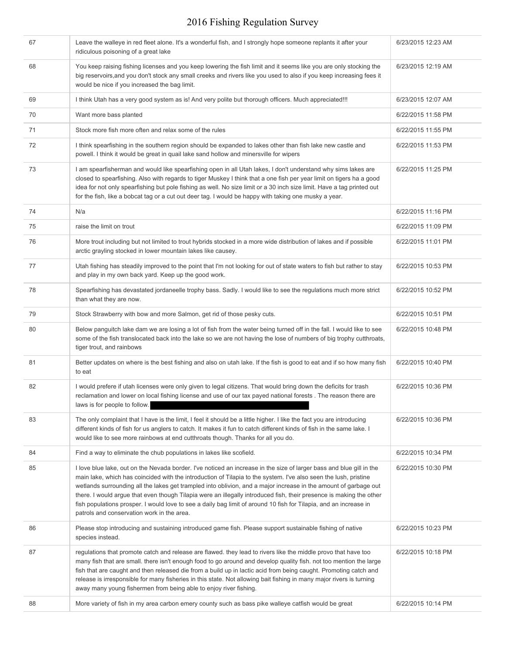| 67 | Leave the walleye in red fleet alone. It's a wonderful fish, and I strongly hope someone replants it after your<br>ridiculous poisoning of a great lake                                                                                                                                                                                                                                                                                                                                                                                                                                                                                                | 6/23/2015 12:23 AM |
|----|--------------------------------------------------------------------------------------------------------------------------------------------------------------------------------------------------------------------------------------------------------------------------------------------------------------------------------------------------------------------------------------------------------------------------------------------------------------------------------------------------------------------------------------------------------------------------------------------------------------------------------------------------------|--------------------|
| 68 | You keep raising fishing licenses and you keep lowering the fish limit and it seems like you are only stocking the<br>big reservoirs, and you don't stock any small creeks and rivers like you used to also if you keep increasing fees it<br>would be nice if you increased the bag limit.                                                                                                                                                                                                                                                                                                                                                            | 6/23/2015 12:19 AM |
| 69 | I think Utah has a very good system as is! And very polite but thorough officers. Much appreciated!!!                                                                                                                                                                                                                                                                                                                                                                                                                                                                                                                                                  | 6/23/2015 12:07 AM |
| 70 | Want more bass planted                                                                                                                                                                                                                                                                                                                                                                                                                                                                                                                                                                                                                                 | 6/22/2015 11:58 PM |
| 71 | Stock more fish more often and relax some of the rules                                                                                                                                                                                                                                                                                                                                                                                                                                                                                                                                                                                                 | 6/22/2015 11:55 PM |
| 72 | I think spearfishing in the southern region should be expanded to lakes other than fish lake new castle and<br>powell. I think it would be great in quail lake sand hollow and minersville for wipers                                                                                                                                                                                                                                                                                                                                                                                                                                                  | 6/22/2015 11:53 PM |
| 73 | I am spearfisherman and would like spearfishing open in all Utah lakes, I don't understand why sims lakes are<br>closed to spearfishing. Also with regards to tiger Muskey I think that a one fish per year limit on tigers ha a good<br>idea for not only spearfishing but pole fishing as well. No size limit or a 30 inch size limit. Have a tag printed out<br>for the fish, like a bobcat tag or a cut out deer tag. I would be happy with taking one musky a year.                                                                                                                                                                               | 6/22/2015 11:25 PM |
| 74 | N/a                                                                                                                                                                                                                                                                                                                                                                                                                                                                                                                                                                                                                                                    | 6/22/2015 11:16 PM |
| 75 | raise the limit on trout                                                                                                                                                                                                                                                                                                                                                                                                                                                                                                                                                                                                                               | 6/22/2015 11:09 PM |
| 76 | More trout including but not limited to trout hybrids stocked in a more wide distribution of lakes and if possible<br>arctic grayling stocked in lower mountain lakes like causey.                                                                                                                                                                                                                                                                                                                                                                                                                                                                     | 6/22/2015 11:01 PM |
| 77 | Utah fishing has steadily improved to the point that I'm not looking for out of state waters to fish but rather to stay<br>and play in my own back yard. Keep up the good work.                                                                                                                                                                                                                                                                                                                                                                                                                                                                        | 6/22/2015 10:53 PM |
| 78 | Spearfishing has devastated jordaneelle trophy bass. Sadly. I would like to see the regulations much more strict<br>than what they are now.                                                                                                                                                                                                                                                                                                                                                                                                                                                                                                            | 6/22/2015 10:52 PM |
| 79 | Stock Strawberry with bow and more Salmon, get rid of those pesky cuts.                                                                                                                                                                                                                                                                                                                                                                                                                                                                                                                                                                                | 6/22/2015 10:51 PM |
| 80 | Below panguitch lake dam we are losing a lot of fish from the water being turned off in the fall. I would like to see<br>some of the fish translocated back into the lake so we are not having the lose of numbers of big trophy cutthroats,<br>tiger trout, and rainbows                                                                                                                                                                                                                                                                                                                                                                              | 6/22/2015 10:48 PM |
| 81 | Better updates on where is the best fishing and also on utah lake. If the fish is good to eat and if so how many fish<br>to eat                                                                                                                                                                                                                                                                                                                                                                                                                                                                                                                        | 6/22/2015 10:40 PM |
| 82 | I would prefere if utah licenses were only given to legal citizens. That would bring down the deficits for trash<br>reclamation and lower on local fishing license and use of our tax payed national forests . The reason there are<br>laws is for people to follow.                                                                                                                                                                                                                                                                                                                                                                                   | 6/22/2015 10:36 PM |
| 83 | The only complaint that I have is the limit, I feel it should be a little higher. I like the fact you are introducing<br>different kinds of fish for us anglers to catch. It makes it fun to catch different kinds of fish in the same lake. I<br>would like to see more rainbows at end cutthroats though. Thanks for all you do.                                                                                                                                                                                                                                                                                                                     | 6/22/2015 10:36 PM |
| 84 | Find a way to eliminate the chub populations in lakes like scofield.                                                                                                                                                                                                                                                                                                                                                                                                                                                                                                                                                                                   | 6/22/2015 10:34 PM |
| 85 | I love blue lake, out on the Nevada border. I've noticed an increase in the size of larger bass and blue gill in the<br>main lake, which has coincided with the introduction of Tilapia to the system. I've also seen the lush, pristine<br>wetlands surrounding all the lakes get trampled into oblivion, and a major increase in the amount of garbage out<br>there. I would argue that even though Tilapia were an illegally introduced fish, their presence is making the other<br>fish populations prosper. I would love to see a daily bag limit of around 10 fish for Tilapia, and an increase in<br>patrols and conservation work in the area. | 6/22/2015 10:30 PM |
| 86 | Please stop introducing and sustaining introduced game fish. Please support sustainable fishing of native<br>species instead.                                                                                                                                                                                                                                                                                                                                                                                                                                                                                                                          | 6/22/2015 10:23 PM |
| 87 | regulations that promote catch and release are flawed. they lead to rivers like the middle provo that have too<br>many fish that are small. there isn't enough food to go around and develop quality fish. not too mention the large<br>fish that are caught and then released die from a build up in lactic acid from being caught. Promoting catch and<br>release is irresponsible for many fisheries in this state. Not allowing bait fishing in many major rivers is turning<br>away many young fishermen from being able to enjoy river fishing.                                                                                                  | 6/22/2015 10:18 PM |
| 88 | More variety of fish in my area carbon emery county such as bass pike walleye catfish would be great                                                                                                                                                                                                                                                                                                                                                                                                                                                                                                                                                   | 6/22/2015 10:14 PM |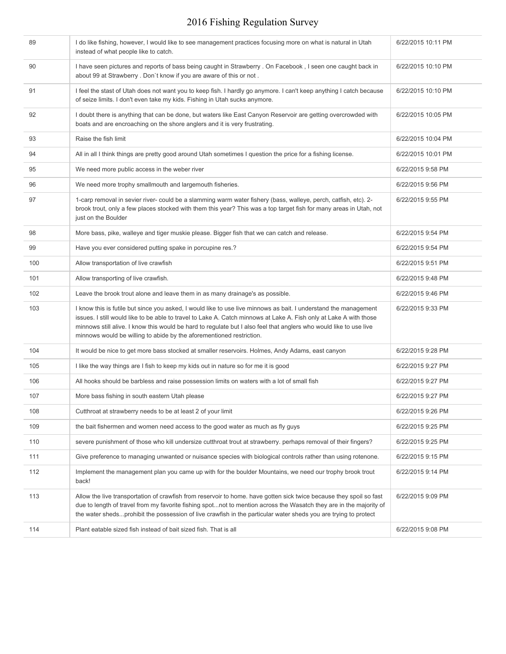| 89  | I do like fishing, however, I would like to see management practices focusing more on what is natural in Utah<br>instead of what people like to catch.                                                                                                                                                                                                                                                                               | 6/22/2015 10:11 PM |
|-----|--------------------------------------------------------------------------------------------------------------------------------------------------------------------------------------------------------------------------------------------------------------------------------------------------------------------------------------------------------------------------------------------------------------------------------------|--------------------|
| 90  | I have seen pictures and reports of bass being caught in Strawberry . On Facebook, I seen one caught back in<br>about 99 at Strawberry. Don't know if you are aware of this or not.                                                                                                                                                                                                                                                  | 6/22/2015 10:10 PM |
| 91  | I feel the stast of Utah does not want you to keep fish. I hardly go anymore. I can't keep anything I catch because<br>of seize limits. I don't even take my kids. Fishing in Utah sucks anymore.                                                                                                                                                                                                                                    | 6/22/2015 10:10 PM |
| 92  | I doubt there is anything that can be done, but waters like East Canyon Reservoir are getting overcrowded with<br>boats and are encroaching on the shore anglers and it is very frustrating.                                                                                                                                                                                                                                         | 6/22/2015 10:05 PM |
| 93  | Raise the fish limit                                                                                                                                                                                                                                                                                                                                                                                                                 | 6/22/2015 10:04 PM |
| 94  | All in all I think things are pretty good around Utah sometimes I question the price for a fishing license.                                                                                                                                                                                                                                                                                                                          | 6/22/2015 10:01 PM |
| 95  | We need more public access in the weber river                                                                                                                                                                                                                                                                                                                                                                                        | 6/22/2015 9:58 PM  |
| 96  | We need more trophy smallmouth and largemouth fisheries.                                                                                                                                                                                                                                                                                                                                                                             | 6/22/2015 9:56 PM  |
| 97  | 1-carp removal in sevier river- could be a slamming warm water fishery (bass, walleye, perch, catfish, etc). 2-<br>brook trout, only a few places stocked with them this year? This was a top target fish for many areas in Utah, not<br>just on the Boulder                                                                                                                                                                         | 6/22/2015 9:55 PM  |
| 98  | More bass, pike, walleye and tiger muskie please. Bigger fish that we can catch and release.                                                                                                                                                                                                                                                                                                                                         | 6/22/2015 9:54 PM  |
| 99  | Have you ever considered putting spake in porcupine res.?                                                                                                                                                                                                                                                                                                                                                                            | 6/22/2015 9:54 PM  |
| 100 | Allow transportation of live crawfish                                                                                                                                                                                                                                                                                                                                                                                                | 6/22/2015 9:51 PM  |
| 101 | Allow transporting of live crawfish.                                                                                                                                                                                                                                                                                                                                                                                                 | 6/22/2015 9:48 PM  |
| 102 | Leave the brook trout alone and leave them in as many drainage's as possible.                                                                                                                                                                                                                                                                                                                                                        | 6/22/2015 9:46 PM  |
| 103 | I know this is futile but since you asked, I would like to use live minnows as bait. I understand the management<br>issues. I still would like to be able to travel to Lake A. Catch minnows at Lake A. Fish only at Lake A with those<br>minnows still alive. I know this would be hard to regulate but I also feel that anglers who would like to use live<br>minnows would be willing to abide by the aforementioned restriction. | 6/22/2015 9:33 PM  |
| 104 | It would be nice to get more bass stocked at smaller reservoirs. Holmes, Andy Adams, east canyon                                                                                                                                                                                                                                                                                                                                     | 6/22/2015 9:28 PM  |
| 105 | I like the way things are I fish to keep my kids out in nature so for me it is good                                                                                                                                                                                                                                                                                                                                                  | 6/22/2015 9:27 PM  |
| 106 | All hooks should be barbless and raise possession limits on waters with a lot of small fish                                                                                                                                                                                                                                                                                                                                          | 6/22/2015 9:27 PM  |
| 107 | More bass fishing in south eastern Utah please                                                                                                                                                                                                                                                                                                                                                                                       | 6/22/2015 9:27 PM  |
| 108 | Cutthroat at strawberry needs to be at least 2 of your limit                                                                                                                                                                                                                                                                                                                                                                         | 6/22/2015 9:26 PM  |
| 109 | the bait fishermen and women need access to the good water as much as fly guys                                                                                                                                                                                                                                                                                                                                                       | 6/22/2015 9:25 PM  |
| 110 | severe punishment of those who kill undersize cutthroat trout at strawberry. perhaps removal of their fingers?                                                                                                                                                                                                                                                                                                                       | 6/22/2015 9:25 PM  |
| 111 | Give preference to managing unwanted or nuisance species with biological controls rather than using rotenone.                                                                                                                                                                                                                                                                                                                        | 6/22/2015 9:15 PM  |
| 112 | Implement the management plan you came up with for the boulder Mountains, we need our trophy brook trout<br>back!                                                                                                                                                                                                                                                                                                                    | 6/22/2015 9:14 PM  |
| 113 | Allow the live transportation of crawfish from reservoir to home. have gotten sick twice because they spoil so fast<br>due to length of travel from my favorite fishing spotnot to mention across the Wasatch they are in the majority of<br>the water shedsprohibit the possession of live crawfish in the particular water sheds you are trying to protect                                                                         | 6/22/2015 9:09 PM  |
| 114 | Plant eatable sized fish instead of bait sized fish. That is all                                                                                                                                                                                                                                                                                                                                                                     | 6/22/2015 9:08 PM  |
|     |                                                                                                                                                                                                                                                                                                                                                                                                                                      |                    |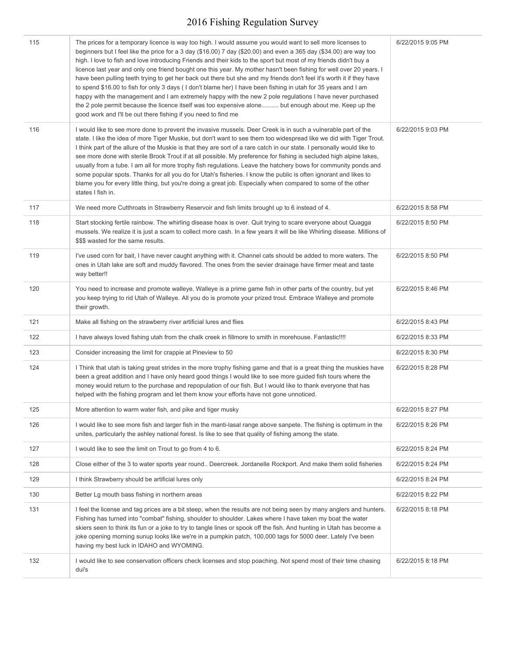| 115 | The prices for a temporary licence is way too high. I would assume you would want to sell more licenses to<br>beginners but I feel like the price for a 3 day (\$16.00) 7 day (\$20.00) and even a 365 day (\$34.00) are way too<br>high. I love to fish and love introducing Friends and their kids to the sport but most of my friends didn't buy a<br>licence last year and only one friend bought one this year. My mother hasn't been fishing for well over 20 years. I<br>have been pulling teeth trying to get her back out there but she and my friends don't feel it's worth it if they have<br>to spend \$16.00 to fish for only 3 days (I don't blame her) I have been fishing in utah for 35 years and I am<br>happy with the management and I am extremely happy with the new 2 pole regulations I have never purchased<br>the 2 pole permit because the licence itself was too expensive alone but enough about me. Keep up the<br>good work and I'll be out there fishing if you need to find me | 6/22/2015 9:05 PM |
|-----|-----------------------------------------------------------------------------------------------------------------------------------------------------------------------------------------------------------------------------------------------------------------------------------------------------------------------------------------------------------------------------------------------------------------------------------------------------------------------------------------------------------------------------------------------------------------------------------------------------------------------------------------------------------------------------------------------------------------------------------------------------------------------------------------------------------------------------------------------------------------------------------------------------------------------------------------------------------------------------------------------------------------|-------------------|
| 116 | I would like to see more done to prevent the invasive mussels. Deer Creek is in such a vulnerable part of the<br>state. I like the idea of more Tiger Muskie, but don't want to see them too widespread like we did with Tiger Trout.<br>I think part of the allure of the Muskie is that they are sort of a rare catch in our state. I personally would like to<br>see more done with sterile Brook Trout if at all possible. My preference for fishing is secluded high alpine lakes,<br>usually from a tube. I am all for more trophy fish regulations. Leave the hatchery bows for community ponds and<br>some popular spots. Thanks for all you do for Utah's fisheries. I know the public is often ignorant and likes to<br>blame you for every little thing, but you're doing a great job. Especially when compared to some of the other<br>states I fish in.                                                                                                                                            | 6/22/2015 9:03 PM |
| 117 | We need more Cutthroats in Strawberry Reservoir and fish limits brought up to 6 instead of 4.                                                                                                                                                                                                                                                                                                                                                                                                                                                                                                                                                                                                                                                                                                                                                                                                                                                                                                                   | 6/22/2015 8:58 PM |
| 118 | Start stocking fertile rainbow. The whirling disease hoax is over. Quit trying to scare everyone about Quagga<br>mussels. We realize it is just a scam to collect more cash. In a few years it will be like Whirling disease. Millions of<br>\$\$\$ wasted for the same results.                                                                                                                                                                                                                                                                                                                                                                                                                                                                                                                                                                                                                                                                                                                                | 6/22/2015 8:50 PM |
| 119 | I've used corn for bait, I have never caught anything with it. Channel cats should be added to more waters. The<br>ones in Utah lake are soft and muddy flavored. The ones from the sevier drainage have firmer meat and taste<br>way better!!                                                                                                                                                                                                                                                                                                                                                                                                                                                                                                                                                                                                                                                                                                                                                                  | 6/22/2015 8:50 PM |
| 120 | You need to increase and promote walleye. Walleye is a prime game fish in other parts of the country, but yet<br>you keep trying to rid Utah of Walleye. All you do is promote your prized trout. Embrace Walleye and promote<br>their growth.                                                                                                                                                                                                                                                                                                                                                                                                                                                                                                                                                                                                                                                                                                                                                                  | 6/22/2015 8:46 PM |
| 121 | Make all fishing on the strawberry river artificial lures and flies                                                                                                                                                                                                                                                                                                                                                                                                                                                                                                                                                                                                                                                                                                                                                                                                                                                                                                                                             | 6/22/2015 8:43 PM |
| 122 | I have always loved fishing utah from the chalk creek in fillmore to smith in morehouse. Fantastic!!!!                                                                                                                                                                                                                                                                                                                                                                                                                                                                                                                                                                                                                                                                                                                                                                                                                                                                                                          | 6/22/2015 8:33 PM |
| 123 | Consider increasing the limit for crappie at Pineview to 50                                                                                                                                                                                                                                                                                                                                                                                                                                                                                                                                                                                                                                                                                                                                                                                                                                                                                                                                                     | 6/22/2015 8:30 PM |
| 124 | I Think that utah is taking great strides in the more trophy fishing game and that is a great thing the muskies have<br>been a great addition and I have only heard good things I would like to see more guided fish tours where the<br>money would return to the purchase and repopulation of our fish. But I would like to thank everyone that has<br>helped with the fishing program and let them know your efforts have not gone unnoticed.                                                                                                                                                                                                                                                                                                                                                                                                                                                                                                                                                                 | 6/22/2015 8:28 PM |
| 125 | More attention to warm water fish, and pike and tiger musky                                                                                                                                                                                                                                                                                                                                                                                                                                                                                                                                                                                                                                                                                                                                                                                                                                                                                                                                                     | 6/22/2015 8:27 PM |
| 126 | I would like to see more fish and larger fish in the manti-lasal range above sanpete. The fishing is optimum in the<br>unites, particularly the ashley national forest. Is like to see that quality of fishing among the state.                                                                                                                                                                                                                                                                                                                                                                                                                                                                                                                                                                                                                                                                                                                                                                                 | 6/22/2015 8:26 PM |
| 127 | I would like to see the limit on Trout to go from 4 to 6.                                                                                                                                                                                                                                                                                                                                                                                                                                                                                                                                                                                                                                                                                                                                                                                                                                                                                                                                                       | 6/22/2015 8:24 PM |
| 128 | Close either of the 3 to water sports year round Deercreek. Jordanelle Rockport. And make them solid fisheries                                                                                                                                                                                                                                                                                                                                                                                                                                                                                                                                                                                                                                                                                                                                                                                                                                                                                                  | 6/22/2015 8:24 PM |
| 129 | I think Strawberry should be artificial lures only                                                                                                                                                                                                                                                                                                                                                                                                                                                                                                                                                                                                                                                                                                                                                                                                                                                                                                                                                              | 6/22/2015 8:24 PM |
| 130 | Better Lg mouth bass fishing in northern areas                                                                                                                                                                                                                                                                                                                                                                                                                                                                                                                                                                                                                                                                                                                                                                                                                                                                                                                                                                  | 6/22/2015 8:22 PM |
| 131 | I feel the license and tag prices are a bit steep, when the results are not being seen by many anglers and hunters.<br>Fishing has turned into "combat" fishing, shoulder to shoulder. Lakes where I have taken my boat the water<br>skiers seen to think its fun or a joke to try to tangle lines or spook off the fish. And hunting in Utah has become a<br>joke opening morning sunup looks like we're in a pumpkin patch, 100,000 tags for 5000 deer. Lately I've been<br>having my best luck in IDAHO and WYOMING.                                                                                                                                                                                                                                                                                                                                                                                                                                                                                         | 6/22/2015 8:18 PM |
| 132 | I would like to see conservation officers check licenses and stop poaching. Not spend most of their time chasing<br>dui's                                                                                                                                                                                                                                                                                                                                                                                                                                                                                                                                                                                                                                                                                                                                                                                                                                                                                       | 6/22/2015 8:18 PM |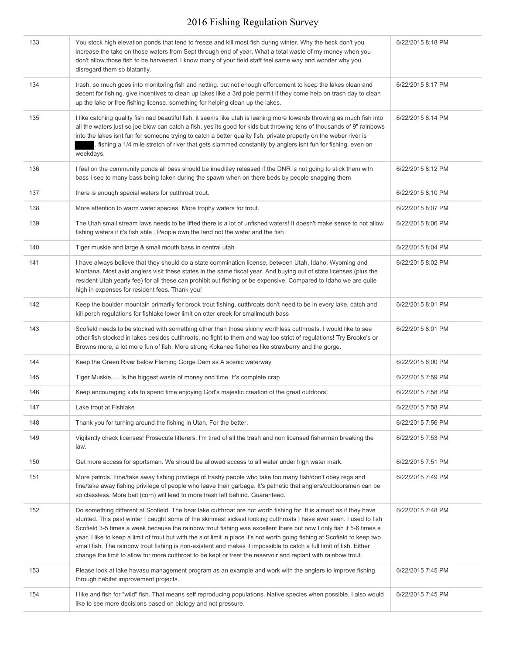| 133 | You stock high elevation ponds that tend to freeze and kill most fish during winter. Why the heck don't you<br>increase the take on those waters from Sept through end of year. What a total waste of my money when you<br>don't allow those fish to be harvested. I know many of your field staff feel same way and wonder why you<br>disregard them so blatantly.                                                                                                                                                                                                                                                                                                                                                                       | 6/22/2015 8:18 PM |
|-----|-------------------------------------------------------------------------------------------------------------------------------------------------------------------------------------------------------------------------------------------------------------------------------------------------------------------------------------------------------------------------------------------------------------------------------------------------------------------------------------------------------------------------------------------------------------------------------------------------------------------------------------------------------------------------------------------------------------------------------------------|-------------------|
| 134 | trash, so much goes into monitoring fish and netting. but not enough efforcement to keep the lakes clean and<br>decent for fishing. give incentives to clean up lakes like a 3rd pole permit if they come help on trash day to clean<br>up the lake or free fishing license. something for helping clean up the lakes.                                                                                                                                                                                                                                                                                                                                                                                                                    | 6/22/2015 8:17 PM |
| 135 | I like catching quality fish nad beautiful fish. it seems like utah is leaning more towards throwing as much fish into<br>all the waters just so joe blow can catch a fish. yes its good for kids but throwing tens of thousands of 9" rainbows<br>into the lakes isnt fun for someone trying to catch a better quality fish. private property on the weber river is<br>fishing a 1/4 mile stretch of river that gets slammed constantly by anglers isnt fun for fishing, even on<br>weekdays.                                                                                                                                                                                                                                            | 6/22/2015 8:14 PM |
| 136 | I feel on the community ponds all bass should be imeditley released if the DNR is not going to stick them with<br>bass I see to many bass being taken during the spawn when on there beds by people snagging them                                                                                                                                                                                                                                                                                                                                                                                                                                                                                                                         | 6/22/2015 8:12 PM |
| 137 | there is enough special waters for cutthroat trout.                                                                                                                                                                                                                                                                                                                                                                                                                                                                                                                                                                                                                                                                                       | 6/22/2015 8:10 PM |
| 138 | More attention to warm water species. More trophy waters for trout.                                                                                                                                                                                                                                                                                                                                                                                                                                                                                                                                                                                                                                                                       | 6/22/2015 8:07 PM |
| 139 | The Utah small stream laws needs to be lifted there is a lot of unfished waters! It doesn't make sense to not allow<br>fishing waters if it's fish able. People own the land not the water and the fish                                                                                                                                                                                                                                                                                                                                                                                                                                                                                                                                   | 6/22/2015 8:06 PM |
| 140 | Tiger muskie and large & small mouth bass in central utah                                                                                                                                                                                                                                                                                                                                                                                                                                                                                                                                                                                                                                                                                 | 6/22/2015 8:04 PM |
| 141 | I have always believe that they should do a state commination license, between Utah, Idaho, Wyoming and<br>Montana. Most avid anglers visit these states in the same fiscal year. And buying out of state licenses (plus the<br>resident Utah yearly fee) for all these can prohibit out fishing or be expensive. Compared to Idaho we are quite<br>high in expenses for resident fees. Thank you!                                                                                                                                                                                                                                                                                                                                        | 6/22/2015 8:02 PM |
| 142 | Keep the boulder mountain primarily for brook trout fishing, cutthroats don't need to be in every lake, catch and<br>kill perch regulations for fishlake lower limit on otter creek for smallmouth bass                                                                                                                                                                                                                                                                                                                                                                                                                                                                                                                                   | 6/22/2015 8:01 PM |
| 143 | Scofield needs to be stocked with something other than those skinny worthless cutthroats. I would like to see<br>other fish stocked in lakes besides cutthroats, no fight to them and way too strict of regulations! Try Brooke's or<br>Browns more, a lot more fun of fish. More strong Kokanee fisheries like strawberry and the gorge.                                                                                                                                                                                                                                                                                                                                                                                                 | 6/22/2015 8:01 PM |
| 144 | Keep the Green River below Flaming Gorge Dam as A scenic waterway                                                                                                                                                                                                                                                                                                                                                                                                                                                                                                                                                                                                                                                                         | 6/22/2015 8:00 PM |
| 145 | Tiger Muskie Is the biggest waste of money and time. It's complete crap                                                                                                                                                                                                                                                                                                                                                                                                                                                                                                                                                                                                                                                                   | 6/22/2015 7:59 PM |
| 146 | Keep encouraging kids to spend time enjoying God's majestic creation of the great outdoors!                                                                                                                                                                                                                                                                                                                                                                                                                                                                                                                                                                                                                                               | 6/22/2015 7:58 PM |
| 147 | Lake trout at Fishlake                                                                                                                                                                                                                                                                                                                                                                                                                                                                                                                                                                                                                                                                                                                    | 6/22/2015 7:58 PM |
| 148 | Thank you for turning around the fishing in Utah. For the better.                                                                                                                                                                                                                                                                                                                                                                                                                                                                                                                                                                                                                                                                         | 6/22/2015 7:56 PM |
| 149 | Vigilantly check licenses! Prosecute litterers. I'm tired of all the trash and non licensed fisherman breaking the<br>law.                                                                                                                                                                                                                                                                                                                                                                                                                                                                                                                                                                                                                | 6/22/2015 7:53 PM |
| 150 | Get more access for sportsman. We should be allowed access to all water under high water mark.                                                                                                                                                                                                                                                                                                                                                                                                                                                                                                                                                                                                                                            | 6/22/2015 7:51 PM |
| 151 | More patrols. Fine/take away fishing privilege of trashy people who take too many fish/don't obey regs and<br>fine/take away fishing privilege of people who leave their garbage. It's pathetic that anglers/outdoorsmen can be<br>so classless. More bait (corn) will lead to more trash left behind. Guaranteed.                                                                                                                                                                                                                                                                                                                                                                                                                        | 6/22/2015 7:49 PM |
| 152 | Do something different at Scofield. The bear lake cutthroat are not worth fishing for. It is almost as if they have<br>stunted. This past winter I caught some of the skinniest sickest looking cutthroats I have ever seen. I used to fish<br>Scofield 3-5 times a week because the rainbow trout fishing was excellent there but now I only fish it 5-6 times a<br>year. I like to keep a limit of trout but with the slot limit in place it's not worth going fishing at Scofield to keep two<br>small fish. The rainbow trout fishing is non-existent and makes it impossible to catch a full limit of fish. Either<br>change the limit to allow for more cutthroat to be kept or treat the reservoir and replant with rainbow trout. | 6/22/2015 7:48 PM |
| 153 | Please look at lake havasu management program as an example and work with the anglers to improve fishing<br>through habitat improvement projects.                                                                                                                                                                                                                                                                                                                                                                                                                                                                                                                                                                                         | 6/22/2015 7:45 PM |
| 154 | I like and fish for "wild" fish. That means self reproducing populations. Native species when possible. I also would<br>like to see more decisions based on biology and not pressure.                                                                                                                                                                                                                                                                                                                                                                                                                                                                                                                                                     | 6/22/2015 7:45 PM |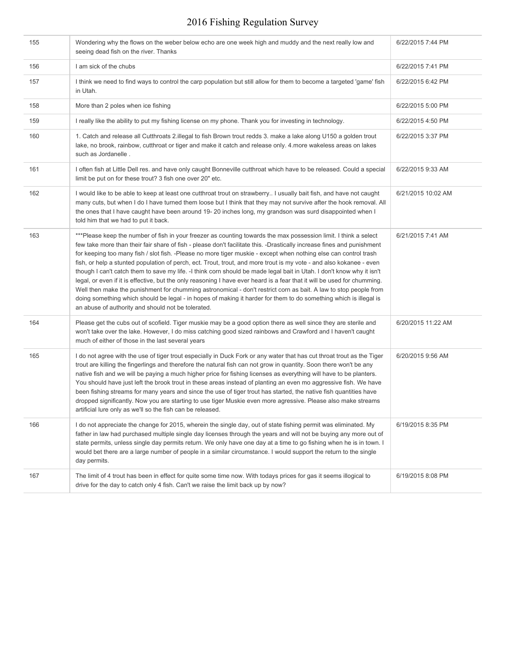| 155 | Wondering why the flows on the weber below echo are one week high and muddy and the next really low and<br>seeing dead fish on the river. Thanks                                                                                                                                                                                                                                                                                                                                                                                                                                                                                                                                                                                                                                                                                                                                                                                                                                                                                          | 6/22/2015 7:44 PM  |
|-----|-------------------------------------------------------------------------------------------------------------------------------------------------------------------------------------------------------------------------------------------------------------------------------------------------------------------------------------------------------------------------------------------------------------------------------------------------------------------------------------------------------------------------------------------------------------------------------------------------------------------------------------------------------------------------------------------------------------------------------------------------------------------------------------------------------------------------------------------------------------------------------------------------------------------------------------------------------------------------------------------------------------------------------------------|--------------------|
| 156 | I am sick of the chubs                                                                                                                                                                                                                                                                                                                                                                                                                                                                                                                                                                                                                                                                                                                                                                                                                                                                                                                                                                                                                    | 6/22/2015 7:41 PM  |
| 157 | I think we need to find ways to control the carp population but still allow for them to become a targeted 'game' fish<br>in Utah.                                                                                                                                                                                                                                                                                                                                                                                                                                                                                                                                                                                                                                                                                                                                                                                                                                                                                                         | 6/22/2015 6:42 PM  |
| 158 | More than 2 poles when ice fishing                                                                                                                                                                                                                                                                                                                                                                                                                                                                                                                                                                                                                                                                                                                                                                                                                                                                                                                                                                                                        | 6/22/2015 5:00 PM  |
| 159 | I really like the ability to put my fishing license on my phone. Thank you for investing in technology.                                                                                                                                                                                                                                                                                                                                                                                                                                                                                                                                                                                                                                                                                                                                                                                                                                                                                                                                   | 6/22/2015 4:50 PM  |
| 160 | 1. Catch and release all Cutthroats 2.illegal to fish Brown trout redds 3. make a lake along U150 a golden trout<br>lake, no brook, rainbow, cutthroat or tiger and make it catch and release only. 4.more wakeless areas on lakes<br>such as Jordanelle.                                                                                                                                                                                                                                                                                                                                                                                                                                                                                                                                                                                                                                                                                                                                                                                 | 6/22/2015 3:37 PM  |
| 161 | I often fish at Little Dell res. and have only caught Bonneville cutthroat which have to be released. Could a special<br>limit be put on for these trout? 3 fish one over 20" etc.                                                                                                                                                                                                                                                                                                                                                                                                                                                                                                                                                                                                                                                                                                                                                                                                                                                        | 6/22/2015 9:33 AM  |
| 162 | I would like to be able to keep at least one cutthroat trout on strawberry I usually bait fish, and have not caught<br>many cuts, but when I do I have turned them loose but I think that they may not survive after the hook removal. All<br>the ones that I have caught have been around 19-20 inches long, my grandson was surd disappointed when I<br>told him that we had to put it back.                                                                                                                                                                                                                                                                                                                                                                                                                                                                                                                                                                                                                                            | 6/21/2015 10:02 AM |
| 163 | ***Please keep the number of fish in your freezer as counting towards the max possession limit. I think a select<br>few take more than their fair share of fish - please don't facilitate this. -Drastically increase fines and punishment<br>for keeping too many fish / slot fish. -Please no more tiger muskie - except when nothing else can control trash<br>fish, or help a stunted population of perch, ect. Trout, trout, and more trout is my vote - and also kokanee - even<br>though I can't catch them to save my life. -I think corn should be made legal bait in Utah. I don't know why it isn't<br>legal, or even if it is effective, but the only reasoning I have ever heard is a fear that it will be used for chumming.<br>Well then make the punishment for chumming astronomical - don't restrict corn as bait. A law to stop people from<br>doing something which should be legal - in hopes of making it harder for them to do something which is illegal is<br>an abuse of authority and should not be tolerated. | 6/21/2015 7:41 AM  |
| 164 | Please get the cubs out of scofield. Tiger muskie may be a good option there as well since they are sterile and<br>won't take over the lake. However, I do miss catching good sized rainbows and Crawford and I haven't caught<br>much of either of those in the last several years                                                                                                                                                                                                                                                                                                                                                                                                                                                                                                                                                                                                                                                                                                                                                       | 6/20/2015 11:22 AM |
| 165 | I do not agree with the use of tiger trout especially in Duck Fork or any water that has cut throat trout as the Tiger<br>trout are killing the fingerlings and therefore the natural fish can not grow in quantity. Soon there won't be any<br>native fish and we will be paying a much higher price for fishing licenses as everything will have to be planters.<br>You should have just left the brook trout in these areas instead of planting an even mo aggressive fish. We have<br>been fishing streams for many years and since the use of tiger trout has started, the native fish quantities have<br>dropped significantly. Now you are starting to use tiger Muskie even more agressive. Please also make streams<br>artificial lure only as we'll so the fish can be released.                                                                                                                                                                                                                                                | 6/20/2015 9:56 AM  |
| 166 | I do not appreciate the change for 2015, wherein the single day, out of state fishing permit was eliminated. My<br>father in law had purchased multiple single day licenses through the years and will not be buying any more out of<br>state permits, unless single day permits return. We only have one day at a time to go fishing when he is in town. I<br>would bet there are a large number of people in a similar circumstance. I would support the return to the single<br>day permits.                                                                                                                                                                                                                                                                                                                                                                                                                                                                                                                                           | 6/19/2015 8:35 PM  |
| 167 | The limit of 4 trout has been in effect for quite some time now. With todays prices for gas it seems illogical to<br>drive for the day to catch only 4 fish. Can't we raise the limit back up by now?                                                                                                                                                                                                                                                                                                                                                                                                                                                                                                                                                                                                                                                                                                                                                                                                                                     | 6/19/2015 8:08 PM  |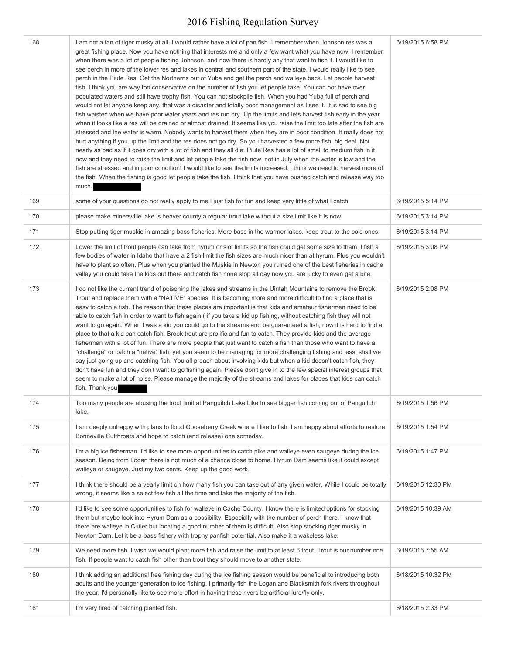| 168 | I am not a fan of tiger musky at all. I would rather have a lot of pan fish. I remember when Johnson res was a<br>great fishing place. Now you have nothing that interests me and only a few want what you have now. I remember<br>when there was a lot of people fishing Johnson, and now there is hardly any that want to fish it. I would like to<br>see perch in more of the lower res and lakes in central and southern part of the state. I would really like to see<br>perch in the Piute Res. Get the Northerns out of Yuba and get the perch and walleye back. Let people harvest<br>fish. I think you are way too conservative on the number of fish you let people take. You can not have over<br>populated waters and still have trophy fish. You can not stockpile fish. When you had Yuba full of perch and<br>would not let anyone keep any, that was a disaster and totally poor management as I see it. It is sad to see big<br>fish waisted when we have poor water years and res run dry. Up the limits and lets harvest fish early in the year<br>when it looks like a res will be drained or almost drained. It seems like you raise the limit too late after the fish are<br>stressed and the water is warm. Nobody wants to harvest them when they are in poor condition. It really does not<br>hurt anything if you up the limit and the res does not go dry. So you harvested a few more fish, big deal. Not<br>nearly as bad as if it goes dry with a lot of fish and they all die. Piute Res has a lot of small to medium fish in it<br>now and they need to raise the limit and let people take the fish now, not in July when the water is low and the<br>fish are stressed and in poor condition! I would like to see the limits increased. I think we need to harvest more of<br>the fish. When the fishing is good let people take the fish. I think that you have pushed catch and release way too<br>much. | 6/19/2015 6:58 PM  |
|-----|----------------------------------------------------------------------------------------------------------------------------------------------------------------------------------------------------------------------------------------------------------------------------------------------------------------------------------------------------------------------------------------------------------------------------------------------------------------------------------------------------------------------------------------------------------------------------------------------------------------------------------------------------------------------------------------------------------------------------------------------------------------------------------------------------------------------------------------------------------------------------------------------------------------------------------------------------------------------------------------------------------------------------------------------------------------------------------------------------------------------------------------------------------------------------------------------------------------------------------------------------------------------------------------------------------------------------------------------------------------------------------------------------------------------------------------------------------------------------------------------------------------------------------------------------------------------------------------------------------------------------------------------------------------------------------------------------------------------------------------------------------------------------------------------------------------------------------------------------------------------------------------------------------------------------------------------|--------------------|
| 169 | some of your questions do not really apply to me I just fish for fun and keep very little of what I catch                                                                                                                                                                                                                                                                                                                                                                                                                                                                                                                                                                                                                                                                                                                                                                                                                                                                                                                                                                                                                                                                                                                                                                                                                                                                                                                                                                                                                                                                                                                                                                                                                                                                                                                                                                                                                                    | 6/19/2015 5:14 PM  |
| 170 | please make minersville lake is beaver county a regular trout lake without a size limit like it is now                                                                                                                                                                                                                                                                                                                                                                                                                                                                                                                                                                                                                                                                                                                                                                                                                                                                                                                                                                                                                                                                                                                                                                                                                                                                                                                                                                                                                                                                                                                                                                                                                                                                                                                                                                                                                                       | 6/19/2015 3:14 PM  |
| 171 | Stop putting tiger muskie in amazing bass fisheries. More bass in the warmer lakes, keep trout to the cold ones.                                                                                                                                                                                                                                                                                                                                                                                                                                                                                                                                                                                                                                                                                                                                                                                                                                                                                                                                                                                                                                                                                                                                                                                                                                                                                                                                                                                                                                                                                                                                                                                                                                                                                                                                                                                                                             | 6/19/2015 3:14 PM  |
| 172 | Lower the limit of trout people can take from hyrum or slot limits so the fish could get some size to them. I fish a<br>few bodies of water in Idaho that have a 2 fish limit the fish sizes are much nicer than at hyrum. Plus you wouldn't<br>have to plant so often. Plus when you planted the Muskie in Newton you ruined one of the best fisheries in cache<br>valley you could take the kids out there and catch fish none stop all day now you are lucky to even get a bite.                                                                                                                                                                                                                                                                                                                                                                                                                                                                                                                                                                                                                                                                                                                                                                                                                                                                                                                                                                                                                                                                                                                                                                                                                                                                                                                                                                                                                                                          | 6/19/2015 3:08 PM  |
| 173 | I do not like the current trend of poisoning the lakes and streams in the Uintah Mountains to remove the Brook<br>Trout and replace them with a "NATIVE" species. It is becoming more and more difficult to find a place that is<br>easy to catch a fish. The reason that these places are important is that kids and amateur fishermen need to be<br>able to catch fish in order to want to fish again, (if you take a kid up fishing, without catching fish they will not<br>want to go again. When I was a kid you could go to the streams and be guaranteed a fish, now it is hard to find a<br>place to that a kid can catch fish. Brook trout are prolific and fun to catch. They provide kids and the average<br>fisherman with a lot of fun. There are more people that just want to catch a fish than those who want to have a<br>"challenge" or catch a "native" fish, yet you seem to be managing for more challenging fishing and less, shall we<br>say just going up and catching fish. You all preach about involving kids but when a kid doesn't catch fish, they<br>don't have fun and they don't want to go fishing again. Please don't give in to the few special interest groups that<br>seem to make a lot of noise. Please manage the majority of the streams and lakes for places that kids can catch<br>fish. Thank you                                                                                                                                                                                                                                                                                                                                                                                                                                                                                                                                                                                               | 6/19/2015 2:08 PM  |
| 174 | Too many people are abusing the trout limit at Panguitch Lake.Like to see bigger fish coming out of Panguitch<br>lake.                                                                                                                                                                                                                                                                                                                                                                                                                                                                                                                                                                                                                                                                                                                                                                                                                                                                                                                                                                                                                                                                                                                                                                                                                                                                                                                                                                                                                                                                                                                                                                                                                                                                                                                                                                                                                       | 6/19/2015 1:56 PM  |
| 175 | I am deeply unhappy with plans to flood Gooseberry Creek where I like to fish. I am happy about efforts to restore<br>Bonneville Cutthroats and hope to catch (and release) one someday.                                                                                                                                                                                                                                                                                                                                                                                                                                                                                                                                                                                                                                                                                                                                                                                                                                                                                                                                                                                                                                                                                                                                                                                                                                                                                                                                                                                                                                                                                                                                                                                                                                                                                                                                                     | 6/19/2015 1:54 PM  |
| 176 | I'm a big ice fisherman. I'd like to see more opportunities to catch pike and walleye even saugeye during the ice<br>season. Being from Logan there is not much of a chance close to home. Hyrum Dam seems like it could except<br>walleye or saugeye. Just my two cents. Keep up the good work.                                                                                                                                                                                                                                                                                                                                                                                                                                                                                                                                                                                                                                                                                                                                                                                                                                                                                                                                                                                                                                                                                                                                                                                                                                                                                                                                                                                                                                                                                                                                                                                                                                             | 6/19/2015 1:47 PM  |
| 177 | I think there should be a yearly limit on how many fish you can take out of any given water. While I could be totally<br>wrong, it seems like a select few fish all the time and take the majority of the fish.                                                                                                                                                                                                                                                                                                                                                                                                                                                                                                                                                                                                                                                                                                                                                                                                                                                                                                                                                                                                                                                                                                                                                                                                                                                                                                                                                                                                                                                                                                                                                                                                                                                                                                                              | 6/19/2015 12:30 PM |
| 178 | I'd like to see some opportunities to fish for walleye in Cache County. I know there is limited options for stocking<br>them but maybe look into Hyrum Dam as a possibility. Especially with the number of perch there. I know that<br>there are walleye in Cutler but locating a good number of them is difficult. Also stop stocking tiger musky in<br>Newton Dam. Let it be a bass fishery with trophy panfish potential. Also make it a wakeless lake.                                                                                                                                                                                                                                                                                                                                                                                                                                                                                                                                                                                                                                                                                                                                                                                                                                                                                                                                                                                                                                                                                                                                                                                                                                                                                                                                                                                                                                                                                   | 6/19/2015 10:39 AM |
| 179 | We need more fish. I wish we would plant more fish and raise the limit to at least 6 trout. Trout is our number one<br>fish. If people want to catch fish other than trout they should move, to another state.                                                                                                                                                                                                                                                                                                                                                                                                                                                                                                                                                                                                                                                                                                                                                                                                                                                                                                                                                                                                                                                                                                                                                                                                                                                                                                                                                                                                                                                                                                                                                                                                                                                                                                                               | 6/19/2015 7:55 AM  |
| 180 | I think adding an additional free fishing day during the ice fishing season would be beneficial to introducing both<br>adults and the younger generation to ice fishing. I primarily fish the Logan and Blacksmith fork rivers throughout<br>the year. I'd personally like to see more effort in having these rivers be artificial lure/fly only.                                                                                                                                                                                                                                                                                                                                                                                                                                                                                                                                                                                                                                                                                                                                                                                                                                                                                                                                                                                                                                                                                                                                                                                                                                                                                                                                                                                                                                                                                                                                                                                            | 6/18/2015 10:32 PM |
| 181 | I'm very tired of catching planted fish.                                                                                                                                                                                                                                                                                                                                                                                                                                                                                                                                                                                                                                                                                                                                                                                                                                                                                                                                                                                                                                                                                                                                                                                                                                                                                                                                                                                                                                                                                                                                                                                                                                                                                                                                                                                                                                                                                                     | 6/18/2015 2:33 PM  |
|     |                                                                                                                                                                                                                                                                                                                                                                                                                                                                                                                                                                                                                                                                                                                                                                                                                                                                                                                                                                                                                                                                                                                                                                                                                                                                                                                                                                                                                                                                                                                                                                                                                                                                                                                                                                                                                                                                                                                                              |                    |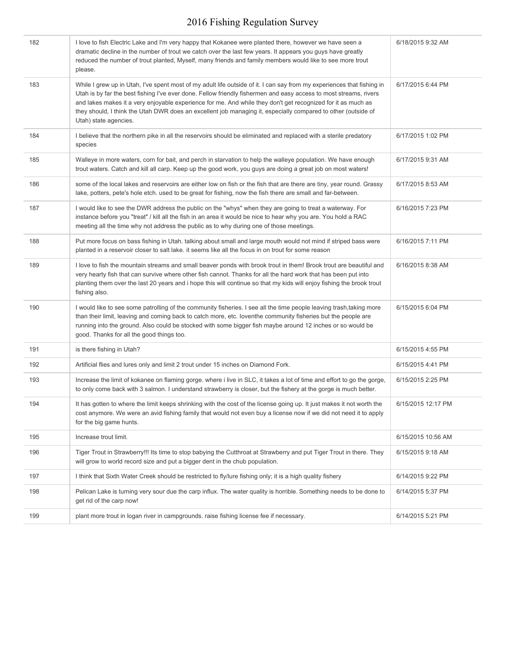| 182 | I love to fish Electric Lake and I'm very happy that Kokanee were planted there, however we have seen a<br>dramatic decline in the number of trout we catch over the last few years. It appears you guys have greatly<br>reduced the number of trout planted, Myself, many friends and family members would like to see more trout<br>please.                                                                                                                                                         | 6/18/2015 9:32 AM  |
|-----|-------------------------------------------------------------------------------------------------------------------------------------------------------------------------------------------------------------------------------------------------------------------------------------------------------------------------------------------------------------------------------------------------------------------------------------------------------------------------------------------------------|--------------------|
| 183 | While I grew up in Utah, I've spent most of my adult life outside of it. I can say from my experiences that fishing in<br>Utah is by far the best fishing I've ever done. Fellow friendly fishermen and easy access to most streams, rivers<br>and lakes makes it a very enjoyable experience for me. And while they don't get recognized for it as much as<br>they should, I think the Utah DWR does an excellent job managing it, especially compared to other (outside of<br>Utah) state agencies. | 6/17/2015 6:44 PM  |
| 184 | I believe that the northern pike in all the reservoirs should be eliminated and replaced with a sterile predatory<br>species                                                                                                                                                                                                                                                                                                                                                                          | 6/17/2015 1:02 PM  |
| 185 | Walleye in more waters, corn for bait, and perch in starvation to help the walleye population. We have enough<br>trout waters. Catch and kill all carp. Keep up the good work, you guys are doing a great job on most waters!                                                                                                                                                                                                                                                                         | 6/17/2015 9:31 AM  |
| 186 | some of the local lakes and reservoirs are either low on fish or the fish that are there are tiny, year round. Grassy<br>lake, potters, pete's hole etch. used to be great for fishing, now the fish there are small and far-between.                                                                                                                                                                                                                                                                 | 6/17/2015 8:53 AM  |
| 187 | I would like to see the DWR address the public on the "whys" when they are going to treat a waterway. For<br>instance before you "treat" / kill all the fish in an area it would be nice to hear why you are. You hold a RAC<br>meeting all the time why not address the public as to why during one of those meetings.                                                                                                                                                                               | 6/16/2015 7:23 PM  |
| 188 | Put more focus on bass fishing in Utah. talking about small and large mouth would not mind if striped bass were<br>planted in a reservoir closer to salt lake, it seems like all the focus in on trout for some reason                                                                                                                                                                                                                                                                                | 6/16/2015 7:11 PM  |
| 189 | I love to fish the mountain streams and small beaver ponds with brook trout in them! Brook trout are beautiful and<br>very hearty fish that can survive where other fish cannot. Thanks for all the hard work that has been put into<br>planting them over the last 20 years and i hope this will continue so that my kids will enjoy fishing the brook trout<br>fishing also.                                                                                                                        | 6/16/2015 8:38 AM  |
| 190 | I would like to see some patrolling of the community fisheries. I see all the time people leaving trash, taking more<br>than their limit, leaving and coming back to catch more, etc. loventhe community fisheries but the people are<br>running into the ground. Also could be stocked with some bigger fish maybe around 12 inches or so would be<br>good. Thanks for all the good things too.                                                                                                      | 6/15/2015 6:04 PM  |
| 191 | is there fishing in Utah?                                                                                                                                                                                                                                                                                                                                                                                                                                                                             | 6/15/2015 4:55 PM  |
| 192 | Artificial flies and lures only and limit 2 trout under 15 inches on Diamond Fork.                                                                                                                                                                                                                                                                                                                                                                                                                    | 6/15/2015 4:41 PM  |
| 193 | Increase the limit of kokanee on flaming gorge. where i live in SLC, it takes a lot of time and effort to go the gorge,<br>to only come back with 3 salmon. I understand strawberry is closer, but the fishery at the gorge is much better.                                                                                                                                                                                                                                                           | 6/15/2015 2:25 PM  |
| 194 | It has gotten to where the limit keeps shrinking with the cost of the license going up. It iust makes it not worth the<br>cost anymore. We were an avid fishing family that would not even buy a license now if we did not need it to apply<br>for the big game hunts.                                                                                                                                                                                                                                | 6/15/2015 12:17 PM |
| 195 | Increase trout limit.                                                                                                                                                                                                                                                                                                                                                                                                                                                                                 | 6/15/2015 10:56 AM |
| 196 | Tiger Trout in Strawberry!!! Its time to stop babying the Cutthroat at Strawberry and put Tiger Trout in there. They<br>will grow to world record size and put a bigger dent in the chub population.                                                                                                                                                                                                                                                                                                  | 6/15/2015 9:18 AM  |
| 197 | I think that Sixth Water Creek should be restricted to fly/lure fishing only; it is a high quality fishery                                                                                                                                                                                                                                                                                                                                                                                            | 6/14/2015 9:22 PM  |
| 198 | Pelican Lake is turning very sour due the carp influx. The water quality is horrible. Something needs to be done to<br>get rid of the carp now!                                                                                                                                                                                                                                                                                                                                                       | 6/14/2015 5:37 PM  |
| 199 | plant more trout in logan river in campgrounds. raise fishing license fee if necessary.                                                                                                                                                                                                                                                                                                                                                                                                               | 6/14/2015 5:21 PM  |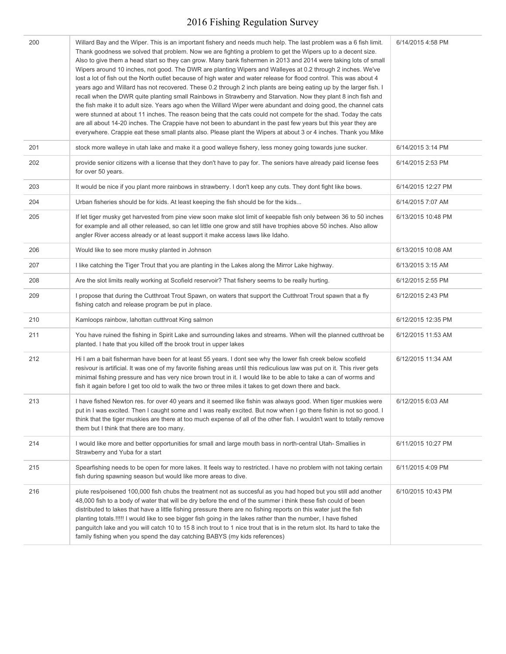| 200 | Willard Bay and the Wiper. This is an important fishery and needs much help. The last problem was a 6 fish limit.<br>Thank goodness we solved that problem. Now we are fighting a problem to get the Wipers up to a decent size.<br>Also to give them a head start so they can grow. Many bank fishermen in 2013 and 2014 were taking lots of small<br>Wipers around 10 inches, not good. The DWR are planting Wipers and Walleyes at 0.2 through 2 inches. We've<br>lost a lot of fish out the North outlet because of high water and water release for flood control. This was about 4<br>years ago and Willard has not recovered. These 0.2 through 2 inch plants are being eating up by the larger fish. I<br>recall when the DWR quite planting small Rainbows in Strawberry and Starvation. Now they plant 8 inch fish and<br>the fish make it to adult size. Years ago when the Willard Wiper were abundant and doing good, the channel cats<br>were stunned at about 11 inches. The reason being that the cats could not compete for the shad. Today the cats<br>are all about 14-20 inches. The Crappie have not been to abundant in the past few years but this year they are<br>everywhere. Crappie eat these small plants also. Please plant the Wipers at about 3 or 4 inches. Thank you Mike | 6/14/2015 4:58 PM  |
|-----|------------------------------------------------------------------------------------------------------------------------------------------------------------------------------------------------------------------------------------------------------------------------------------------------------------------------------------------------------------------------------------------------------------------------------------------------------------------------------------------------------------------------------------------------------------------------------------------------------------------------------------------------------------------------------------------------------------------------------------------------------------------------------------------------------------------------------------------------------------------------------------------------------------------------------------------------------------------------------------------------------------------------------------------------------------------------------------------------------------------------------------------------------------------------------------------------------------------------------------------------------------------------------------------------------------|--------------------|
| 201 | stock more walleye in utah lake and make it a good walleye fishery, less money going towards june sucker.                                                                                                                                                                                                                                                                                                                                                                                                                                                                                                                                                                                                                                                                                                                                                                                                                                                                                                                                                                                                                                                                                                                                                                                                  | 6/14/2015 3:14 PM  |
| 202 | provide senior citizens with a license that they don't have to pay for. The seniors have already paid license fees<br>for over 50 years.                                                                                                                                                                                                                                                                                                                                                                                                                                                                                                                                                                                                                                                                                                                                                                                                                                                                                                                                                                                                                                                                                                                                                                   | 6/14/2015 2:53 PM  |
| 203 | It would be nice if you plant more rainbows in strawberry. I don't keep any cuts. They dont fight like bows.                                                                                                                                                                                                                                                                                                                                                                                                                                                                                                                                                                                                                                                                                                                                                                                                                                                                                                                                                                                                                                                                                                                                                                                               | 6/14/2015 12:27 PM |
| 204 | Urban fisheries should be for kids. At least keeping the fish should be for the kids                                                                                                                                                                                                                                                                                                                                                                                                                                                                                                                                                                                                                                                                                                                                                                                                                                                                                                                                                                                                                                                                                                                                                                                                                       | 6/14/2015 7:07 AM  |
| 205 | If let tiger musky get harvested from pine view soon make slot limit of keepable fish only between 36 to 50 inches<br>for example and all other released, so can let little one grow and still have trophies above 50 inches. Also allow<br>angler River access already or at least support it make access laws like Idaho.                                                                                                                                                                                                                                                                                                                                                                                                                                                                                                                                                                                                                                                                                                                                                                                                                                                                                                                                                                                | 6/13/2015 10:48 PM |
| 206 | Would like to see more musky planted in Johnson                                                                                                                                                                                                                                                                                                                                                                                                                                                                                                                                                                                                                                                                                                                                                                                                                                                                                                                                                                                                                                                                                                                                                                                                                                                            | 6/13/2015 10:08 AM |
| 207 | I like catching the Tiger Trout that you are planting in the Lakes along the Mirror Lake highway.                                                                                                                                                                                                                                                                                                                                                                                                                                                                                                                                                                                                                                                                                                                                                                                                                                                                                                                                                                                                                                                                                                                                                                                                          | 6/13/2015 3:15 AM  |
| 208 | Are the slot limits really working at Scofield reservoir? That fishery seems to be really hurting.                                                                                                                                                                                                                                                                                                                                                                                                                                                                                                                                                                                                                                                                                                                                                                                                                                                                                                                                                                                                                                                                                                                                                                                                         | 6/12/2015 2:55 PM  |
| 209 | I propose that during the Cutthroat Trout Spawn, on waters that support the Cutthroat Trout spawn that a fly<br>fishing catch and release program be put in place.                                                                                                                                                                                                                                                                                                                                                                                                                                                                                                                                                                                                                                                                                                                                                                                                                                                                                                                                                                                                                                                                                                                                         | 6/12/2015 2:43 PM  |
| 210 | Kamloops rainbow, lahottan cutthroat King salmon                                                                                                                                                                                                                                                                                                                                                                                                                                                                                                                                                                                                                                                                                                                                                                                                                                                                                                                                                                                                                                                                                                                                                                                                                                                           | 6/12/2015 12:35 PM |
| 211 | You have ruined the fishing in Spirit Lake and surrounding lakes and streams. When will the planned cutthroat be<br>planted. I hate that you killed off the brook trout in upper lakes                                                                                                                                                                                                                                                                                                                                                                                                                                                                                                                                                                                                                                                                                                                                                                                                                                                                                                                                                                                                                                                                                                                     | 6/12/2015 11:53 AM |
| 212 | Hi I am a bait fisherman have been for at least 55 years. I dont see why the lower fish creek below scofield<br>resivour is artificial. It was one of my favorite fishing areas until this rediculious law was put on it. This river gets<br>minimal fishing pressure and has very nice brown trout in it. I would like to be able to take a can of worms and<br>fish it again before I get too old to walk the two or three miles it takes to get down there and back.                                                                                                                                                                                                                                                                                                                                                                                                                                                                                                                                                                                                                                                                                                                                                                                                                                    | 6/12/2015 11:34 AM |
| 213 | I have fished Newton res. for over 40 years and it seemed like fishin was always good. When tiger muskies were<br>put in I was excited. Then I caught some and I was really excited. But now when I go there fishin is not so good. I<br>think that the tiger muskies are there at too much expense of all of the other fish. I wouldn't want to totally remove<br>them but I think that there are too many.                                                                                                                                                                                                                                                                                                                                                                                                                                                                                                                                                                                                                                                                                                                                                                                                                                                                                               | 6/12/2015 6:03 AM  |
| 214 | I would like more and better opportunities for small and large mouth bass in north-central Utah- Smallies in<br>Strawberry and Yuba for a start                                                                                                                                                                                                                                                                                                                                                                                                                                                                                                                                                                                                                                                                                                                                                                                                                                                                                                                                                                                                                                                                                                                                                            | 6/11/2015 10:27 PM |
| 215 | Spearfishing needs to be open for more lakes. It feels way to restricted. I have no problem with not taking certain<br>fish during spawning season but would like more areas to dive.                                                                                                                                                                                                                                                                                                                                                                                                                                                                                                                                                                                                                                                                                                                                                                                                                                                                                                                                                                                                                                                                                                                      | 6/11/2015 4:09 PM  |
| 216 | piute res/poisened 100,000 fish chubs the treatment not as succesful as you had hoped but you still add another<br>48,000 fish to a body of water that will be dry before the end of the summer i think these fish could of been<br>distributed to lakes that have a little fishing pressure there are no fishing reports on this water just the fish<br>planting totals.!!!!! I would like to see bigger fish going in the lakes rather than the number, I have fished<br>panguitch lake and you will catch 10 to 15 8 inch trout to 1 nice trout that is in the return slot. Its hard to take the<br>family fishing when you spend the day catching BABYS (my kids references)                                                                                                                                                                                                                                                                                                                                                                                                                                                                                                                                                                                                                           | 6/10/2015 10:43 PM |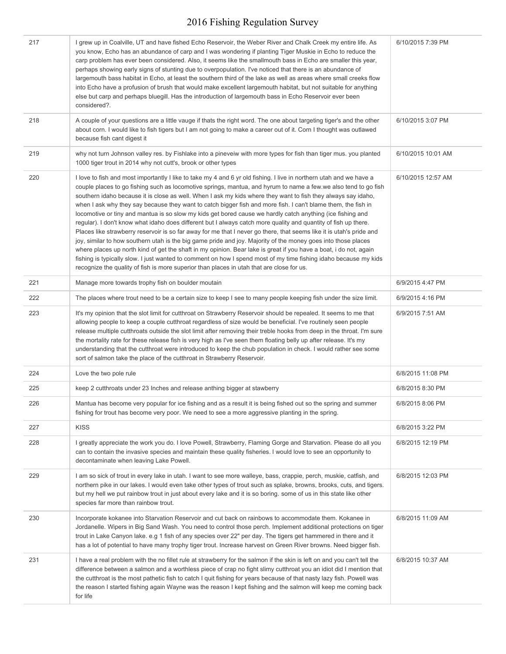| 217 | I grew up in Coalville, UT and have fished Echo Reservoir, the Weber River and Chalk Creek my entire life. As<br>you know, Echo has an abundance of carp and I was wondering if planting Tiger Muskie in Echo to reduce the<br>carp problem has ever been considered. Also, it seems like the smallmouth bass in Echo are smaller this year,<br>perhaps showing early signs of stunting due to overpopulation. I've noticed that there is an abundance of<br>largemouth bass habitat in Echo, at least the southern third of the lake as well as areas where small creeks flow<br>into Echo have a profusion of brush that would make excellent largemouth habitat, but not suitable for anything<br>else but carp and perhaps bluegill. Has the introduction of largemouth bass in Echo Reservoir ever been<br>considered?.                                                                                                                                                                                                                                                                                                                                                                                                                                                             | 6/10/2015 7:39 PM  |
|-----|------------------------------------------------------------------------------------------------------------------------------------------------------------------------------------------------------------------------------------------------------------------------------------------------------------------------------------------------------------------------------------------------------------------------------------------------------------------------------------------------------------------------------------------------------------------------------------------------------------------------------------------------------------------------------------------------------------------------------------------------------------------------------------------------------------------------------------------------------------------------------------------------------------------------------------------------------------------------------------------------------------------------------------------------------------------------------------------------------------------------------------------------------------------------------------------------------------------------------------------------------------------------------------------|--------------------|
| 218 | A couple of your questions are a little vauge if thats the right word. The one about targeting tiger's and the other<br>about corn. I would like to fish tigers but I am not going to make a career out of it. Corn I thought was outlawed<br>because fish cant digest it                                                                                                                                                                                                                                                                                                                                                                                                                                                                                                                                                                                                                                                                                                                                                                                                                                                                                                                                                                                                                | 6/10/2015 3:07 PM  |
| 219 | why not turn Johnson valley res. by Fishlake into a pineveiw with more types for fish than tiger mus. you planted<br>1000 tiger trout in 2014 why not cutt's, brook or other types                                                                                                                                                                                                                                                                                                                                                                                                                                                                                                                                                                                                                                                                                                                                                                                                                                                                                                                                                                                                                                                                                                       | 6/10/2015 10:01 AM |
| 220 | I love to fish and most importantly I like to take my 4 and 6 yr old fishing. I live in northern utah and we have a<br>couple places to go fishing such as locomotive springs, mantua, and hyrum to name a few we also tend to go fish<br>southern idaho because it is close as well. When I ask my kids where they want to fish they always say idaho,<br>when I ask why they say because they want to catch bigger fish and more fish. I can't blame them, the fish in<br>locomotive or tiny and mantua is so slow my kids get bored cause we hardly catch anything (ice fishing and<br>regular). I don't know what idaho does different but I always catch more quality and quantity of fish up there.<br>Places like strawberry reservoir is so far away for me that I never go there, that seems like it is utah's pride and<br>joy, similar to how southern utah is the big game pride and joy. Majority of the money goes into those places<br>where places up north kind of get the shaft in my opinion. Bear lake is great if you have a boat, i do not, again<br>fishing is typically slow. I just wanted to comment on how I spend most of my time fishing idaho because my kids<br>recognize the quality of fish is more superior than places in utah that are close for us. | 6/10/2015 12:57 AM |
| 221 | Manage more towards trophy fish on boulder moutain                                                                                                                                                                                                                                                                                                                                                                                                                                                                                                                                                                                                                                                                                                                                                                                                                                                                                                                                                                                                                                                                                                                                                                                                                                       | 6/9/2015 4:47 PM   |
| 222 | The places where trout need to be a certain size to keep I see to many people keeping fish under the size limit.                                                                                                                                                                                                                                                                                                                                                                                                                                                                                                                                                                                                                                                                                                                                                                                                                                                                                                                                                                                                                                                                                                                                                                         | 6/9/2015 4:16 PM   |
| 223 | It's my opinion that the slot limit for cutthroat on Strawberry Reservoir should be repealed. It seems to me that<br>allowing people to keep a couple cutthroat regardless of size would be beneficial. I've routinely seen people<br>release multiple cutthroats outside the slot limit after removing their treble hooks from deep in the throat. I'm sure<br>the mortality rate for these release fish is very high as I've seen them floating belly up after release. It's my<br>understanding that the cutthroat were introduced to keep the chub population in check. I would rather see some<br>sort of salmon take the place of the cutthroat in Strawberry Reservoir.                                                                                                                                                                                                                                                                                                                                                                                                                                                                                                                                                                                                           | 6/9/2015 7:51 AM   |
| 224 | Love the two pole rule                                                                                                                                                                                                                                                                                                                                                                                                                                                                                                                                                                                                                                                                                                                                                                                                                                                                                                                                                                                                                                                                                                                                                                                                                                                                   | 6/8/2015 11:08 PM  |
| 225 | keep 2 cutthroats under 23 Inches and release anthing bigger at stawberry                                                                                                                                                                                                                                                                                                                                                                                                                                                                                                                                                                                                                                                                                                                                                                                                                                                                                                                                                                                                                                                                                                                                                                                                                | 6/8/2015 8:30 PM   |
| 226 | Mantua has become very popular for ice fishing and as a result it is being fished out so the spring and summer<br>fishing for trout has become very poor. We need to see a more aggressive planting in the spring.                                                                                                                                                                                                                                                                                                                                                                                                                                                                                                                                                                                                                                                                                                                                                                                                                                                                                                                                                                                                                                                                       | 6/8/2015 8:06 PM   |
| 227 | <b>KISS</b>                                                                                                                                                                                                                                                                                                                                                                                                                                                                                                                                                                                                                                                                                                                                                                                                                                                                                                                                                                                                                                                                                                                                                                                                                                                                              | 6/8/2015 3:22 PM   |
| 228 | I greatly appreciate the work you do. I love Powell, Strawberry, Flaming Gorge and Starvation. Please do all you<br>can to contain the invasive species and maintain these quality fisheries. I would love to see an opportunity to<br>decontaminate when leaving Lake Powell.                                                                                                                                                                                                                                                                                                                                                                                                                                                                                                                                                                                                                                                                                                                                                                                                                                                                                                                                                                                                           | 6/8/2015 12:19 PM  |
| 229 | I am so sick of trout in every lake in utah. I want to see more walleye, bass, crappie, perch, muskie, catfish, and<br>northern pike in our lakes. I would even take other types of trout such as splake, browns, brooks, cuts, and tigers.<br>but my hell we put rainbow trout in just about every lake and it is so boring. some of us in this state like other<br>species far more than rainbow trout.                                                                                                                                                                                                                                                                                                                                                                                                                                                                                                                                                                                                                                                                                                                                                                                                                                                                                | 6/8/2015 12:03 PM  |
| 230 | Incorporate kokanee into Starvation Reservoir and cut back on rainbows to accommodate them. Kokanee in<br>Jordanelle. Wipers in Big Sand Wash. You need to control those perch. Implement additional protections on tiger<br>trout in Lake Canyon lake. e.g 1 fish of any species over 22" per day. The tigers get hammered in there and it<br>has a lot of potential to have many trophy tiger trout. Increase harvest on Green River browns. Need bigger fish.                                                                                                                                                                                                                                                                                                                                                                                                                                                                                                                                                                                                                                                                                                                                                                                                                         | 6/8/2015 11:09 AM  |
| 231 | I have a real problem with the no fillet rule at strawberry for the salmon if the skin is left on and you can't tell the<br>difference between a salmon and a worthless piece of crap no fight slimy cutthroat you an idiot did I mention that<br>the cutthroat is the most pathetic fish to catch I quit fishing for years because of that nasty lazy fish. Powell was<br>the reason I started fishing again Wayne was the reason I kept fishing and the salmon will keep me coming back<br>for life                                                                                                                                                                                                                                                                                                                                                                                                                                                                                                                                                                                                                                                                                                                                                                                    | 6/8/2015 10:37 AM  |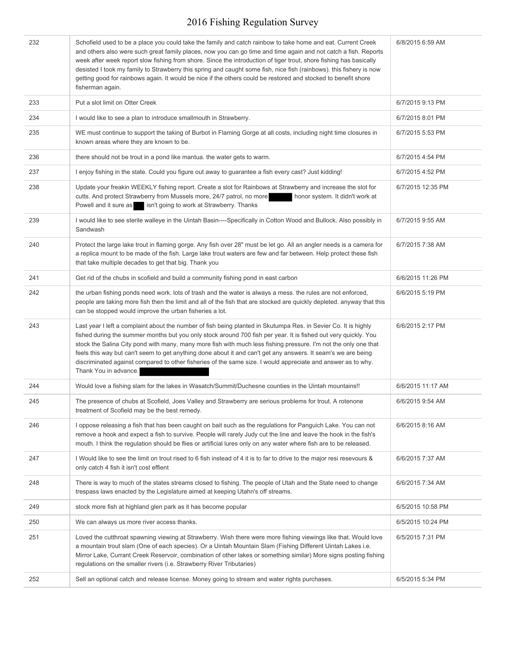| 232 | Schofield used to be a place you could take the family and catch rainbow to take home and eat. Current Creek<br>and others also were such great family places, now you can go time and time again and not catch a fish. Reports<br>week after week report slow fishing from shore. Since the introduction of tiger trout, shore fishing has basically<br>desisted I took my family to Strawberry this spring and caught some fish, nice fish (rainbows). this fishery is now<br>getting good for rainbows again. It would be nice if the others could be restored and stocked to benefit shore<br>fisherman again. | 6/8/2015 6:59 AM  |
|-----|--------------------------------------------------------------------------------------------------------------------------------------------------------------------------------------------------------------------------------------------------------------------------------------------------------------------------------------------------------------------------------------------------------------------------------------------------------------------------------------------------------------------------------------------------------------------------------------------------------------------|-------------------|
| 233 | Put a slot limit on Otter Creek                                                                                                                                                                                                                                                                                                                                                                                                                                                                                                                                                                                    | 6/7/2015 9:13 PM  |
| 234 | I would like to see a plan to introduce smallmouth in Strawberry.                                                                                                                                                                                                                                                                                                                                                                                                                                                                                                                                                  | 6/7/2015 8:01 PM  |
| 235 | WE must continue to support the taking of Burbot in Flaming Gorge at all costs, including night time closures in<br>known areas where they are known to be.                                                                                                                                                                                                                                                                                                                                                                                                                                                        | 6/7/2015 5:53 PM  |
| 236 | there should not be trout in a pond like mantua. the water gets to warm.                                                                                                                                                                                                                                                                                                                                                                                                                                                                                                                                           | 6/7/2015 4:54 PM  |
| 237 | I enjoy fishing in the state. Could you figure out away to guarantee a fish every cast? Just kidding!                                                                                                                                                                                                                                                                                                                                                                                                                                                                                                              | 6/7/2015 4:52 PM  |
| 238 | Update your freakin WEEKLY fishing report. Create a slot for Rainbows at Strawberry and increase the slot for<br>cutts. And protect Strawberry from Mussels more, 24/7 patrol, no more<br>honor system. It didn't work at<br>Powell and it sure as<br>isn't going to work at Strawberry. Thanks                                                                                                                                                                                                                                                                                                                    | 6/7/2015 12:35 PM |
| 239 | I would like to see sterile walleye in the Uintah Basin----Specifically in Cotton Wood and Bullock. Also possibly in<br>Sandwash                                                                                                                                                                                                                                                                                                                                                                                                                                                                                   | 6/7/2015 9:55 AM  |
| 240 | Protect the large lake trout in flaming gorge. Any fish over 28" must be let go. All an angler needs is a camera for<br>a replica mount to be made of the fish. Large lake trout waters are few and far between. Help protect these fish<br>that take multiple decades to get that big. Thank you                                                                                                                                                                                                                                                                                                                  | 6/7/2015 7:38 AM  |
| 241 | Get rid of the chubs in scofield and build a community fishing pond in east carbon                                                                                                                                                                                                                                                                                                                                                                                                                                                                                                                                 | 6/6/2015 11:26 PM |
| 242 | the urban fishing ponds need work. lots of trash and the water is always a mess. the rules are not enforced,<br>people are taking more fish then the limit and all of the fish that are stocked are quickly depleted. anyway that this<br>can be stopped would improve the urban fisheries a lot.                                                                                                                                                                                                                                                                                                                  | 6/6/2015 5:19 PM  |
| 243 | Last year I left a complaint about the number of fish being planted in Skutumpa Res. in Sevier Co. It is highly<br>fished during the summer months but you only stock around 700 fish per year. It is fished out very quickly. You<br>stock the Salina City pond with many, many more fish with much less fishing pressure. I'm not the only one that<br>feels this way but can't seem to get anything done about it and can't get any answers. It seam's we are being<br>discriminated against compared to other fisheries of the same size. I would appreciate and answer as to why.<br>Thank You in advance.    | 6/6/2015 2:17 PM  |
| 244 | Would love a fishing slam for the lakes in Wasatch/Summit/Duchesne counties in the Uintah mountains!!                                                                                                                                                                                                                                                                                                                                                                                                                                                                                                              | 6/6/2015 11:17 AM |
| 245 | The presence of chubs at Scofield, Joes Valley and Strawberry are serious problems for trout. A rotenone<br>treatment of Scofield may be the best remedy.                                                                                                                                                                                                                                                                                                                                                                                                                                                          | 6/6/2015 9:54 AM  |
| 246 | I oppose releasing a fish that has been caught on bait such as the regulations for Panguich Lake. You can not<br>remove a hook and expect a fish to survive. People will rarely Judy cut the line and leave the hook in the fish's<br>mouth. I think the regulation should be flies or artificial lures only on any water where fish are to be released.                                                                                                                                                                                                                                                           | 6/6/2015 8:16 AM  |
| 247 | I Would like to see the limit on trout rised to 6 fish instead of 4 it is to far to drive to the major resi resevours &<br>only catch 4 fish it isn't cost effient                                                                                                                                                                                                                                                                                                                                                                                                                                                 | 6/6/2015 7:37 AM  |
| 248 | There is way to much of the states streams closed to fishing. The people of Utah and the State need to change<br>trespass laws enacted by the Legislature aimed at keeping Utahn's off streams.                                                                                                                                                                                                                                                                                                                                                                                                                    | 6/6/2015 7:34 AM  |
| 249 | stock more fish at highland glen park as it has become popular                                                                                                                                                                                                                                                                                                                                                                                                                                                                                                                                                     | 6/5/2015 10:58 PM |
| 250 | We can always us more river access thanks.                                                                                                                                                                                                                                                                                                                                                                                                                                                                                                                                                                         | 6/5/2015 10:24 PM |
| 251 | Loved the cutthroat spawning viewing at Strawberry. Wish there were more fishing viewings like that. Would love<br>a mountain trout slam (One of each species). Or a Uintah Mountain Slam (Fishing Different Uintah Lakes i.e.<br>Mirror Lake, Currant Creek Reservoir, combination of other lakes or something similar) More signs posting fishing<br>regulations on the smaller rivers (i.e. Strawberry River Tributaries)                                                                                                                                                                                       | 6/5/2015 7:31 PM  |
| 252 | Sell an optional catch and release license. Money going to stream and water rights purchases.                                                                                                                                                                                                                                                                                                                                                                                                                                                                                                                      | 6/5/2015 5:34 PM  |
|     |                                                                                                                                                                                                                                                                                                                                                                                                                                                                                                                                                                                                                    |                   |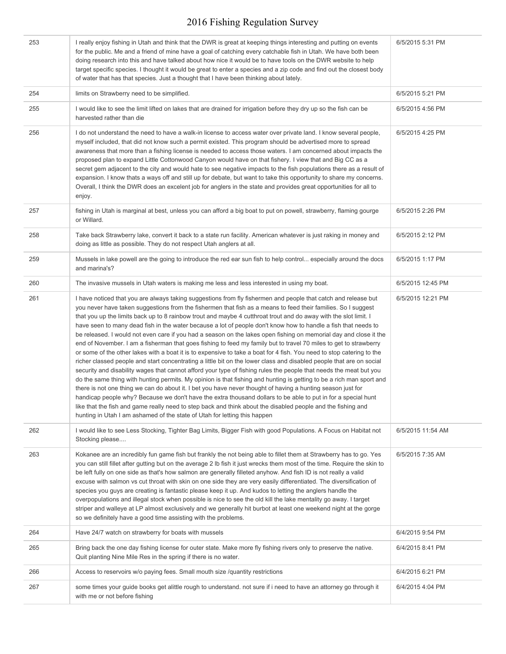| 253 | I really enjoy fishing in Utah and think that the DWR is great at keeping things interesting and putting on events<br>for the public. Me and a friend of mine have a goal of catching every catchable fish in Utah. We have both been<br>doing research into this and have talked about how nice it would be to have tools on the DWR website to help<br>target specific species. I thought it would be great to enter a species and a zip code and find out the closest body<br>of water that has that species. Just a thought that I have been thinking about lately.                                                                                                                                                                                                                                                                                                                                                                                                                                                                                                                                                                                                                                                                                                                                                                                                                                                                                                                                                                                                                                                                     | 6/5/2015 5:31 PM  |
|-----|---------------------------------------------------------------------------------------------------------------------------------------------------------------------------------------------------------------------------------------------------------------------------------------------------------------------------------------------------------------------------------------------------------------------------------------------------------------------------------------------------------------------------------------------------------------------------------------------------------------------------------------------------------------------------------------------------------------------------------------------------------------------------------------------------------------------------------------------------------------------------------------------------------------------------------------------------------------------------------------------------------------------------------------------------------------------------------------------------------------------------------------------------------------------------------------------------------------------------------------------------------------------------------------------------------------------------------------------------------------------------------------------------------------------------------------------------------------------------------------------------------------------------------------------------------------------------------------------------------------------------------------------|-------------------|
| 254 | limits on Strawberry need to be simplified.                                                                                                                                                                                                                                                                                                                                                                                                                                                                                                                                                                                                                                                                                                                                                                                                                                                                                                                                                                                                                                                                                                                                                                                                                                                                                                                                                                                                                                                                                                                                                                                                 | 6/5/2015 5:21 PM  |
| 255 | I would like to see the limit lifted on lakes that are drained for irrigation before they dry up so the fish can be<br>harvested rather than die                                                                                                                                                                                                                                                                                                                                                                                                                                                                                                                                                                                                                                                                                                                                                                                                                                                                                                                                                                                                                                                                                                                                                                                                                                                                                                                                                                                                                                                                                            | 6/5/2015 4:56 PM  |
| 256 | I do not understand the need to have a walk-in license to access water over private land. I know several people,<br>myself included, that did not know such a permit existed. This program should be advertised more to spread<br>awareness that more than a fishing license is needed to access those waters. I am concerned about impacts the<br>proposed plan to expand Little Cottonwood Canyon would have on that fishery. I view that and Big CC as a<br>secret gem adjacent to the city and would hate to see negative impacts to the fish populations there as a result of<br>expansion. I know thats a ways off and still up for debate, but want to take this opportunity to share my concerns.<br>Overall, I think the DWR does an excelent job for anglers in the state and provides great opportunities for all to<br>enjoy.                                                                                                                                                                                                                                                                                                                                                                                                                                                                                                                                                                                                                                                                                                                                                                                                   | 6/5/2015 4:25 PM  |
| 257 | fishing in Utah is marginal at best, unless you can afford a big boat to put on powell, strawberry, flaming gourge<br>or Willard.                                                                                                                                                                                                                                                                                                                                                                                                                                                                                                                                                                                                                                                                                                                                                                                                                                                                                                                                                                                                                                                                                                                                                                                                                                                                                                                                                                                                                                                                                                           | 6/5/2015 2:26 PM  |
| 258 | Take back Strawberry lake, convert it back to a state run facility. American whatever is just raking in money and<br>doing as little as possible. They do not respect Utah anglers at all.                                                                                                                                                                                                                                                                                                                                                                                                                                                                                                                                                                                                                                                                                                                                                                                                                                                                                                                                                                                                                                                                                                                                                                                                                                                                                                                                                                                                                                                  | 6/5/2015 2:12 PM  |
| 259 | Mussels in lake powell are the going to introduce the red ear sun fish to help control especially around the docs<br>and marina's?                                                                                                                                                                                                                                                                                                                                                                                                                                                                                                                                                                                                                                                                                                                                                                                                                                                                                                                                                                                                                                                                                                                                                                                                                                                                                                                                                                                                                                                                                                          | 6/5/2015 1:17 PM  |
| 260 | The invasive mussels in Utah waters is making me less and less interested in using my boat.                                                                                                                                                                                                                                                                                                                                                                                                                                                                                                                                                                                                                                                                                                                                                                                                                                                                                                                                                                                                                                                                                                                                                                                                                                                                                                                                                                                                                                                                                                                                                 | 6/5/2015 12:45 PM |
| 261 | I have noticed that you are always taking suggestions from fly fishermen and people that catch and release but<br>you never have taken suggestions from the fishermen that fish as a means to feed their families. So I suggest<br>that you up the limits back up to 8 rainbow trout and maybe 4 cutthroat trout and do away with the slot limit. I<br>have seen to many dead fish in the water because a lot of people don't know how to handle a fish that needs to<br>be released. I would not even care if you had a season on the lakes open fishing on memorial day and close it the<br>end of November. I am a fisherman that goes fishing to feed my family but to travel 70 miles to get to strawberry<br>or some of the other lakes with a boat it is to expensive to take a boat for 4 fish. You need to stop catering to the<br>richer classed people and start concentrating a little bit on the lower class and disabled people that are on social<br>security and disability wages that cannot afford your type of fishing rules the people that needs the meat but you<br>do the same thing with hunting permits. My opinion is that fishing and hunting is getting to be a rich man sport and<br>there is not one thing we can do about it. I bet you have never thought of having a hunting season just for<br>handicap people why? Because we don't have the extra thousand dollars to be able to put in for a special hunt<br>like that the fish and game really need to step back and think about the disabled people and the fishing and<br>hunting in Utah I am ashamed of the state of Utah for letting this happen | 6/5/2015 12:21 PM |
| 262 | I would like to see Less Stocking, Tighter Bag Limits, Bigger Fish with good Populations. A Focus on Habitat not<br>Stocking please                                                                                                                                                                                                                                                                                                                                                                                                                                                                                                                                                                                                                                                                                                                                                                                                                                                                                                                                                                                                                                                                                                                                                                                                                                                                                                                                                                                                                                                                                                         | 6/5/2015 11:54 AM |
| 263 | Kokanee are an incredibly fun game fish but frankly the not being able to fillet them at Strawberry has to go. Yes<br>you can still fillet after gutting but on the average 2 lb fish it just wrecks them most of the time. Require the skin to<br>be left fully on one side as that's how salmon are generally filleted anyhow. And fish ID is not really a valid<br>excuse with salmon vs cut throat with skin on one side they are very easily differentiated. The diversification of<br>species you guys are creating is fantastic please keep it up. And kudos to letting the anglers handle the<br>overpopulations and illegal stock when possible is nice to see the old kill the lake mentality go away. I target<br>striper and walleye at LP almost exclusively and we generally hit burbot at least one weekend night at the gorge<br>so we definitely have a good time assisting with the problems.                                                                                                                                                                                                                                                                                                                                                                                                                                                                                                                                                                                                                                                                                                                             | 6/5/2015 7:35 AM  |
| 264 | Have 24/7 watch on strawberry for boats with mussels                                                                                                                                                                                                                                                                                                                                                                                                                                                                                                                                                                                                                                                                                                                                                                                                                                                                                                                                                                                                                                                                                                                                                                                                                                                                                                                                                                                                                                                                                                                                                                                        | 6/4/2015 9:54 PM  |
| 265 | Bring back the one day fishing license for outer state. Make more fly fishing rivers only to preserve the native.<br>Quit planting Nine Mile Res in the spring if there is no water.                                                                                                                                                                                                                                                                                                                                                                                                                                                                                                                                                                                                                                                                                                                                                                                                                                                                                                                                                                                                                                                                                                                                                                                                                                                                                                                                                                                                                                                        | 6/4/2015 8:41 PM  |
| 266 | Access to reservoirs w/o paying fees. Small mouth size /quantity restrictions                                                                                                                                                                                                                                                                                                                                                                                                                                                                                                                                                                                                                                                                                                                                                                                                                                                                                                                                                                                                                                                                                                                                                                                                                                                                                                                                                                                                                                                                                                                                                               | 6/4/2015 6:21 PM  |
| 267 | some times your guide books get alittle rough to understand. not sure if i need to have an attorney go through it<br>with me or not before fishing                                                                                                                                                                                                                                                                                                                                                                                                                                                                                                                                                                                                                                                                                                                                                                                                                                                                                                                                                                                                                                                                                                                                                                                                                                                                                                                                                                                                                                                                                          | 6/4/2015 4:04 PM  |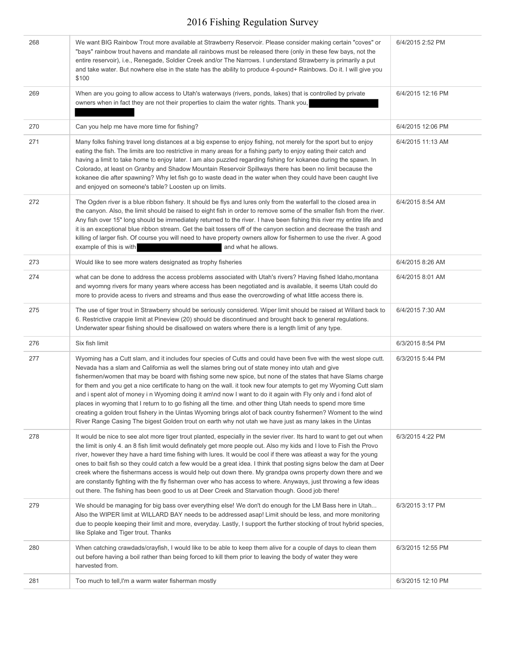| 268 | We want BIG Rainbow Trout more available at Strawberry Reservoir. Please consider making certain "coves" or<br>"bays" rainbow trout havens and mandate all rainbows must be released there (only in these few bays, not the<br>entire reservoir), i.e., Renegade, Soldier Creek and/or The Narrows. I understand Strawberry is primarily a put<br>and take water. But nowhere else in the state has the ability to produce 4-pound+ Rainbows. Do it. I will give you<br>\$100                                                                                                                                                                                                                                                                                                                                                                                                                                                | 6/4/2015 2:52 PM  |
|-----|------------------------------------------------------------------------------------------------------------------------------------------------------------------------------------------------------------------------------------------------------------------------------------------------------------------------------------------------------------------------------------------------------------------------------------------------------------------------------------------------------------------------------------------------------------------------------------------------------------------------------------------------------------------------------------------------------------------------------------------------------------------------------------------------------------------------------------------------------------------------------------------------------------------------------|-------------------|
| 269 | When are you going to allow access to Utah's waterways (rivers, ponds, lakes) that is controlled by private<br>owners when in fact they are not their properties to claim the water rights. Thank you,                                                                                                                                                                                                                                                                                                                                                                                                                                                                                                                                                                                                                                                                                                                       | 6/4/2015 12:16 PM |
| 270 | Can you help me have more time for fishing?                                                                                                                                                                                                                                                                                                                                                                                                                                                                                                                                                                                                                                                                                                                                                                                                                                                                                  | 6/4/2015 12:06 PM |
| 271 | Many folks fishing travel long distances at a big expense to enjoy fishing, not merely for the sport but to enjoy<br>eating the fish. The limits are too restrictive in many areas for a fishing party to enjoy eating their catch and<br>having a limit to take home to enjoy later. I am also puzzled regarding fishing for kokanee during the spawn. In<br>Colorado, at least on Granby and Shadow Mountain Reservoir Spillways there has been no limit because the<br>kokanee die after spawning? Why let fish go to waste dead in the water when they could have been caught live<br>and enjoyed on someone's table? Loosten up on limits.                                                                                                                                                                                                                                                                              | 6/4/2015 11:13 AM |
| 272 | The Ogden river is a blue ribbon fishery. It should be flys and lures only from the waterfall to the closed area in<br>the canyon. Also, the limit should be raised to eight fish in order to remove some of the smaller fish from the river.<br>Any fish over 15" long should be immediately returned to the river. I have been fishing this river my entire life and<br>it is an exceptional blue ribbon stream. Get the bait tossers off of the canyon section and decrease the trash and<br>killing of larger fish. Of course you will need to have property owners allow for fishermen to use the river. A good<br>example of this is with<br>and what he allows.                                                                                                                                                                                                                                                       | 6/4/2015 8:54 AM  |
| 273 | Would like to see more waters designated as trophy fisheries                                                                                                                                                                                                                                                                                                                                                                                                                                                                                                                                                                                                                                                                                                                                                                                                                                                                 | 6/4/2015 8:26 AM  |
| 274 | what can be done to address the access problems associated with Utah's rivers? Having fished Idaho, montana<br>and wyomng rivers for many years where access has been negotiated and is available, it seems Utah could do<br>more to provide acess to rivers and streams and thus ease the overcrowding of what little access there is.                                                                                                                                                                                                                                                                                                                                                                                                                                                                                                                                                                                      | 6/4/2015 8:01 AM  |
| 275 | The use of tiger trout in Strawberry should be seriously considered. Wiper limit should be raised at Willard back to<br>6. Restrictive crappie limit at Pineview (20) should be discontinued and brought back to general regulations.<br>Underwater spear fishing should be disallowed on waters where there is a length limit of any type.                                                                                                                                                                                                                                                                                                                                                                                                                                                                                                                                                                                  | 6/4/2015 7:30 AM  |
| 276 | Six fish limit                                                                                                                                                                                                                                                                                                                                                                                                                                                                                                                                                                                                                                                                                                                                                                                                                                                                                                               | 6/3/2015 8:54 PM  |
| 277 | Wyoming has a Cutt slam, and it includes four species of Cutts and could have been five with the west slope cutt.<br>Nevada has a slam and California as well the slames bring out of state money into utah and give<br>fishermen/women that may be board with fishing some new spice, but none of the states that have Slams charge<br>for them and you get a nice certificate to hang on the wall. it took new four atempts to get my Wyoming Cutt slam<br>and i spent alot of money i n Wyoming doing it am\nd now I want to do it again with Fly only and i fond alot of<br>places in wyoming that I return to to go fishing all the time, and other thing Utah needs to spend more time<br>creating a golden trout fishery in the Uintas Wyoming brings alot of back country fishermen? Woment to the wind<br>River Range Casing The bigest Golden trout on earth why not utah we have just as many lakes in the Uintas | 6/3/2015 5:44 PM  |
| 278 | It would be nice to see alot more tiger trout planted, especially in the sevier river. Its hard to want to get out when<br>the limit is only 4. an 8 fish limit would definately get more people out. Also my kids and I love to Fish the Provo<br>river, however they have a hard time fishing with lures. It would be cool if there was atleast a way for the young<br>ones to bait fish so they could catch a few would be a great idea. I think that posting signs below the dam at Deer<br>creek where the fishermans access is would help out down there. My grandpa owns property down there and we<br>are constantly fighting with the fly fisherman over who has access to where. Anyways, just throwing a few ideas<br>out there. The fishing has been good to us at Deer Creek and Starvation though. Good job there!                                                                                             | 6/3/2015 4:22 PM  |
| 279 | We should be managing for big bass over everything else! We don't do enough for the LM Bass here in Utah<br>Also the WIPER limit at WILLARD BAY needs to be addressed asap! Limit should be less, and more monitoring<br>due to people keeping their limit and more, everyday. Lastly, I support the further stocking of trout hybrid species,<br>like Splake and Tiger trout. Thanks                                                                                                                                                                                                                                                                                                                                                                                                                                                                                                                                        | 6/3/2015 3:17 PM  |
| 280 | When catching crawdads/crayfish, I would like to be able to keep them alive for a couple of days to clean them<br>out before having a boil rather than being forced to kill them prior to leaving the body of water they were<br>harvested from.                                                                                                                                                                                                                                                                                                                                                                                                                                                                                                                                                                                                                                                                             | 6/3/2015 12:55 PM |
| 281 | Too much to tell, I'm a warm water fisherman mostly                                                                                                                                                                                                                                                                                                                                                                                                                                                                                                                                                                                                                                                                                                                                                                                                                                                                          | 6/3/2015 12:10 PM |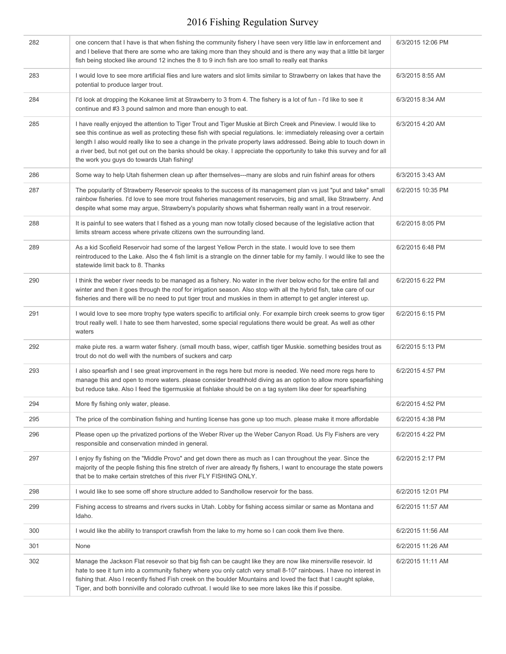| 282 | one concern that I have is that when fishing the community fishery I have seen very little law in enforcement and<br>and I believe that there are some who are taking more than they should and is there any way that a little bit larger<br>fish being stocked like around 12 inches the 8 to 9 inch fish are too small to really eat thanks                                                                                                                                                                                            | 6/3/2015 12:06 PM |
|-----|------------------------------------------------------------------------------------------------------------------------------------------------------------------------------------------------------------------------------------------------------------------------------------------------------------------------------------------------------------------------------------------------------------------------------------------------------------------------------------------------------------------------------------------|-------------------|
| 283 | I would love to see more artificial flies and lure waters and slot limits similar to Strawberry on lakes that have the<br>potential to produce larger trout.                                                                                                                                                                                                                                                                                                                                                                             | 6/3/2015 8:55 AM  |
| 284 | I'd look at dropping the Kokanee limit at Strawberry to 3 from 4. The fishery is a lot of fun - I'd like to see it<br>continue and #3 3 pound salmon and more than enough to eat.                                                                                                                                                                                                                                                                                                                                                        | 6/3/2015 8:34 AM  |
| 285 | I have really enjoyed the attention to Tiger Trout and Tiger Muskie at Birch Creek and Pineview. I would like to<br>see this continue as well as protecting these fish with special regulations. Ie: immediately releasing over a certain<br>length I also would really like to see a change in the private property laws addressed. Being able to touch down in<br>a river bed, but not get out on the banks should be okay. I appreciate the opportunity to take this survey and for all<br>the work you guys do towards Utah fishing! | 6/3/2015 4:20 AM  |
| 286 | Some way to help Utah fishermen clean up after themselves---many are slobs and ruin fishinf areas for others                                                                                                                                                                                                                                                                                                                                                                                                                             | 6/3/2015 3:43 AM  |
| 287 | The popularity of Strawberry Reservoir speaks to the success of its management plan vs just "put and take" small<br>rainbow fisheries. I'd love to see more trout fisheries management reservoirs, big and small, like Strawberry. And<br>despite what some may argue, Strawberry's popularity shows what fisherman really want in a trout reservoir.                                                                                                                                                                                    | 6/2/2015 10:35 PM |
| 288 | It is painful to see waters that I fished as a young man now totally closed because of the legislative action that<br>limits stream access where private citizens own the surrounding land.                                                                                                                                                                                                                                                                                                                                              | 6/2/2015 8:05 PM  |
| 289 | As a kid Scofield Reservoir had some of the largest Yellow Perch in the state. I would love to see them<br>reintroduced to the Lake. Also the 4 fish limit is a strangle on the dinner table for my family. I would like to see the<br>statewide limit back to 8. Thanks                                                                                                                                                                                                                                                                 | 6/2/2015 6:48 PM  |
| 290 | I think the weber river needs to be managed as a fishery. No water in the river below echo for the entire fall and<br>winter and then it goes through the roof for irrigation season. Also stop with all the hybrid fish, take care of our<br>fisheries and there will be no need to put tiger trout and muskies in them in attempt to get angler interest up.                                                                                                                                                                           | 6/2/2015 6:22 PM  |
| 291 | I would love to see more trophy type waters specific to artificial only. For example birch creek seems to grow tiger<br>trout really well. I hate to see them harvested, some special regulations there would be great. As well as other<br>waters                                                                                                                                                                                                                                                                                       | 6/2/2015 6:15 PM  |
| 292 | make piute res. a warm water fishery. (small mouth bass, wiper, catfish tiger Muskie. something besides trout as<br>trout do not do well with the numbers of suckers and carp                                                                                                                                                                                                                                                                                                                                                            | 6/2/2015 5:13 PM  |
| 293 | I also spearfish and I see great improvement in the regs here but more is needed. We need more regs here to<br>manage this and open to more waters. please consider breathhold diving as an option to allow more spearfishing<br>but reduce take. Also I feed the tigermuskie at fishlake should be on a tag system like deer for spearfishing                                                                                                                                                                                           | 6/2/2015 4:57 PM  |
| 294 | More fly fishing only water, please.                                                                                                                                                                                                                                                                                                                                                                                                                                                                                                     | 6/2/2015 4:52 PM  |
| 295 | The price of the combination fishing and hunting license has gone up too much, please make it more affordable                                                                                                                                                                                                                                                                                                                                                                                                                            | 6/2/2015 4:38 PM  |
| 296 | Please open up the privatized portions of the Weber River up the Weber Canyon Road. Us Fly Fishers are very<br>responsible and conservation minded in general.                                                                                                                                                                                                                                                                                                                                                                           | 6/2/2015 4:22 PM  |
| 297 | I enjoy fly fishing on the "Middle Provo" and get down there as much as I can throughout the year. Since the<br>majority of the people fishing this fine stretch of river are already fly fishers, I want to encourage the state powers<br>that be to make certain stretches of this river FLY FISHING ONLY.                                                                                                                                                                                                                             | 6/2/2015 2:17 PM  |
| 298 | I would like to see some off shore structure added to Sandhollow reservoir for the bass.                                                                                                                                                                                                                                                                                                                                                                                                                                                 | 6/2/2015 12:01 PM |
| 299 | Fishing access to streams and rivers sucks in Utah. Lobby for fishing access similar or same as Montana and<br>Idaho.                                                                                                                                                                                                                                                                                                                                                                                                                    | 6/2/2015 11:57 AM |
| 300 | I would like the ability to transport crawfish from the lake to my home so I can cook them live there.                                                                                                                                                                                                                                                                                                                                                                                                                                   | 6/2/2015 11:56 AM |
| 301 | None                                                                                                                                                                                                                                                                                                                                                                                                                                                                                                                                     | 6/2/2015 11:26 AM |
| 302 | Manage the Jackson Flat resevoir so that big fish can be caught like they are now like minersville resevoir. Id<br>hate to see it turn into a community fishery where you only catch very small 8-10" rainbows. I have no interest in<br>fishing that. Also I recently fished Fish creek on the boulder Mountains and loved the fact that I caught splake,<br>Tiger, and both bonniville and colorado cuthroat. I would like to see more lakes like this if possibe.                                                                     | 6/2/2015 11:11 AM |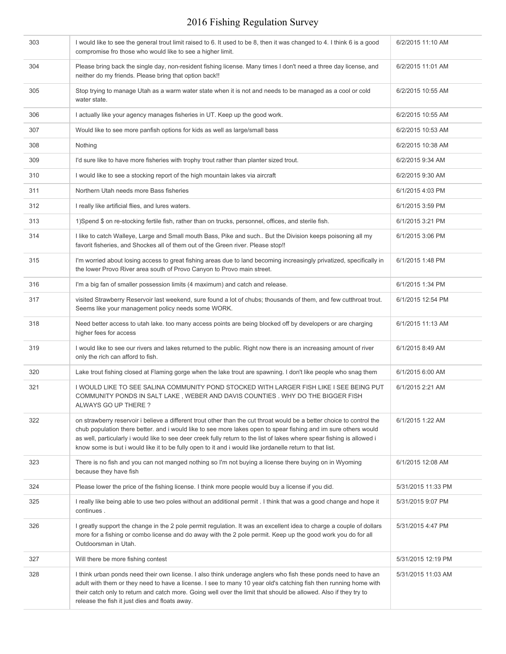| 303 | I would like to see the general trout limit raised to 6. It used to be 8, then it was changed to 4. I think 6 is a good<br>compromise fro those who would like to see a higher limit.                                                                                                                                                                                                                                                                                           | 6/2/2015 11:10 AM  |
|-----|---------------------------------------------------------------------------------------------------------------------------------------------------------------------------------------------------------------------------------------------------------------------------------------------------------------------------------------------------------------------------------------------------------------------------------------------------------------------------------|--------------------|
| 304 | Please bring back the single day, non-resident fishing license. Many times I don't need a three day license, and<br>neither do my friends. Please bring that option back!!                                                                                                                                                                                                                                                                                                      | 6/2/2015 11:01 AM  |
| 305 | Stop trying to manage Utah as a warm water state when it is not and needs to be managed as a cool or cold<br>water state.                                                                                                                                                                                                                                                                                                                                                       | 6/2/2015 10:55 AM  |
| 306 | I actually like your agency manages fisheries in UT. Keep up the good work.                                                                                                                                                                                                                                                                                                                                                                                                     | 6/2/2015 10:55 AM  |
| 307 | Would like to see more panfish options for kids as well as large/small bass                                                                                                                                                                                                                                                                                                                                                                                                     | 6/2/2015 10:53 AM  |
| 308 | Nothing                                                                                                                                                                                                                                                                                                                                                                                                                                                                         | 6/2/2015 10:38 AM  |
| 309 | I'd sure like to have more fisheries with trophy trout rather than planter sized trout.                                                                                                                                                                                                                                                                                                                                                                                         | 6/2/2015 9:34 AM   |
| 310 | I would like to see a stocking report of the high mountain lakes via aircraft                                                                                                                                                                                                                                                                                                                                                                                                   | 6/2/2015 9:30 AM   |
| 311 | Northern Utah needs more Bass fisheries                                                                                                                                                                                                                                                                                                                                                                                                                                         | 6/1/2015 4:03 PM   |
| 312 | I really like artificial flies, and lures waters.                                                                                                                                                                                                                                                                                                                                                                                                                               | 6/1/2015 3:59 PM   |
| 313 | 1) Spend \$ on re-stocking fertile fish, rather than on trucks, personnel, offices, and sterile fish.                                                                                                                                                                                                                                                                                                                                                                           | 6/1/2015 3:21 PM   |
| 314 | I like to catch Walleye, Large and Small mouth Bass, Pike and such But the Division keeps poisoning all my<br>favorit fisheries, and Shockes all of them out of the Green river. Please stop!!                                                                                                                                                                                                                                                                                  | 6/1/2015 3:06 PM   |
| 315 | I'm worried about losing access to great fishing areas due to land becoming increasingly privatized, specifically in<br>the lower Provo River area south of Provo Canyon to Provo main street.                                                                                                                                                                                                                                                                                  | 6/1/2015 1:48 PM   |
| 316 | I'm a big fan of smaller possession limits (4 maximum) and catch and release.                                                                                                                                                                                                                                                                                                                                                                                                   | 6/1/2015 1:34 PM   |
| 317 | visited Strawberry Reservoir last weekend, sure found a lot of chubs; thousands of them, and few cutthroat trout.<br>Seems like your management policy needs some WORK.                                                                                                                                                                                                                                                                                                         | 6/1/2015 12:54 PM  |
| 318 | Need better access to utah lake. too many access points are being blocked off by developers or are charging<br>higher fees for access                                                                                                                                                                                                                                                                                                                                           | 6/1/2015 11:13 AM  |
| 319 | I would like to see our rivers and lakes returned to the public. Right now there is an increasing amount of river<br>only the rich can afford to fish.                                                                                                                                                                                                                                                                                                                          | 6/1/2015 8:49 AM   |
| 320 | Lake trout fishing closed at Flaming gorge when the lake trout are spawning. I don't like people who snag them                                                                                                                                                                                                                                                                                                                                                                  | 6/1/2015 6:00 AM   |
| 321 | I WOULD LIKE TO SEE SALINA COMMUNITY POND STOCKED WITH LARGER FISH LIKE I SEE BEING PUT<br>COMMUNITY PONDS IN SALT LAKE, WEBER AND DAVIS COUNTIES. WHY DO THE BIGGER FISH<br>ALWAYS GO UP THERE ?                                                                                                                                                                                                                                                                               | 6/1/2015 2:21 AM   |
| 322 | on strawberry reservoir i believe a different trout other than the cut throat would be a better choice to control the<br>chub population there better. and i would like to see more lakes open to spear fishing and im sure others would<br>as well, particularly i would like to see deer creek fully return to the list of lakes where spear fishing is allowed i<br>know some is but i would like it to be fully open to it and i would like jordanelle return to that list. | 6/1/2015 1:22 AM   |
| 323 | There is no fish and you can not manged nothing so I'm not buying a license there buying on in Wyoming<br>because they have fish                                                                                                                                                                                                                                                                                                                                                | 6/1/2015 12:08 AM  |
| 324 | Please lower the price of the fishing license. I think more people would buy a license if you did.                                                                                                                                                                                                                                                                                                                                                                              | 5/31/2015 11:33 PM |
| 325 | I really like being able to use two poles without an additional permit . I think that was a good change and hope it<br>continues.                                                                                                                                                                                                                                                                                                                                               | 5/31/2015 9:07 PM  |
| 326 | I greatly support the change in the 2 pole permit regulation. It was an excellent idea to charge a couple of dollars<br>more for a fishing or combo license and do away with the 2 pole permit. Keep up the good work you do for all<br>Outdoorsman in Utah.                                                                                                                                                                                                                    | 5/31/2015 4:47 PM  |
| 327 | Will there be more fishing contest                                                                                                                                                                                                                                                                                                                                                                                                                                              | 5/31/2015 12:19 PM |
| 328 | I think urban ponds need their own license. I also think underage anglers who fish these ponds need to have an<br>adult with them or they need to have a license. I see to many 10 year old's catching fish then running home with<br>their catch only to return and catch more. Going well over the limit that should be allowed. Also if they try to<br>release the fish it just dies and floats away.                                                                        | 5/31/2015 11:03 AM |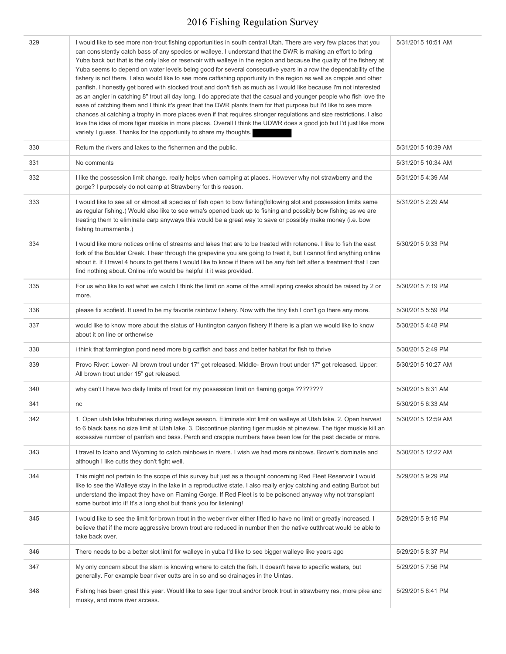| 329 | I would like to see more non-trout fishing opportunities in south central Utah. There are very few places that you<br>can consistently catch bass of any species or walleye. I understand that the DWR is making an effort to bring<br>Yuba back but that is the only lake or reservoir with walleye in the region and because the quality of the fishery at<br>Yuba seems to depend on water levels being good for several consecutive years in a row the dependability of the<br>fishery is not there. I also would like to see more catfishing opportunity in the region as well as crappie and other<br>panfish. I honestly get bored with stocked trout and don't fish as much as I would like because I'm not interested<br>as an angler in catching 8" trout all day long. I do appreciate that the casual and younger people who fish love the<br>ease of catching them and I think it's great that the DWR plants them for that purpose but I'd like to see more<br>chances at catching a trophy in more places even if that requires stronger regulations and size restrictions. I also<br>love the idea of more tiger muskie in more places. Overall I think the UDWR does a good job but I'd just like more<br>variety I guess. Thanks for the opportunity to share my thoughts. | 5/31/2015 10:51 AM |
|-----|----------------------------------------------------------------------------------------------------------------------------------------------------------------------------------------------------------------------------------------------------------------------------------------------------------------------------------------------------------------------------------------------------------------------------------------------------------------------------------------------------------------------------------------------------------------------------------------------------------------------------------------------------------------------------------------------------------------------------------------------------------------------------------------------------------------------------------------------------------------------------------------------------------------------------------------------------------------------------------------------------------------------------------------------------------------------------------------------------------------------------------------------------------------------------------------------------------------------------------------------------------------------------------------------|--------------------|
| 330 | Return the rivers and lakes to the fishermen and the public.                                                                                                                                                                                                                                                                                                                                                                                                                                                                                                                                                                                                                                                                                                                                                                                                                                                                                                                                                                                                                                                                                                                                                                                                                                 | 5/31/2015 10:39 AM |
| 331 | No comments                                                                                                                                                                                                                                                                                                                                                                                                                                                                                                                                                                                                                                                                                                                                                                                                                                                                                                                                                                                                                                                                                                                                                                                                                                                                                  | 5/31/2015 10:34 AM |
| 332 | I like the possession limit change. really helps when camping at places. However why not strawberry and the<br>gorge? I purposely do not camp at Strawberry for this reason.                                                                                                                                                                                                                                                                                                                                                                                                                                                                                                                                                                                                                                                                                                                                                                                                                                                                                                                                                                                                                                                                                                                 | 5/31/2015 4:39 AM  |
| 333 | I would like to see all or almost all species of fish open to bow fishing(following slot and possession limits same<br>as regular fishing.) Would also like to see wma's opened back up to fishing and possibly bow fishing as we are<br>treating them to eliminate carp anyways this would be a great way to save or possibly make money (i.e. bow<br>fishing tournaments.)                                                                                                                                                                                                                                                                                                                                                                                                                                                                                                                                                                                                                                                                                                                                                                                                                                                                                                                 | 5/31/2015 2:29 AM  |
| 334 | I would like more notices online of streams and lakes that are to be treated with rotenone. I like to fish the east<br>fork of the Boulder Creek. I hear through the grapevine you are going to treat it, but I cannot find anything online<br>about it. If I travel 4 hours to get there I would like to know if there will be any fish left after a treatment that I can<br>find nothing about. Online info would be helpful it it was provided.                                                                                                                                                                                                                                                                                                                                                                                                                                                                                                                                                                                                                                                                                                                                                                                                                                           | 5/30/2015 9:33 PM  |
| 335 | For us who like to eat what we catch I think the limit on some of the small spring creeks should be raised by 2 or<br>more.                                                                                                                                                                                                                                                                                                                                                                                                                                                                                                                                                                                                                                                                                                                                                                                                                                                                                                                                                                                                                                                                                                                                                                  | 5/30/2015 7:19 PM  |
| 336 | please fix scofield. It used to be my favorite rainbow fishery. Now with the tiny fish I don't go there any more.                                                                                                                                                                                                                                                                                                                                                                                                                                                                                                                                                                                                                                                                                                                                                                                                                                                                                                                                                                                                                                                                                                                                                                            | 5/30/2015 5:59 PM  |
| 337 | would like to know more about the status of Huntington canyon fishery If there is a plan we would like to know<br>about it on line or ortherwise                                                                                                                                                                                                                                                                                                                                                                                                                                                                                                                                                                                                                                                                                                                                                                                                                                                                                                                                                                                                                                                                                                                                             | 5/30/2015 4:48 PM  |
| 338 | i think that farmington pond need more big catfish and bass and better habitat for fish to thrive                                                                                                                                                                                                                                                                                                                                                                                                                                                                                                                                                                                                                                                                                                                                                                                                                                                                                                                                                                                                                                                                                                                                                                                            | 5/30/2015 2:49 PM  |
| 339 | Provo River: Lower- All brown trout under 17" get released. Middle- Brown trout under 17" get released. Upper:<br>All brown trout under 15" get released.                                                                                                                                                                                                                                                                                                                                                                                                                                                                                                                                                                                                                                                                                                                                                                                                                                                                                                                                                                                                                                                                                                                                    | 5/30/2015 10:27 AM |
| 340 | why can't I have two daily limits of trout for my possession limit on flaming gorge ????????                                                                                                                                                                                                                                                                                                                                                                                                                                                                                                                                                                                                                                                                                                                                                                                                                                                                                                                                                                                                                                                                                                                                                                                                 | 5/30/2015 8:31 AM  |
| 341 | nc                                                                                                                                                                                                                                                                                                                                                                                                                                                                                                                                                                                                                                                                                                                                                                                                                                                                                                                                                                                                                                                                                                                                                                                                                                                                                           | 5/30/2015 6:33 AM  |
| 342 | 1. Open utah lake tributaries during walleye season. Eliminate slot limit on walleye at Utah lake. 2. Open harvest<br>to 6 black bass no size limit at Utah lake. 3. Discontinue planting tiger muskie at pineview. The tiger muskie kill an<br>excessive number of panfish and bass. Perch and crappie numbers have been low for the past decade or more.                                                                                                                                                                                                                                                                                                                                                                                                                                                                                                                                                                                                                                                                                                                                                                                                                                                                                                                                   | 5/30/2015 12:59 AM |
| 343 | I travel to Idaho and Wyoming to catch rainbows in rivers. I wish we had more rainbows. Brown's dominate and<br>although I like cutts they don't fight well.                                                                                                                                                                                                                                                                                                                                                                                                                                                                                                                                                                                                                                                                                                                                                                                                                                                                                                                                                                                                                                                                                                                                 | 5/30/2015 12:22 AM |
| 344 | This might not pertain to the scope of this survey but just as a thought concerning Red Fleet Reservoir I would<br>like to see the Walleye stay in the lake in a reproductive state. I also really enjoy catching and eating Burbot but<br>understand the impact they have on Flaming Gorge. If Red Fleet is to be poisoned anyway why not transplant<br>some burbot into it! It's a long shot but thank you for listening!                                                                                                                                                                                                                                                                                                                                                                                                                                                                                                                                                                                                                                                                                                                                                                                                                                                                  | 5/29/2015 9:29 PM  |
| 345 | I would like to see the limit for brown trout in the weber river either lifted to have no limit or greatly increased. I<br>believe that if the more aggressive brown trout are reduced in number then the native cutthroat would be able to<br>take back over.                                                                                                                                                                                                                                                                                                                                                                                                                                                                                                                                                                                                                                                                                                                                                                                                                                                                                                                                                                                                                               | 5/29/2015 9:15 PM  |
| 346 | There needs to be a better slot limit for walleye in yuba I'd like to see bigger walleye like years ago                                                                                                                                                                                                                                                                                                                                                                                                                                                                                                                                                                                                                                                                                                                                                                                                                                                                                                                                                                                                                                                                                                                                                                                      | 5/29/2015 8:37 PM  |
| 347 | My only concern about the slam is knowing where to catch the fish. It doesn't have to specific waters, but<br>generally. For example bear river cutts are in so and so drainages in the Uintas.                                                                                                                                                                                                                                                                                                                                                                                                                                                                                                                                                                                                                                                                                                                                                                                                                                                                                                                                                                                                                                                                                              | 5/29/2015 7:56 PM  |
| 348 | Fishing has been great this year. Would like to see tiger trout and/or brook trout in strawberry res, more pike and<br>musky, and more river access.                                                                                                                                                                                                                                                                                                                                                                                                                                                                                                                                                                                                                                                                                                                                                                                                                                                                                                                                                                                                                                                                                                                                         | 5/29/2015 6:41 PM  |
|     |                                                                                                                                                                                                                                                                                                                                                                                                                                                                                                                                                                                                                                                                                                                                                                                                                                                                                                                                                                                                                                                                                                                                                                                                                                                                                              |                    |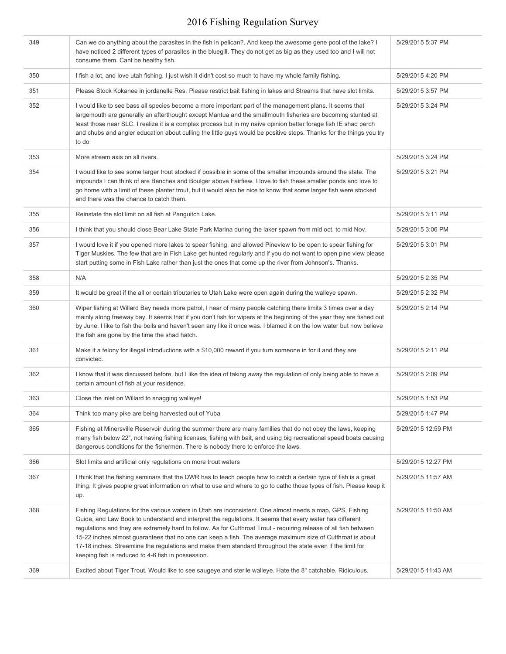| 349 | Can we do anything about the parasites in the fish in pelican?. And keep the awesome gene pool of the lake? I<br>have noticed 2 different types of parasites in the bluegill. They do not get as big as they used too and I will not<br>consume them. Cant be healthy fish.                                                                                                                                                                                                                                                                                                                                                  | 5/29/2015 5:37 PM  |
|-----|------------------------------------------------------------------------------------------------------------------------------------------------------------------------------------------------------------------------------------------------------------------------------------------------------------------------------------------------------------------------------------------------------------------------------------------------------------------------------------------------------------------------------------------------------------------------------------------------------------------------------|--------------------|
| 350 | I fish a lot, and love utah fishing. I just wish it didn't cost so much to have my whole family fishing.                                                                                                                                                                                                                                                                                                                                                                                                                                                                                                                     | 5/29/2015 4:20 PM  |
| 351 | Please Stock Kokanee in jordanelle Res. Please restrict bait fishing in lakes and Streams that have slot limits.                                                                                                                                                                                                                                                                                                                                                                                                                                                                                                             | 5/29/2015 3:57 PM  |
| 352 | I would like to see bass all species become a more important part of the management plans. It seems that<br>largemouth are generally an afterthought except Mantua and the smallmouth fisheries are becoming stunted at<br>least those near SLC. I realize it is a complex process but in my naive opinion better forage fish IE shad perch<br>and chubs and angler education about culling the little guys would be positive steps. Thanks for the things you try<br>to do                                                                                                                                                  | 5/29/2015 3:24 PM  |
| 353 | More stream axis on all rivers.                                                                                                                                                                                                                                                                                                                                                                                                                                                                                                                                                                                              | 5/29/2015 3:24 PM  |
| 354 | I would like to see some larger trout stocked if possible in some of the smaller impounds around the state. The<br>impounds I can think of are Benches and Boulger above Fairfiew. I love to fish these smaller ponds and love to<br>go home with a limit of these planter trout, but it would also be nice to know that some larger fish were stocked<br>and there was the chance to catch them.                                                                                                                                                                                                                            | 5/29/2015 3:21 PM  |
| 355 | Reinstate the slot limit on all fish at Panguitch Lake.                                                                                                                                                                                                                                                                                                                                                                                                                                                                                                                                                                      | 5/29/2015 3:11 PM  |
| 356 | I think that you should close Bear Lake State Park Marina during the laker spawn from mid oct. to mid Nov.                                                                                                                                                                                                                                                                                                                                                                                                                                                                                                                   | 5/29/2015 3:06 PM  |
| 357 | I would love it if you opened more lakes to spear fishing, and allowed Pineview to be open to spear fishing for<br>Tiger Muskies. The few that are in Fish Lake get hunted regularly and if you do not want to open pine view please<br>start putting some in Fish Lake rather than just the ones that come up the river from Johnson's. Thanks.                                                                                                                                                                                                                                                                             | 5/29/2015 3:01 PM  |
| 358 | N/A                                                                                                                                                                                                                                                                                                                                                                                                                                                                                                                                                                                                                          | 5/29/2015 2:35 PM  |
| 359 | It would be great if the all or certain tributaries to Utah Lake were open again during the walleye spawn.                                                                                                                                                                                                                                                                                                                                                                                                                                                                                                                   | 5/29/2015 2:32 PM  |
| 360 | Wiper fishing at Willard Bay needs more patrol, I hear of many people catching there limits 3 times over a day<br>mainly along freeway bay. It seems that if you don't fish for wipers at the beginning of the year they are fished out<br>by June. I like to fish the boils and haven't seen any like it once was. I blamed it on the low water but now believe<br>the fish are gone by the time the shad hatch.                                                                                                                                                                                                            | 5/29/2015 2:14 PM  |
| 361 | Make it a felony for illegal introductions with a \$10,000 reward if you turn someone in for it and they are<br>convicted.                                                                                                                                                                                                                                                                                                                                                                                                                                                                                                   | 5/29/2015 2:11 PM  |
| 362 | I know that it was discussed before, but I like the idea of taking away the regulation of only being able to have a<br>certain amount of fish at your residence.                                                                                                                                                                                                                                                                                                                                                                                                                                                             | 5/29/2015 2:09 PM  |
| 363 | Close the inlet on Willard to snagging walleye!                                                                                                                                                                                                                                                                                                                                                                                                                                                                                                                                                                              | 5/29/2015 1:53 PM  |
| 364 | Think too many pike are being harvested out of Yuba                                                                                                                                                                                                                                                                                                                                                                                                                                                                                                                                                                          | 5/29/2015 1:47 PM  |
| 365 | Fishing at Minersville Reservoir during the summer there are many families that do not obey the laws, keeping<br>many fish below 22", not having fishing licenses, fishing with bait, and using big recreational speed boats causing<br>dangerous conditions for the fishermen. There is nobody there to enforce the laws.                                                                                                                                                                                                                                                                                                   | 5/29/2015 12:59 PM |
| 366 | Slot limits and artificial only regulations on more trout waters                                                                                                                                                                                                                                                                                                                                                                                                                                                                                                                                                             | 5/29/2015 12:27 PM |
| 367 | I think that the fishing seminars that the DWR has to teach people how to catch a certain type of fish is a great<br>thing. It gives people great information on what to use and where to go to cathc those types of fish. Please keep it<br>up.                                                                                                                                                                                                                                                                                                                                                                             | 5/29/2015 11:57 AM |
| 368 | Fishing Regulations for the various waters in Utah are inconsistent. One almost needs a map, GPS, Fishing<br>Guide, and Law Book to understand and interpret the regulations. It seems that every water has different<br>regulations and they are extremely hard to follow. As for Cutthroat Trout - requiring release of all fish between<br>15-22 inches almost guarantees that no one can keep a fish. The average maximum size of Cutthroat is about<br>17-18 inches. Streamline the regulations and make them standard throughout the state even if the limit for<br>keeping fish is reduced to 4-6 fish in possession. | 5/29/2015 11:50 AM |
| 369 | Excited about Tiger Trout. Would like to see saugeye and sterile walleye. Hate the 8" catchable. Ridiculous.                                                                                                                                                                                                                                                                                                                                                                                                                                                                                                                 | 5/29/2015 11:43 AM |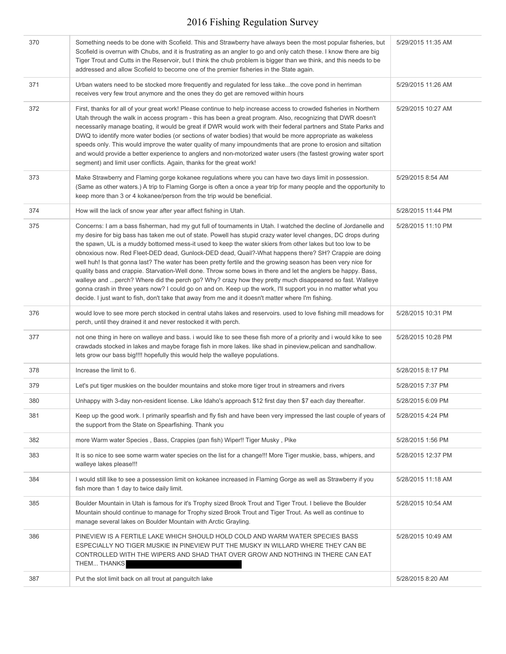| 370 | Something needs to be done with Scofield. This and Strawberry have always been the most popular fisheries, but<br>Scofield is overrun with Chubs, and it is frustrating as an angler to go and only catch these. I know there are big<br>Tiger Trout and Cutts in the Reservoir, but I think the chub problem is bigger than we think, and this needs to be<br>addressed and allow Scofield to become one of the premier fisheries in the State again.                                                                                                                                                                                                                                                                                                                                                                                                                                                                                                                                                                         | 5/29/2015 11:35 AM |
|-----|--------------------------------------------------------------------------------------------------------------------------------------------------------------------------------------------------------------------------------------------------------------------------------------------------------------------------------------------------------------------------------------------------------------------------------------------------------------------------------------------------------------------------------------------------------------------------------------------------------------------------------------------------------------------------------------------------------------------------------------------------------------------------------------------------------------------------------------------------------------------------------------------------------------------------------------------------------------------------------------------------------------------------------|--------------------|
| 371 | Urban waters need to be stocked more frequently and regulated for less takethe cove pond in herriman<br>receives very few trout anymore and the ones they do get are removed within hours                                                                                                                                                                                                                                                                                                                                                                                                                                                                                                                                                                                                                                                                                                                                                                                                                                      | 5/29/2015 11:26 AM |
| 372 | First, thanks for all of your great work! Please continue to help increase access to crowded fisheries in Northern<br>Utah through the walk in access program - this has been a great program. Also, recognizing that DWR doesn't<br>necessarily manage boating, it would be great if DWR would work with their federal partners and State Parks and<br>DWQ to identify more water bodies (or sections of water bodies) that would be more appropriate as wakeless<br>speeds only. This would improve the water quality of many impoundments that are prone to erosion and siltation<br>and would provide a better experience to anglers and non-motorized water users (the fastest growing water sport<br>segment) and limit user conflicts. Again, thanks for the great work!                                                                                                                                                                                                                                                | 5/29/2015 10:27 AM |
| 373 | Make Strawberry and Flaming gorge kokanee regulations where you can have two days limit in possession.<br>(Same as other waters.) A trip to Flaming Gorge is often a once a year trip for many people and the opportunity to<br>keep more than 3 or 4 kokanee/person from the trip would be beneficial.                                                                                                                                                                                                                                                                                                                                                                                                                                                                                                                                                                                                                                                                                                                        | 5/29/2015 8:54 AM  |
| 374 | How will the lack of snow year after year affect fishing in Utah.                                                                                                                                                                                                                                                                                                                                                                                                                                                                                                                                                                                                                                                                                                                                                                                                                                                                                                                                                              | 5/28/2015 11:44 PM |
| 375 | Concerns: I am a bass fisherman, had my gut full of tournaments in Utah. I watched the decline of Jordanelle and<br>my desire for big bass has taken me out of state. Powell has stupid crazy water level changes, DC drops during<br>the spawn, UL is a muddy bottomed mess-it used to keep the water skiers from other lakes but too low to be<br>obnoxious now. Red Fleet-DED dead, Gunlock-DED dead, Quail?-What happens there? SH? Crappie are doing<br>well huh! Is that gonna last? The water has been pretty fertile and the growing season has been very nice for<br>quality bass and crappie. Starvation-Well done. Throw some bows in there and let the anglers be happy. Bass,<br>walleye and  perch? Where did the perch go? Why? crazy how they pretty much disappeared so fast. Walleye<br>gonna crash in three years now? I could go on and on. Keep up the work, I'll support you in no matter what you<br>decide. I just want to fish, don't take that away from me and it doesn't matter where I'm fishing. | 5/28/2015 11:10 PM |
| 376 | would love to see more perch stocked in central utahs lakes and reservoirs. used to love fishing mill meadows for<br>perch, until they drained it and never restocked it with perch.                                                                                                                                                                                                                                                                                                                                                                                                                                                                                                                                                                                                                                                                                                                                                                                                                                           | 5/28/2015 10:31 PM |
| 377 | not one thing in here on walleye and bass. i would like to see these fish more of a priority and i would kike to see<br>crawdads stocked in lakes and maybe forage fish in more lakes. like shad in pineview, pelican and sandhallow.<br>lets grow our bass big!!!! hopefully this would help the walleye populations.                                                                                                                                                                                                                                                                                                                                                                                                                                                                                                                                                                                                                                                                                                         | 5/28/2015 10:28 PM |
| 378 | Increase the limit to 6.                                                                                                                                                                                                                                                                                                                                                                                                                                                                                                                                                                                                                                                                                                                                                                                                                                                                                                                                                                                                       | 5/28/2015 8:17 PM  |
| 379 | Let's put tiger muskies on the boulder mountains and stoke more tiger trout in streamers and rivers                                                                                                                                                                                                                                                                                                                                                                                                                                                                                                                                                                                                                                                                                                                                                                                                                                                                                                                            | 5/28/2015 7:37 PM  |
| 380 | Unhappy with 3-day non-resident license. Like Idaho's approach \$12 first day then \$7 each day thereafter.                                                                                                                                                                                                                                                                                                                                                                                                                                                                                                                                                                                                                                                                                                                                                                                                                                                                                                                    | 5/28/2015 6:09 PM  |
| 381 | Keep up the good work. I primarily spearfish and fly fish and have been very impressed the last couple of years of<br>the support from the State on Spearfishing. Thank you                                                                                                                                                                                                                                                                                                                                                                                                                                                                                                                                                                                                                                                                                                                                                                                                                                                    | 5/28/2015 4:24 PM  |
| 382 | more Warm water Species, Bass, Crappies (pan fish) Wiper!! Tiger Musky, Pike                                                                                                                                                                                                                                                                                                                                                                                                                                                                                                                                                                                                                                                                                                                                                                                                                                                                                                                                                   | 5/28/2015 1:56 PM  |
| 383 | It is so nice to see some warm water species on the list for a change!!! More Tiger muskie, bass, whipers, and<br>walleye lakes please!!!                                                                                                                                                                                                                                                                                                                                                                                                                                                                                                                                                                                                                                                                                                                                                                                                                                                                                      | 5/28/2015 12:37 PM |
| 384 | I would still like to see a possession limit on kokanee increased in Flaming Gorge as well as Strawberry if you<br>fish more than 1 day to twice daily limit.                                                                                                                                                                                                                                                                                                                                                                                                                                                                                                                                                                                                                                                                                                                                                                                                                                                                  | 5/28/2015 11:18 AM |
| 385 | Boulder Mountain in Utah is famous for it's Trophy sized Brook Trout and Tiger Trout. I believe the Boulder<br>Mountain should continue to manage for Trophy sized Brook Trout and Tiger Trout. As well as continue to<br>manage several lakes on Boulder Mountain with Arctic Grayling.                                                                                                                                                                                                                                                                                                                                                                                                                                                                                                                                                                                                                                                                                                                                       | 5/28/2015 10:54 AM |
| 386 | PINEVIEW IS A FERTILE LAKE WHICH SHOULD HOLD COLD AND WARM WATER SPECIES BASS<br>ESPECIALLY NO TIGER MUSKIE IN PINEVIEW PUT THE MUSKY IN WILLARD WHERE THEY CAN BE<br>CONTROLLED WITH THE WIPERS AND SHAD THAT OVER GROW AND NOTHING IN THERE CAN EAT<br>THEM THANKS                                                                                                                                                                                                                                                                                                                                                                                                                                                                                                                                                                                                                                                                                                                                                           | 5/28/2015 10:49 AM |
| 387 | Put the slot limit back on all trout at panguitch lake                                                                                                                                                                                                                                                                                                                                                                                                                                                                                                                                                                                                                                                                                                                                                                                                                                                                                                                                                                         | 5/28/2015 8:20 AM  |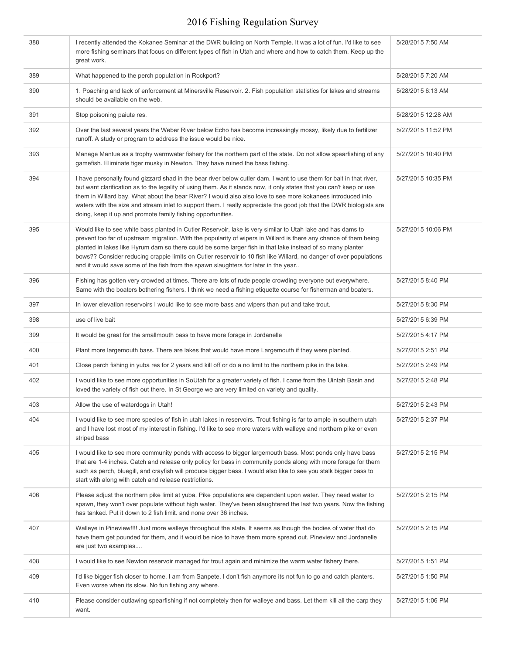| 388 | I recently attended the Kokanee Seminar at the DWR building on North Temple. It was a lot of fun. I'd like to see<br>more fishing seminars that focus on different types of fish in Utah and where and how to catch them. Keep up the<br>great work.                                                                                                                                                                                                                                                                                                       | 5/28/2015 7:50 AM  |
|-----|------------------------------------------------------------------------------------------------------------------------------------------------------------------------------------------------------------------------------------------------------------------------------------------------------------------------------------------------------------------------------------------------------------------------------------------------------------------------------------------------------------------------------------------------------------|--------------------|
| 389 | What happened to the perch population in Rockport?                                                                                                                                                                                                                                                                                                                                                                                                                                                                                                         | 5/28/2015 7:20 AM  |
| 390 | 1. Poaching and lack of enforcement at Minersville Reservoir. 2. Fish population statistics for lakes and streams<br>should be available on the web.                                                                                                                                                                                                                                                                                                                                                                                                       | 5/28/2015 6:13 AM  |
| 391 | Stop poisoning paiute res.                                                                                                                                                                                                                                                                                                                                                                                                                                                                                                                                 | 5/28/2015 12:28 AM |
| 392 | Over the last several years the Weber River below Echo has become increasingly mossy, likely due to fertilizer<br>runoff. A study or program to address the issue would be nice.                                                                                                                                                                                                                                                                                                                                                                           | 5/27/2015 11:52 PM |
| 393 | Manage Mantua as a trophy warmwater fishery for the northern part of the state. Do not allow spearfishing of any<br>gamefish. Eliminate tiger musky in Newton. They have ruined the bass fishing.                                                                                                                                                                                                                                                                                                                                                          | 5/27/2015 10:40 PM |
| 394 | I have personally found gizzard shad in the bear river below cutler dam. I want to use them for bait in that river,<br>but want clarification as to the legality of using them. As it stands now, it only states that you can't keep or use<br>them in Willard bay. What about the bear River? I would also also love to see more kokanees introduced into<br>waters with the size and stream inlet to support them. I really appreciate the good job that the DWR biologists are<br>doing, keep it up and promote family fishing opportunities.           | 5/27/2015 10:35 PM |
| 395 | Would like to see white bass planted in Cutler Reservoir, lake is very similar to Utah lake and has dams to<br>prevent too far of upstream migration. With the popularity of wipers in Willard is there any chance of them being<br>planted in lakes like Hyrum dam so there could be some larger fish in that lake instead of so many planter<br>bows?? Consider reducing crappie limits on Cutler reservoir to 10 fish like Willard, no danger of over populations<br>and it would save some of the fish from the spawn slaughters for later in the year | 5/27/2015 10:06 PM |
| 396 | Fishing has gotten very crowded at times. There are lots of rude people crowding everyone out everywhere.<br>Same with the boaters bothering fishers. I think we need a fishing etiquette course for fisherman and boaters.                                                                                                                                                                                                                                                                                                                                | 5/27/2015 8:40 PM  |
| 397 | In lower elevation reservoirs I would like to see more bass and wipers than put and take trout.                                                                                                                                                                                                                                                                                                                                                                                                                                                            | 5/27/2015 8:30 PM  |
| 398 | use of live bait                                                                                                                                                                                                                                                                                                                                                                                                                                                                                                                                           | 5/27/2015 6:39 PM  |
| 399 | It would be great for the smallmouth bass to have more forage in Jordanelle                                                                                                                                                                                                                                                                                                                                                                                                                                                                                | 5/27/2015 4:17 PM  |
| 400 | Plant more largemouth bass. There are lakes that would have more Largemouth if they were planted.                                                                                                                                                                                                                                                                                                                                                                                                                                                          | 5/27/2015 2:51 PM  |
| 401 | Close perch fishing in yuba res for 2 years and kill off or do a no limit to the northern pike in the lake.                                                                                                                                                                                                                                                                                                                                                                                                                                                | 5/27/2015 2:49 PM  |
| 402 | I would like to see more opportunities in SoUtah for a greater variety of fish. I came from the Uintah Basin and<br>loved the variety of fish out there. In St George we are very limited on variety and quality.                                                                                                                                                                                                                                                                                                                                          | 5/27/2015 2:48 PM  |
| 403 | Allow the use of waterdogs in Utah!                                                                                                                                                                                                                                                                                                                                                                                                                                                                                                                        | 5/27/2015 2:43 PM  |
| 404 | I would like to see more species of fish in utah lakes in reservoirs. Trout fishing is far to ample in southern utah<br>and I have lost most of my interest in fishing. I'd like to see more waters with walleye and northern pike or even<br>striped bass                                                                                                                                                                                                                                                                                                 | 5/27/2015 2:37 PM  |
| 405 | I would like to see more community ponds with access to bigger largemouth bass. Most ponds only have bass<br>that are 1-4 inches. Catch and release only policy for bass in community ponds along with more forage for them<br>such as perch, bluegill, and crayfish will produce bigger bass. I would also like to see you stalk bigger bass to<br>start with along with catch and release restrictions.                                                                                                                                                  | 5/27/2015 2:15 PM  |
| 406 | Please adjust the northern pike limit at yuba. Pike populations are dependent upon water. They need water to<br>spawn, they won't over populate without high water. They've been slaughtered the last two years. Now the fishing<br>has tanked. Put it down to 2 fish limit, and none over 36 inches.                                                                                                                                                                                                                                                      | 5/27/2015 2:15 PM  |
| 407 | Walleye in Pineview!!!! Just more walleye throughout the state. It seems as though the bodies of water that do<br>have them get pounded for them, and it would be nice to have them more spread out. Pineview and Jordanelle<br>are just two examples                                                                                                                                                                                                                                                                                                      | 5/27/2015 2:15 PM  |
| 408 | I would like to see Newton reservoir managed for trout again and minimize the warm water fishery there.                                                                                                                                                                                                                                                                                                                                                                                                                                                    | 5/27/2015 1:51 PM  |
| 409 | I'd like bigger fish closer to home. I am from Sanpete. I don't fish anymore its not fun to go and catch planters.<br>Even worse when its slow. No fun fishing any where.                                                                                                                                                                                                                                                                                                                                                                                  | 5/27/2015 1:50 PM  |
| 410 | Please consider outlawing spearfishing if not completely then for walleye and bass. Let them kill all the carp they<br>want.                                                                                                                                                                                                                                                                                                                                                                                                                               | 5/27/2015 1:06 PM  |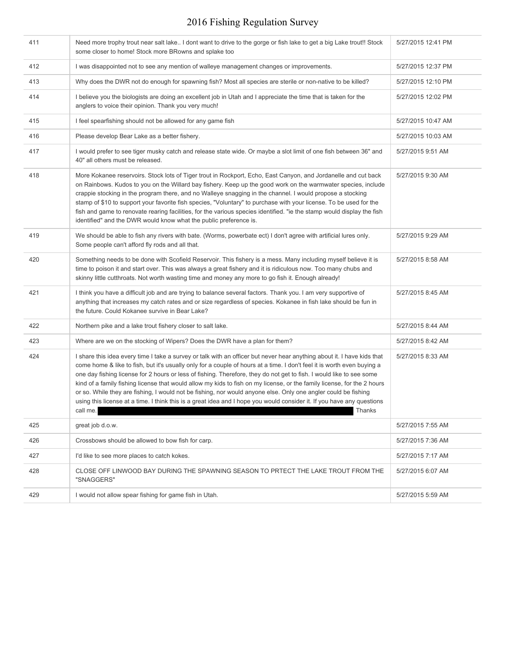| 411 | Need more trophy trout near salt lake I dont want to drive to the gorge or fish lake to get a big Lake trout!! Stock<br>some closer to home! Stock more BRowns and splake too                                                                                                                                                                                                                                                                                                                                                                                                                                                                                                                                                                                           | 5/27/2015 12:41 PM |
|-----|-------------------------------------------------------------------------------------------------------------------------------------------------------------------------------------------------------------------------------------------------------------------------------------------------------------------------------------------------------------------------------------------------------------------------------------------------------------------------------------------------------------------------------------------------------------------------------------------------------------------------------------------------------------------------------------------------------------------------------------------------------------------------|--------------------|
| 412 | I was disappointed not to see any mention of walleye management changes or improvements.                                                                                                                                                                                                                                                                                                                                                                                                                                                                                                                                                                                                                                                                                | 5/27/2015 12:37 PM |
| 413 | Why does the DWR not do enough for spawning fish? Most all species are sterile or non-native to be killed?                                                                                                                                                                                                                                                                                                                                                                                                                                                                                                                                                                                                                                                              | 5/27/2015 12:10 PM |
| 414 | I believe you the biologists are doing an excellent job in Utah and I appreciate the time that is taken for the<br>anglers to voice their opinion. Thank you very much!                                                                                                                                                                                                                                                                                                                                                                                                                                                                                                                                                                                                 | 5/27/2015 12:02 PM |
| 415 | I feel spearfishing should not be allowed for any game fish                                                                                                                                                                                                                                                                                                                                                                                                                                                                                                                                                                                                                                                                                                             | 5/27/2015 10:47 AM |
| 416 | Please develop Bear Lake as a better fishery.                                                                                                                                                                                                                                                                                                                                                                                                                                                                                                                                                                                                                                                                                                                           | 5/27/2015 10:03 AM |
| 417 | I would prefer to see tiger musky catch and release state wide. Or maybe a slot limit of one fish between 36" and<br>40" all others must be released.                                                                                                                                                                                                                                                                                                                                                                                                                                                                                                                                                                                                                   | 5/27/2015 9:51 AM  |
| 418 | More Kokanee reservoirs. Stock lots of Tiger trout in Rockport, Echo, East Canyon, and Jordanelle and cut back<br>on Rainbows. Kudos to you on the Willard bay fishery. Keep up the good work on the warmwater species, include<br>crappie stocking in the program there, and no Walleye snagging in the channel. I would propose a stocking<br>stamp of \$10 to support your favorite fish species, "Voluntary" to purchase with your license. To be used for the<br>fish and game to renovate rearing facilities, for the various species identified. "ie the stamp would display the fish<br>identified" and the DWR would know what the public preference is.                                                                                                       | 5/27/2015 9:30 AM  |
| 419 | We should be able to fish any rivers with bate. (Worms, powerbate ect) I don't agree with artificial lures only.<br>Some people can't afford fly rods and all that.                                                                                                                                                                                                                                                                                                                                                                                                                                                                                                                                                                                                     | 5/27/2015 9:29 AM  |
| 420 | Something needs to be done with Scofield Reservoir. This fishery is a mess. Many including myself believe it is<br>time to poison it and start over. This was always a great fishery and it is ridiculous now. Too many chubs and<br>skinny little cutthroats. Not worth wasting time and money any more to go fish it. Enough already!                                                                                                                                                                                                                                                                                                                                                                                                                                 | 5/27/2015 8:58 AM  |
| 421 | I think you have a difficult job and are trying to balance several factors. Thank you. I am very supportive of<br>anything that increases my catch rates and or size regardless of species. Kokanee in fish lake should be fun in<br>the future. Could Kokanee survive in Bear Lake?                                                                                                                                                                                                                                                                                                                                                                                                                                                                                    | 5/27/2015 8:45 AM  |
| 422 | Northern pike and a lake trout fishery closer to salt lake.                                                                                                                                                                                                                                                                                                                                                                                                                                                                                                                                                                                                                                                                                                             | 5/27/2015 8:44 AM  |
| 423 | Where are we on the stocking of Wipers? Does the DWR have a plan for them?                                                                                                                                                                                                                                                                                                                                                                                                                                                                                                                                                                                                                                                                                              | 5/27/2015 8:42 AM  |
| 424 | I share this idea every time I take a survey or talk with an officer but never hear anything about it. I have kids that<br>come home & like to fish, but it's usually only for a couple of hours at a time. I don't feel it is worth even buying a<br>one day fishing license for 2 hours or less of fishing. Therefore, they do not get to fish. I would like to see some<br>kind of a family fishing license that would allow my kids to fish on my license, or the family license, for the 2 hours<br>or so. While they are fishing, I would not be fishing, nor would anyone else. Only one angler could be fishing<br>using this license at a time. I think this is a great idea and I hope you would consider it. If you have any questions<br>Thanks<br>call me. | 5/27/2015 8:33 AM  |
| 425 | great job d.o.w.                                                                                                                                                                                                                                                                                                                                                                                                                                                                                                                                                                                                                                                                                                                                                        | 5/27/2015 7:55 AM  |
| 426 | Crossbows should be allowed to bow fish for carp.                                                                                                                                                                                                                                                                                                                                                                                                                                                                                                                                                                                                                                                                                                                       | 5/27/2015 7:36 AM  |
| 427 | I'd like to see more places to catch kokes.                                                                                                                                                                                                                                                                                                                                                                                                                                                                                                                                                                                                                                                                                                                             | 5/27/2015 7:17 AM  |
| 428 | CLOSE OFF LINWOOD BAY DURING THE SPAWNING SEASON TO PRTECT THE LAKE TROUT FROM THE<br>"SNAGGERS"                                                                                                                                                                                                                                                                                                                                                                                                                                                                                                                                                                                                                                                                        | 5/27/2015 6:07 AM  |
| 429 | I would not allow spear fishing for game fish in Utah.                                                                                                                                                                                                                                                                                                                                                                                                                                                                                                                                                                                                                                                                                                                  | 5/27/2015 5:59 AM  |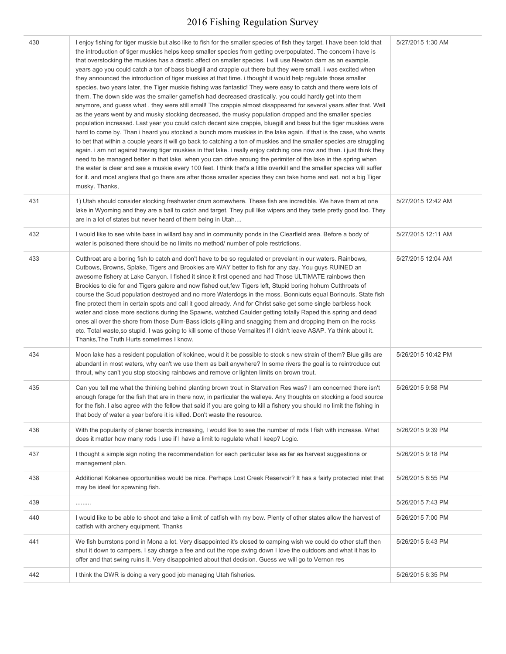| 430 | I enjoy fishing for tiger muskie but also like to fish for the smaller species of fish they target. I have been told that<br>the introduction of tiger muskies helps keep smaller species from getting overpopulated. The concern i have is<br>that overstocking the muskies has a drastic affect on smaller species. I will use Newton dam as an example.<br>years ago you could catch a ton of bass bluegill and crappie out there but they were small. i was excited when<br>they announced the introduction of tiger muskies at that time. i thought it would help regulate those smaller<br>species, two years later, the Tiger muskie fishing was fantastic! They were easy to catch and there were lots of<br>them. The down side was the smaller gamefish had decreased drastically, you could hardly get into them<br>anymore, and guess what, they were still small! The crappie almost disappeared for several years after that. Well<br>as the years went by and musky stocking decreased, the musky population dropped and the smaller species<br>population increased. Last year you could catch decent size crappie, bluegill and bass but the tiger muskies were<br>hard to come by. Than i heard you stocked a bunch more muskies in the lake again. if that is the case, who wants<br>to bet that within a couple years it will go back to catching a ton of muskies and the smaller species are struggling<br>again. i am not against having tiger muskies in that lake. i really enjoy catching one now and than. I just think they<br>need to be managed better in that lake, when you can drive aroung the perimiter of the lake in the spring when<br>the water is clear and see a muskie every 100 feet. I think that's a little overkill and the smaller species will suffer<br>for it. and most anglers that go there are after those smaller species they can take home and eat. not a big Tiger<br>musky. Thanks, | 5/27/2015 1:30 AM  |
|-----|-----------------------------------------------------------------------------------------------------------------------------------------------------------------------------------------------------------------------------------------------------------------------------------------------------------------------------------------------------------------------------------------------------------------------------------------------------------------------------------------------------------------------------------------------------------------------------------------------------------------------------------------------------------------------------------------------------------------------------------------------------------------------------------------------------------------------------------------------------------------------------------------------------------------------------------------------------------------------------------------------------------------------------------------------------------------------------------------------------------------------------------------------------------------------------------------------------------------------------------------------------------------------------------------------------------------------------------------------------------------------------------------------------------------------------------------------------------------------------------------------------------------------------------------------------------------------------------------------------------------------------------------------------------------------------------------------------------------------------------------------------------------------------------------------------------------------------------------------------------------------------------------------------------------------------------------------|--------------------|
| 431 | 1) Utah should consider stocking freshwater drum somewhere. These fish are incredible. We have them at one<br>lake in Wyoming and they are a ball to catch and target. They pull like wipers and they taste pretty good too. They<br>are in a lot of states but never heard of them being in Utah                                                                                                                                                                                                                                                                                                                                                                                                                                                                                                                                                                                                                                                                                                                                                                                                                                                                                                                                                                                                                                                                                                                                                                                                                                                                                                                                                                                                                                                                                                                                                                                                                                             | 5/27/2015 12:42 AM |
| 432 | I would like to see white bass in willard bay and in community ponds in the Clearfield area. Before a body of<br>water is poisoned there should be no limits no method/number of pole restrictions.                                                                                                                                                                                                                                                                                                                                                                                                                                                                                                                                                                                                                                                                                                                                                                                                                                                                                                                                                                                                                                                                                                                                                                                                                                                                                                                                                                                                                                                                                                                                                                                                                                                                                                                                           | 5/27/2015 12:11 AM |
| 433 | Cutthroat are a boring fish to catch and don't have to be so regulated or prevelant in our waters. Rainbows,<br>Cutbows, Browns, Splake, Tigers and Brookies are WAY better to fish for any day. You guys RUINED an<br>awesome fishery at Lake Canyon. I fished it since it first opened and had Those ULTIMATE rainbows then<br>Brookies to die for and Tigers galore and now fished out, few Tigers left, Stupid boring hohum Cutthroats of<br>course the Scud population destroyed and no more Waterdogs in the moss. Bonnicuts equal Borincuts. State fish<br>fine protect them in certain spots and call it good already. And for Christ sake get some single barbless hook<br>water and close more sections during the Spawns, watched Caulder getting totally Raped this spring and dead<br>ones all over the shore from those Dum-Bass idiots gilling and snagging them and dropping them on the rocks<br>etc. Total waste, so stupid. I was going to kill some of those Vernalites if I didn't leave ASAP. Ya think about it.<br>Thanks, The Truth Hurts sometimes I know.                                                                                                                                                                                                                                                                                                                                                                                                                                                                                                                                                                                                                                                                                                                                                                                                                                                           | 5/27/2015 12:04 AM |
| 434 | Moon lake has a resident population of kokinee, would it be possible to stock s new strain of them? Blue gills are<br>abundant in most waters, why can't we use them as bait anywhere? In some rivers the goal is to reintroduce cut<br>throut, why can't you stop stocking rainbows and remove or lighten limits on brown trout.                                                                                                                                                                                                                                                                                                                                                                                                                                                                                                                                                                                                                                                                                                                                                                                                                                                                                                                                                                                                                                                                                                                                                                                                                                                                                                                                                                                                                                                                                                                                                                                                             | 5/26/2015 10:42 PM |
| 435 | Can you tell me what the thinking behind planting brown trout in Starvation Res was? I am concerned there isn't<br>enough forage for the fish that are in there now, in particular the walleye. Any thoughts on stocking a food source<br>for the fish. I also agree with the fellow that said if you are going to kill a fishery you should no limit the fishing in<br>that body of water a year before it is killed. Don't waste the resource.                                                                                                                                                                                                                                                                                                                                                                                                                                                                                                                                                                                                                                                                                                                                                                                                                                                                                                                                                                                                                                                                                                                                                                                                                                                                                                                                                                                                                                                                                              | 5/26/2015 9:58 PM  |
| 436 | With the popularity of planer boards increasing, I would like to see the number of rods I fish with increase. What<br>does it matter how many rods I use if I have a limit to regulate what I keep? Logic.                                                                                                                                                                                                                                                                                                                                                                                                                                                                                                                                                                                                                                                                                                                                                                                                                                                                                                                                                                                                                                                                                                                                                                                                                                                                                                                                                                                                                                                                                                                                                                                                                                                                                                                                    | 5/26/2015 9:39 PM  |
| 437 | I thought a simple sign noting the recommendation for each particular lake as far as harvest suggestions or<br>management plan.                                                                                                                                                                                                                                                                                                                                                                                                                                                                                                                                                                                                                                                                                                                                                                                                                                                                                                                                                                                                                                                                                                                                                                                                                                                                                                                                                                                                                                                                                                                                                                                                                                                                                                                                                                                                               | 5/26/2015 9:18 PM  |
| 438 | Additional Kokanee opportunities would be nice. Perhaps Lost Creek Reservoir? It has a fairly protected inlet that<br>may be ideal for spawning fish.                                                                                                                                                                                                                                                                                                                                                                                                                                                                                                                                                                                                                                                                                                                                                                                                                                                                                                                                                                                                                                                                                                                                                                                                                                                                                                                                                                                                                                                                                                                                                                                                                                                                                                                                                                                         | 5/26/2015 8:55 PM  |
| 439 |                                                                                                                                                                                                                                                                                                                                                                                                                                                                                                                                                                                                                                                                                                                                                                                                                                                                                                                                                                                                                                                                                                                                                                                                                                                                                                                                                                                                                                                                                                                                                                                                                                                                                                                                                                                                                                                                                                                                               | 5/26/2015 7:43 PM  |
| 440 | I would like to be able to shoot and take a limit of catfish with my bow. Plenty of other states allow the harvest of<br>catfish with archery equipment. Thanks                                                                                                                                                                                                                                                                                                                                                                                                                                                                                                                                                                                                                                                                                                                                                                                                                                                                                                                                                                                                                                                                                                                                                                                                                                                                                                                                                                                                                                                                                                                                                                                                                                                                                                                                                                               | 5/26/2015 7:00 PM  |
| 441 | We fish burrstons pond in Mona a lot. Very disappointed it's closed to camping wish we could do other stuff then<br>shut it down to campers. I say charge a fee and cut the rope swing down I love the outdoors and what it has to<br>offer and that swing ruins it. Very disappointed about that decision. Guess we will go to Vernon res                                                                                                                                                                                                                                                                                                                                                                                                                                                                                                                                                                                                                                                                                                                                                                                                                                                                                                                                                                                                                                                                                                                                                                                                                                                                                                                                                                                                                                                                                                                                                                                                    | 5/26/2015 6:43 PM  |
| 442 | I think the DWR is doing a very good job managing Utah fisheries.                                                                                                                                                                                                                                                                                                                                                                                                                                                                                                                                                                                                                                                                                                                                                                                                                                                                                                                                                                                                                                                                                                                                                                                                                                                                                                                                                                                                                                                                                                                                                                                                                                                                                                                                                                                                                                                                             | 5/26/2015 6:35 PM  |
|     |                                                                                                                                                                                                                                                                                                                                                                                                                                                                                                                                                                                                                                                                                                                                                                                                                                                                                                                                                                                                                                                                                                                                                                                                                                                                                                                                                                                                                                                                                                                                                                                                                                                                                                                                                                                                                                                                                                                                               |                    |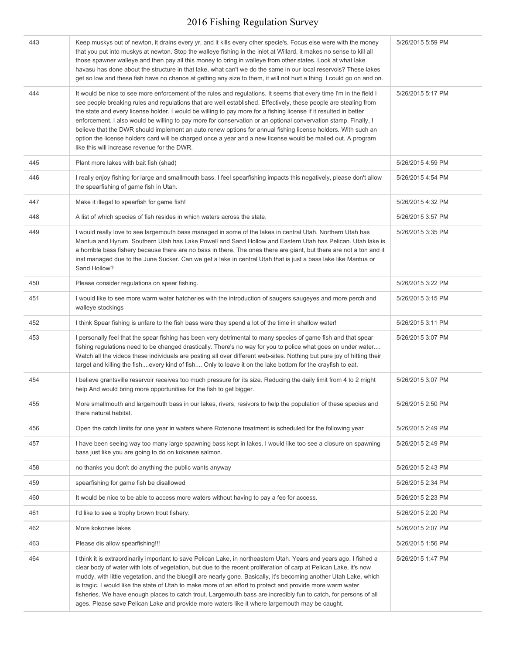| 443 | Keep muskys out of newton, it drains every yr, and it kills every other specie's. Focus else were with the money<br>that you put into muskys at newton. Stop the walleye fishing in the inlet at Willard, it makes no sense to kill all<br>those spawner walleye and then pay all this money to bring in walleye from other states. Look at what lake<br>havasu has done about the structure in that lake, what can't we do the same in our local reservois? These lakes<br>get so low and these fish have no chance at getting any size to them, it will not hurt a thing. I could go on and on.                                                                                                                                                              | 5/26/2015 5:59 PM |
|-----|----------------------------------------------------------------------------------------------------------------------------------------------------------------------------------------------------------------------------------------------------------------------------------------------------------------------------------------------------------------------------------------------------------------------------------------------------------------------------------------------------------------------------------------------------------------------------------------------------------------------------------------------------------------------------------------------------------------------------------------------------------------|-------------------|
| 444 | It would be nice to see more enforcement of the rules and regulations. It seems that every time I'm in the field I<br>see people breaking rules and regulations that are well established. Effectively, these people are stealing from<br>the state and every license holder. I would be willing to pay more for a fishing license if it resulted in better<br>enforcement. I also would be willing to pay more for conservation or an optional convervation stamp. Finally, I<br>believe that the DWR should implement an auto renew options for annual fishing license holders. With such an<br>option the license holders card will be charged once a year and a new license would be mailed out. A program<br>like this will increase revenue for the DWR. | 5/26/2015 5:17 PM |
| 445 | Plant more lakes with bait fish (shad)                                                                                                                                                                                                                                                                                                                                                                                                                                                                                                                                                                                                                                                                                                                         | 5/26/2015 4:59 PM |
| 446 | I really enjoy fishing for large and smallmouth bass. I feel spearfishing impacts this negatively, please don't allow<br>the spearfishing of game fish in Utah.                                                                                                                                                                                                                                                                                                                                                                                                                                                                                                                                                                                                | 5/26/2015 4:54 PM |
| 447 | Make it illegal to spearfish for game fish!                                                                                                                                                                                                                                                                                                                                                                                                                                                                                                                                                                                                                                                                                                                    | 5/26/2015 4:32 PM |
| 448 | A list of which species of fish resides in which waters across the state.                                                                                                                                                                                                                                                                                                                                                                                                                                                                                                                                                                                                                                                                                      | 5/26/2015 3:57 PM |
| 449 | I would really love to see largemouth bass managed in some of the lakes in central Utah. Northern Utah has<br>Mantua and Hyrum. Southern Utah has Lake Powell and Sand Hollow and Eastern Utah has Pelican. Utah lake is<br>a horrible bass fishery because there are no bass in there. The ones there are giant, but there are not a ton and it<br>inst managed due to the June Sucker. Can we get a lake in central Utah that is just a bass lake like Mantua or<br>Sand Hollow?                                                                                                                                                                                                                                                                             | 5/26/2015 3:35 PM |
| 450 | Please consider regulations on spear fishing.                                                                                                                                                                                                                                                                                                                                                                                                                                                                                                                                                                                                                                                                                                                  | 5/26/2015 3:22 PM |
| 451 | I would like to see more warm water hatcheries with the introduction of saugers saugeyes and more perch and<br>walleye stockings                                                                                                                                                                                                                                                                                                                                                                                                                                                                                                                                                                                                                               | 5/26/2015 3:15 PM |
| 452 | I think Spear fishing is unfare to the fish bass were they spend a lot of the time in shallow water!                                                                                                                                                                                                                                                                                                                                                                                                                                                                                                                                                                                                                                                           | 5/26/2015 3:11 PM |
| 453 | I personally feel that the spear fishing has been very detrimental to many species of game fish and that spear<br>fishing regulations need to be changed drastically. There's no way for you to police what goes on under water<br>Watch all the videos these individuals are posting all over different web-sites. Nothing but pure joy of hitting their<br>target and killing the fishevery kind of fish Only to leave it on the lake bottom for the crayfish to eat.                                                                                                                                                                                                                                                                                        | 5/26/2015 3:07 PM |
| 454 | I believe grantsville reservoir receives too much pressure for its size. Reducing the daily limit from 4 to 2 might<br>help And would bring more opportunities for the fish to get bigger.                                                                                                                                                                                                                                                                                                                                                                                                                                                                                                                                                                     | 5/26/2015 3:07 PM |
| 455 | More smallmouth and largemouth bass in our lakes, rivers, resivors to help the population of these species and<br>there natural habitat.                                                                                                                                                                                                                                                                                                                                                                                                                                                                                                                                                                                                                       | 5/26/2015 2:50 PM |
| 456 | Open the catch limits for one year in waters where Rotenone treatment is scheduled for the following year                                                                                                                                                                                                                                                                                                                                                                                                                                                                                                                                                                                                                                                      | 5/26/2015 2:49 PM |
| 457 | I have been seeing way too many large spawning bass kept in lakes. I would like too see a closure on spawning<br>bass just like you are going to do on kokanee salmon.                                                                                                                                                                                                                                                                                                                                                                                                                                                                                                                                                                                         | 5/26/2015 2:49 PM |
| 458 | no thanks you don't do anything the public wants anyway                                                                                                                                                                                                                                                                                                                                                                                                                                                                                                                                                                                                                                                                                                        | 5/26/2015 2:43 PM |
| 459 | spearfishing for game fish be disallowed                                                                                                                                                                                                                                                                                                                                                                                                                                                                                                                                                                                                                                                                                                                       | 5/26/2015 2:34 PM |
| 460 | It would be nice to be able to access more waters without having to pay a fee for access.                                                                                                                                                                                                                                                                                                                                                                                                                                                                                                                                                                                                                                                                      | 5/26/2015 2:23 PM |
| 461 | I'd like to see a trophy brown trout fishery.                                                                                                                                                                                                                                                                                                                                                                                                                                                                                                                                                                                                                                                                                                                  | 5/26/2015 2:20 PM |
| 462 | More kokonee lakes                                                                                                                                                                                                                                                                                                                                                                                                                                                                                                                                                                                                                                                                                                                                             | 5/26/2015 2:07 PM |
| 463 | Please dis allow spearfishing!!!                                                                                                                                                                                                                                                                                                                                                                                                                                                                                                                                                                                                                                                                                                                               | 5/26/2015 1:56 PM |
| 464 | I think it is extraordinarily important to save Pelican Lake, in northeastern Utah. Years and years ago, I fished a<br>clear body of water with lots of vegetation, but due to the recent proliferation of carp at Pelican Lake, it's now<br>muddy, with little vegetation, and the bluegill are nearly gone. Basically, it's becoming another Utah Lake, which<br>is tragic. I would like the state of Utah to make more of an effort to protect and provide more warm water<br>fisheries. We have enough places to catch trout. Largemouth bass are incredibly fun to catch, for persons of all<br>ages. Please save Pelican Lake and provide more waters like it where largemouth may be caught.                                                            | 5/26/2015 1:47 PM |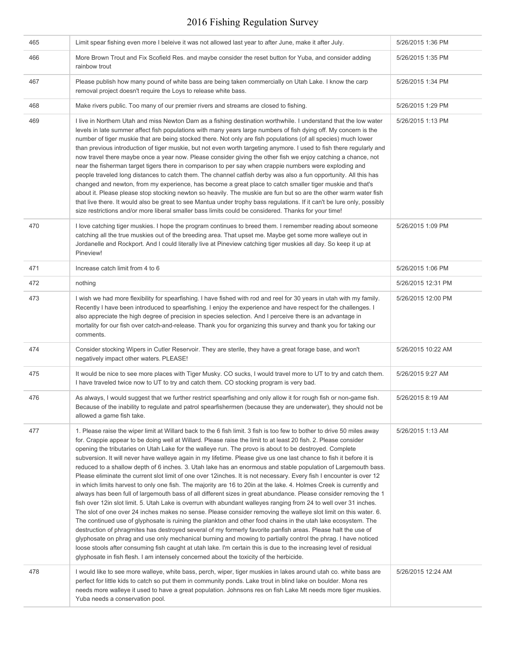| 465 | Limit spear fishing even more I beleive it was not allowed last year to after June, make it after July.                                                                                                                                                                                                                                                                                                                                                                                                                                                                                                                                                                                                                                                                                                                                                                                                                                                                                                                                                                                                                                                                                                                                                                                                                                                                                                                                                                                                                                                                                                                                                                                                                                                                          | 5/26/2015 1:36 PM  |
|-----|----------------------------------------------------------------------------------------------------------------------------------------------------------------------------------------------------------------------------------------------------------------------------------------------------------------------------------------------------------------------------------------------------------------------------------------------------------------------------------------------------------------------------------------------------------------------------------------------------------------------------------------------------------------------------------------------------------------------------------------------------------------------------------------------------------------------------------------------------------------------------------------------------------------------------------------------------------------------------------------------------------------------------------------------------------------------------------------------------------------------------------------------------------------------------------------------------------------------------------------------------------------------------------------------------------------------------------------------------------------------------------------------------------------------------------------------------------------------------------------------------------------------------------------------------------------------------------------------------------------------------------------------------------------------------------------------------------------------------------------------------------------------------------|--------------------|
| 466 | More Brown Trout and Fix Scofield Res. and maybe consider the reset button for Yuba, and consider adding<br>rainbow trout                                                                                                                                                                                                                                                                                                                                                                                                                                                                                                                                                                                                                                                                                                                                                                                                                                                                                                                                                                                                                                                                                                                                                                                                                                                                                                                                                                                                                                                                                                                                                                                                                                                        | 5/26/2015 1:35 PM  |
| 467 | Please publish how many pound of white bass are being taken commercially on Utah Lake. I know the carp<br>removal project doesn't require the Loys to release white bass.                                                                                                                                                                                                                                                                                                                                                                                                                                                                                                                                                                                                                                                                                                                                                                                                                                                                                                                                                                                                                                                                                                                                                                                                                                                                                                                                                                                                                                                                                                                                                                                                        | 5/26/2015 1:34 PM  |
| 468 | Make rivers public. Too many of our premier rivers and streams are closed to fishing.                                                                                                                                                                                                                                                                                                                                                                                                                                                                                                                                                                                                                                                                                                                                                                                                                                                                                                                                                                                                                                                                                                                                                                                                                                                                                                                                                                                                                                                                                                                                                                                                                                                                                            | 5/26/2015 1:29 PM  |
| 469 | I live in Northern Utah and miss Newton Dam as a fishing destination worthwhile. I understand that the low water<br>levels in late summer affect fish populations with many years large numbers of fish dying off. My concern is the<br>number of tiger muskie that are being stocked there. Not only are fish populations (of all species) much lower<br>than previous introduction of tiger muskie, but not even worth targeting anymore. I used to fish there regularly and<br>now travel there maybe once a year now. Please consider giving the other fish we enjoy catching a chance, not<br>near the fisherman target tigers there in comparison to per say when crappie numbers were exploding and<br>people traveled long distances to catch them. The channel catfish derby was also a fun opportunity. All this has<br>changed and newton, from my experience, has become a great place to catch smaller tiger muskie and that's<br>about it. Please please stop stocking newton so heavily. The muskie are fun but so are the other warm water fish<br>that live there. It would also be great to see Mantua under trophy bass regulations. If it can't be lure only, possibly<br>size restrictions and/or more liberal smaller bass limits could be considered. Thanks for your time!                                                                                                                                                                                                                                                                                                                                                                                                                                                                               | 5/26/2015 1:13 PM  |
| 470 | I love catching tiger muskies. I hope the program continues to breed them. I remember reading about someone<br>catching all the true muskies out of the breeding area. That upset me. Maybe get some more walleye out in<br>Jordanelle and Rockport. And I could literally live at Pineview catching tiger muskies all day. So keep it up at<br>Pineview!                                                                                                                                                                                                                                                                                                                                                                                                                                                                                                                                                                                                                                                                                                                                                                                                                                                                                                                                                                                                                                                                                                                                                                                                                                                                                                                                                                                                                        | 5/26/2015 1:09 PM  |
| 471 | Increase catch limit from 4 to 6                                                                                                                                                                                                                                                                                                                                                                                                                                                                                                                                                                                                                                                                                                                                                                                                                                                                                                                                                                                                                                                                                                                                                                                                                                                                                                                                                                                                                                                                                                                                                                                                                                                                                                                                                 | 5/26/2015 1:06 PM  |
| 472 | nothing                                                                                                                                                                                                                                                                                                                                                                                                                                                                                                                                                                                                                                                                                                                                                                                                                                                                                                                                                                                                                                                                                                                                                                                                                                                                                                                                                                                                                                                                                                                                                                                                                                                                                                                                                                          | 5/26/2015 12:31 PM |
| 473 | I wish we had more flexibility for spearfishing. I have fished with rod and reel for 30 years in utah with my family.<br>Recently I have been introduced to spearfishing. I enjoy the experience and have respect for the challenges. I<br>also appreciate the high degree of precision in species selection. And I perceive there is an advantage in<br>mortality for our fish over catch-and-release. Thank you for organizing this survey and thank you for taking our<br>comments.                                                                                                                                                                                                                                                                                                                                                                                                                                                                                                                                                                                                                                                                                                                                                                                                                                                                                                                                                                                                                                                                                                                                                                                                                                                                                           | 5/26/2015 12:00 PM |
| 474 | Consider stocking Wipers in Cutler Reservoir. They are sterile, they have a great forage base, and won't<br>negatively impact other waters. PLEASE!                                                                                                                                                                                                                                                                                                                                                                                                                                                                                                                                                                                                                                                                                                                                                                                                                                                                                                                                                                                                                                                                                                                                                                                                                                                                                                                                                                                                                                                                                                                                                                                                                              | 5/26/2015 10:22 AM |
| 475 | It would be nice to see more places with Tiger Musky. CO sucks, I would travel more to UT to try and catch them.<br>I have traveled twice now to UT to try and catch them. CO stocking program is very bad.                                                                                                                                                                                                                                                                                                                                                                                                                                                                                                                                                                                                                                                                                                                                                                                                                                                                                                                                                                                                                                                                                                                                                                                                                                                                                                                                                                                                                                                                                                                                                                      | 5/26/2015 9:27 AM  |
| 476 | As always, I would suggest that we further restrict spearfishing and only allow it for rough fish or non-game fish.<br>Because of the inability to regulate and patrol spearfishermen (because they are underwater), they should not be<br>allowed a game fish take.                                                                                                                                                                                                                                                                                                                                                                                                                                                                                                                                                                                                                                                                                                                                                                                                                                                                                                                                                                                                                                                                                                                                                                                                                                                                                                                                                                                                                                                                                                             | 5/26/2015 8:19 AM  |
| 477 | 1. Please raise the wiper limit at Willard back to the 6 fish limit. 3 fish is too few to bother to drive 50 miles away<br>for. Crappie appear to be doing well at Willard. Please raise the limit to at least 20 fish. 2. Please consider<br>opening the tributaries on Utah Lake for the walleye run. The provo is about to be destroyed. Complete<br>subversion. It will never have walleye again in my lifetime. Please give us one last chance to fish it before it is<br>reduced to a shallow depth of 6 inches. 3. Utah lake has an enormous and stable population of Largemouth bass.<br>Please eliminate the current slot limit of one over 12 inches. It is not necessary. Every fish I encounter is over 12<br>in which limits harvest to only one fish. The majority are 16 to 20in at the lake. 4. Holmes Creek is currently and<br>always has been full of largemouth bass of all different sizes in great abundance. Please consider removing the 1<br>fish over 12 in slot limit. 5. Utah Lake is overrun with abundant walleyes ranging from 24 to well over 31 inches.<br>The slot of one over 24 inches makes no sense. Please consider removing the walleye slot limit on this water. 6.<br>The continued use of glyphosate is ruining the plankton and other food chains in the utah lake ecosystem. The<br>destruction of phragmites has destroyed several of my formerly favorite panfish areas. Please halt the use of<br>glyphosate on phrag and use only mechanical burning and mowing to partially control the phrag. I have noticed<br>loose stools after consuming fish caught at utah lake. I'm certain this is due to the increasing level of residual<br>glyphosate in fish flesh. I am intensely concerned about the toxicity of the herbicide. | 5/26/2015 1:13 AM  |
| 478 | I would like to see more walleye, white bass, perch, wiper, tiger muskies in lakes around utah co. white bass are<br>perfect for little kids to catch so put them in community ponds. Lake trout in blind lake on boulder. Mona res<br>needs more walleye it used to have a great population. Johnsons res on fish Lake Mt needs more tiger muskies.<br>Yuba needs a conservation pool.                                                                                                                                                                                                                                                                                                                                                                                                                                                                                                                                                                                                                                                                                                                                                                                                                                                                                                                                                                                                                                                                                                                                                                                                                                                                                                                                                                                          | 5/26/2015 12:24 AM |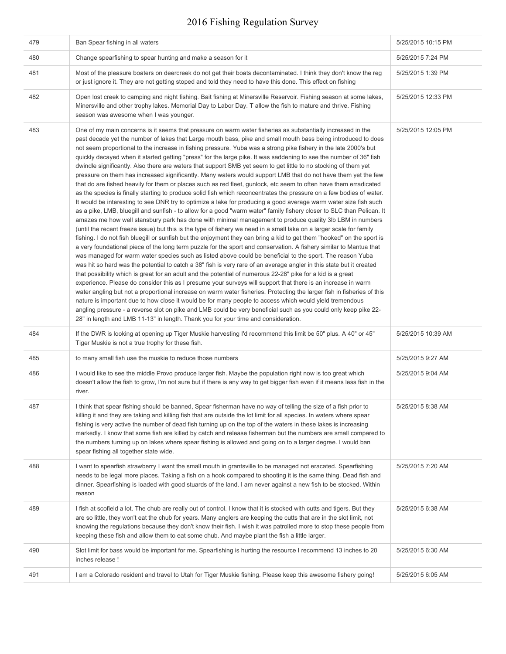| 479 | Ban Spear fishing in all waters                                                                                                                                                                                                                                                                                                                                                                                                                                                                                                                                                                                                                                                                                                                                                                                                                                                                                                                                                                                                                                                                                                                                                                                                                                                                                                                                                                                                                                                                                                                                                                                                                                                                                                                                                                                                                                                                                                                                                                                                                                                                                                                                                                                                                                                                                                                                                                                                                                                                                                                                                                            | 5/25/2015 10:15 PM |
|-----|------------------------------------------------------------------------------------------------------------------------------------------------------------------------------------------------------------------------------------------------------------------------------------------------------------------------------------------------------------------------------------------------------------------------------------------------------------------------------------------------------------------------------------------------------------------------------------------------------------------------------------------------------------------------------------------------------------------------------------------------------------------------------------------------------------------------------------------------------------------------------------------------------------------------------------------------------------------------------------------------------------------------------------------------------------------------------------------------------------------------------------------------------------------------------------------------------------------------------------------------------------------------------------------------------------------------------------------------------------------------------------------------------------------------------------------------------------------------------------------------------------------------------------------------------------------------------------------------------------------------------------------------------------------------------------------------------------------------------------------------------------------------------------------------------------------------------------------------------------------------------------------------------------------------------------------------------------------------------------------------------------------------------------------------------------------------------------------------------------------------------------------------------------------------------------------------------------------------------------------------------------------------------------------------------------------------------------------------------------------------------------------------------------------------------------------------------------------------------------------------------------------------------------------------------------------------------------------------------------|--------------------|
| 480 | Change spearfishing to spear hunting and make a season for it                                                                                                                                                                                                                                                                                                                                                                                                                                                                                                                                                                                                                                                                                                                                                                                                                                                                                                                                                                                                                                                                                                                                                                                                                                                                                                                                                                                                                                                                                                                                                                                                                                                                                                                                                                                                                                                                                                                                                                                                                                                                                                                                                                                                                                                                                                                                                                                                                                                                                                                                              | 5/25/2015 7:24 PM  |
| 481 | Most of the pleasure boaters on deercreek do not get their boats decontaminated. I think they don't know the reg<br>or just ignore it. They are not getting stoped and told they need to have this done. This effect on fishing                                                                                                                                                                                                                                                                                                                                                                                                                                                                                                                                                                                                                                                                                                                                                                                                                                                                                                                                                                                                                                                                                                                                                                                                                                                                                                                                                                                                                                                                                                                                                                                                                                                                                                                                                                                                                                                                                                                                                                                                                                                                                                                                                                                                                                                                                                                                                                            | 5/25/2015 1:39 PM  |
| 482 | Open lost creek to camping and night fishing. Bait fishing at Minersville Reservoir. Fishing season at some lakes,<br>Minersville and other trophy lakes. Memorial Day to Labor Day. T allow the fish to mature and thrive. Fishing<br>season was awesome when I was younger.                                                                                                                                                                                                                                                                                                                                                                                                                                                                                                                                                                                                                                                                                                                                                                                                                                                                                                                                                                                                                                                                                                                                                                                                                                                                                                                                                                                                                                                                                                                                                                                                                                                                                                                                                                                                                                                                                                                                                                                                                                                                                                                                                                                                                                                                                                                              | 5/25/2015 12:33 PM |
| 483 | One of my main concerns is it seems that pressure on warm water fisheries as substantially increased in the<br>past decade yet the number of lakes that Large mouth bass, pike and small mouth bass being introduced to does<br>not seem proportional to the increase in fishing pressure. Yuba was a strong pike fishery in the late 2000's but<br>quickly decayed when it started getting "press" for the large pike. It was saddening to see the number of 36" fish<br>dwindle significantly. Also there are waters that support SMB yet seem to get little to no stocking of them yet<br>pressure on them has increased significantly. Many waters would support LMB that do not have them yet the few<br>that do are fished heavily for them or places such as red fleet, gunlock, etc seem to often have them erradicated<br>as the species is finally starting to produce solid fish which reconcentrates the pressure on a few bodies of water.<br>It would be interesting to see DNR try to optimize a lake for producing a good average warm water size fish such<br>as a pike, LMB, bluegill and sunfish - to allow for a good "warm water" family fishery closer to SLC than Pelican. It<br>amazes me how well stansbury park has done with minimal management to produce quality 3lb LBM in numbers<br>(until the recent freeze issue) but this is the type of fishery we need in a small lake on a larger scale for family<br>fishing. I do not fish bluegill or sunfish but the enjoyment they can bring a kid to get them "hooked" on the sport is<br>a very foundational piece of the long term puzzle for the sport and conservation. A fishery similar to Mantua that<br>was managed for warm water species such as listed above could be beneficial to the sport. The reason Yuba<br>was hit so hard was the potential to catch a 38" fish is very rare of an average angler in this state but it created<br>that possibility which is great for an adult and the potential of numerous 22-28" pike for a kid is a great<br>experience. Please do consider this as I presume your surveys will support that there is an increase in warm<br>water angling but not a proportional increase on warm water fisheries. Protecting the larger fish in fisheries of this<br>nature is important due to how close it would be for many people to access which would yield tremendous<br>angling pressure - a reverse slot on pike and LMB could be very beneficial such as you could only keep pike 22-<br>28" in length and LMB 11-13" in length. Thank you for your time and consideration. | 5/25/2015 12:05 PM |
| 484 | If the DWR is looking at opening up Tiger Muskie harvesting I'd recommend this limit be 50" plus. A 40" or 45"<br>Tiger Muskie is not a true trophy for these fish.                                                                                                                                                                                                                                                                                                                                                                                                                                                                                                                                                                                                                                                                                                                                                                                                                                                                                                                                                                                                                                                                                                                                                                                                                                                                                                                                                                                                                                                                                                                                                                                                                                                                                                                                                                                                                                                                                                                                                                                                                                                                                                                                                                                                                                                                                                                                                                                                                                        | 5/25/2015 10:39 AM |
| 485 | to many small fish use the muskie to reduce those numbers                                                                                                                                                                                                                                                                                                                                                                                                                                                                                                                                                                                                                                                                                                                                                                                                                                                                                                                                                                                                                                                                                                                                                                                                                                                                                                                                                                                                                                                                                                                                                                                                                                                                                                                                                                                                                                                                                                                                                                                                                                                                                                                                                                                                                                                                                                                                                                                                                                                                                                                                                  | 5/25/2015 9:27 AM  |
| 486 | I would like to see the middle Provo produce larger fish. Maybe the population right now is too great which<br>doesn't allow the fish to grow, I'm not sure but if there is any way to get bigger fish even if it means less fish in the<br>river.                                                                                                                                                                                                                                                                                                                                                                                                                                                                                                                                                                                                                                                                                                                                                                                                                                                                                                                                                                                                                                                                                                                                                                                                                                                                                                                                                                                                                                                                                                                                                                                                                                                                                                                                                                                                                                                                                                                                                                                                                                                                                                                                                                                                                                                                                                                                                         | 5/25/2015 9:04 AM  |
| 487 | I think that spear fishing should be banned, Spear fisherman have no way of telling the size of a fish prior to<br>killing it and they are taking and killing fish that are outside the lot limit for all species. In waters where spear<br>fishing is very active the number of dead fish turning up on the top of the waters in these lakes is increasing<br>markedly. I know that some fish are killed by catch and release fisherman but the numbers are small compared to<br>the numbers turning up on lakes where spear fishing is allowed and going on to a larger degree. I would ban<br>spear fishing all together state wide.                                                                                                                                                                                                                                                                                                                                                                                                                                                                                                                                                                                                                                                                                                                                                                                                                                                                                                                                                                                                                                                                                                                                                                                                                                                                                                                                                                                                                                                                                                                                                                                                                                                                                                                                                                                                                                                                                                                                                                    | 5/25/2015 8:38 AM  |
| 488 | I want to spearfish strawberry I want the small mouth in grantsville to be managed not eracated. Spearfishing<br>needs to be legal more places. Taking a fish on a hook compared to shooting it is the same thing. Dead fish and<br>dinner. Spearfishing is loaded with good stuards of the land. I am never against a new fish to be stocked. Within<br>reason                                                                                                                                                                                                                                                                                                                                                                                                                                                                                                                                                                                                                                                                                                                                                                                                                                                                                                                                                                                                                                                                                                                                                                                                                                                                                                                                                                                                                                                                                                                                                                                                                                                                                                                                                                                                                                                                                                                                                                                                                                                                                                                                                                                                                                            | 5/25/2015 7:20 AM  |
| 489 | I fish at scofield a lot. The chub are really out of control. I know that it is stocked with cutts and tigers. But they<br>are so little, they won't eat the chub for years. Many anglers are keeping the cutts that are in the slot limit, not<br>knowing the regulations because they don't know their fish. I wish it was patrolled more to stop these people from<br>keeping these fish and allow them to eat some chub. And maybe plant the fish a little larger.                                                                                                                                                                                                                                                                                                                                                                                                                                                                                                                                                                                                                                                                                                                                                                                                                                                                                                                                                                                                                                                                                                                                                                                                                                                                                                                                                                                                                                                                                                                                                                                                                                                                                                                                                                                                                                                                                                                                                                                                                                                                                                                                     | 5/25/2015 6:38 AM  |
| 490 | Slot limit for bass would be important for me. Spearfishing is hurting the resource I recommend 13 inches to 20<br>inches release !                                                                                                                                                                                                                                                                                                                                                                                                                                                                                                                                                                                                                                                                                                                                                                                                                                                                                                                                                                                                                                                                                                                                                                                                                                                                                                                                                                                                                                                                                                                                                                                                                                                                                                                                                                                                                                                                                                                                                                                                                                                                                                                                                                                                                                                                                                                                                                                                                                                                        | 5/25/2015 6:30 AM  |
| 491 | I am a Colorado resident and travel to Utah for Tiger Muskie fishing. Please keep this awesome fishery going!                                                                                                                                                                                                                                                                                                                                                                                                                                                                                                                                                                                                                                                                                                                                                                                                                                                                                                                                                                                                                                                                                                                                                                                                                                                                                                                                                                                                                                                                                                                                                                                                                                                                                                                                                                                                                                                                                                                                                                                                                                                                                                                                                                                                                                                                                                                                                                                                                                                                                              | 5/25/2015 6:05 AM  |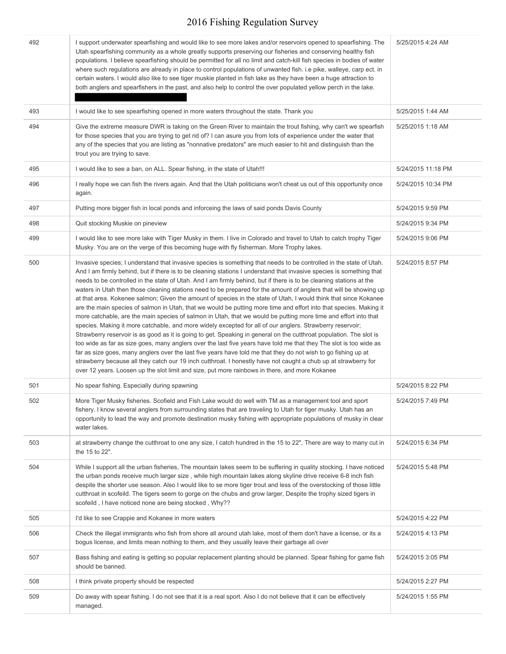| 492 | I support underwater spearfishing and would like to see more lakes and/or reservoirs opened to spearfishing. The<br>Utah spearfishing community as a whole greatly supports preserving our fisheries and conserving healthy fish<br>populations. I believe spearfishing should be permitted for all no limit and catch-kill fish species in bodies of water<br>where such regulations are already in place to control populations of unwanted fish. i.e pike, walleye, carp ect. in<br>certain waters. I would also like to see tiger muskie planted in fish lake as they have been a huge attraction to<br>both anglers and spearfishers in the past, and also help to control the over populated yellow perch in the lake.                                                                                                                                                                                                                                                                                                                                                                                                                                                                                                                                                                                                                                                                                                                                                                                                                          | 5/25/2015 4:24 AM  |
|-----|-------------------------------------------------------------------------------------------------------------------------------------------------------------------------------------------------------------------------------------------------------------------------------------------------------------------------------------------------------------------------------------------------------------------------------------------------------------------------------------------------------------------------------------------------------------------------------------------------------------------------------------------------------------------------------------------------------------------------------------------------------------------------------------------------------------------------------------------------------------------------------------------------------------------------------------------------------------------------------------------------------------------------------------------------------------------------------------------------------------------------------------------------------------------------------------------------------------------------------------------------------------------------------------------------------------------------------------------------------------------------------------------------------------------------------------------------------------------------------------------------------------------------------------------------------|--------------------|
| 493 | I would like to see spearfishing opened in more waters throughout the state. Thank you                                                                                                                                                                                                                                                                                                                                                                                                                                                                                                                                                                                                                                                                                                                                                                                                                                                                                                                                                                                                                                                                                                                                                                                                                                                                                                                                                                                                                                                                | 5/25/2015 1:44 AM  |
| 494 | Give the extreme measure DWR is taking on the Green River to maintain the trout fishing, why can't we spearfish<br>for those species that you are trying to get rid of? I can asure you from lots of experience under the water that<br>any of the species that you are listing as "nonnative predators" are much easier to hit and distinguish than the<br>trout you are trying to save.                                                                                                                                                                                                                                                                                                                                                                                                                                                                                                                                                                                                                                                                                                                                                                                                                                                                                                                                                                                                                                                                                                                                                             | 5/25/2015 1:18 AM  |
| 495 | I would like to see a ban, on ALL. Spear fishing, in the state of Utah!!!                                                                                                                                                                                                                                                                                                                                                                                                                                                                                                                                                                                                                                                                                                                                                                                                                                                                                                                                                                                                                                                                                                                                                                                                                                                                                                                                                                                                                                                                             | 5/24/2015 11:18 PM |
| 496 | I really hope we can fish the rivers again. And that the Utah politicians won't cheat us out of this opportunity once<br>again.                                                                                                                                                                                                                                                                                                                                                                                                                                                                                                                                                                                                                                                                                                                                                                                                                                                                                                                                                                                                                                                                                                                                                                                                                                                                                                                                                                                                                       | 5/24/2015 10:34 PM |
| 497 | Putting more bigger fish in local ponds and inforceing the laws of said ponds Davis County                                                                                                                                                                                                                                                                                                                                                                                                                                                                                                                                                                                                                                                                                                                                                                                                                                                                                                                                                                                                                                                                                                                                                                                                                                                                                                                                                                                                                                                            | 5/24/2015 9:59 PM  |
| 498 | Quit stocking Muskie on pineview                                                                                                                                                                                                                                                                                                                                                                                                                                                                                                                                                                                                                                                                                                                                                                                                                                                                                                                                                                                                                                                                                                                                                                                                                                                                                                                                                                                                                                                                                                                      | 5/24/2015 9:34 PM  |
| 499 | I would like to see more lake with Tiger Musky in them. I live in Colorado and travel to Utah to catch trophy Tiger<br>Musky. You are on the verge of this becoming huge with fly fisherman. More Trophy lakes.                                                                                                                                                                                                                                                                                                                                                                                                                                                                                                                                                                                                                                                                                                                                                                                                                                                                                                                                                                                                                                                                                                                                                                                                                                                                                                                                       | 5/24/2015 9:06 PM  |
| 500 | Invasive species; I understand that invasive species is something that needs to be controlled in the state of Utah.<br>And I am firmly behind, but if there is to be cleaning stations I understand that invasive species is something that<br>needs to be controlled in the state of Utah. And I am firmly behind, but if there is to be cleaning stations at the<br>waters in Utah then those cleaning stations need to be prepared for the amount of anglers that will be showing up<br>at that area. Kokenee salmon; Given the amount of species in the state of Utah, I would think that since Kokanee<br>are the main species of salmon in Utah, that we would be putting more time and effort into that species. Making it<br>more catchable, are the main species of salmon in Utah, that we would be putting more time and effort into that<br>species. Making it more catchable, and more widely excepted for all of our anglers. Strawberry reservoir;<br>Strawberry reservoir is as good as it is going to get. Speaking in general on the cutthroat population. The slot is<br>too wide as far as size goes, many anglers over the last five years have told me that they The slot is too wide as<br>far as size goes, many anglers over the last five years have told me that they do not wish to go fishing up at<br>strawberry because all they catch our 19 inch cutthroat. I honestly have not caught a chub up at strawberry for<br>over 12 years. Loosen up the slot limit and size, put more rainbows in there, and more Kokanee | 5/24/2015 8:57 PM  |
| 501 | No spear fishing. Especially during spawning                                                                                                                                                                                                                                                                                                                                                                                                                                                                                                                                                                                                                                                                                                                                                                                                                                                                                                                                                                                                                                                                                                                                                                                                                                                                                                                                                                                                                                                                                                          | 5/24/2015 8:22 PM  |
| 502 | More Tiger Musky fisheries. Scofield and Fish Lake would do well with TM as a management tool and sport<br>fishery. I know several anglers from surrounding states that are traveling to Utah for tiger musky. Utah has an<br>opportunity to lead the way and promote destination musky fishing with appropriate populations of musky in clear<br>water lakes.                                                                                                                                                                                                                                                                                                                                                                                                                                                                                                                                                                                                                                                                                                                                                                                                                                                                                                                                                                                                                                                                                                                                                                                        | 5/24/2015 7:49 PM  |
| 503 | at strawberry change the cutthroat to one any size, I catch hundred in the 15 to 22", There are way to many cut in<br>the 15 to 22".                                                                                                                                                                                                                                                                                                                                                                                                                                                                                                                                                                                                                                                                                                                                                                                                                                                                                                                                                                                                                                                                                                                                                                                                                                                                                                                                                                                                                  | 5/24/2015 6:34 PM  |
| 504 | While I support all the urban fisheries, The mountain lakes seem to be suffering in quality stocking. I have noticed<br>the urban ponds receive much larger size, while high mountain lakes along skyline drive receive 6-8 inch fish<br>despite the shorter use season. Also I would like to se more tiger trout and less of the overstocking of those little<br>cutthroat in scofeild. The tigers seem to gorge on the chubs and grow larger, Despite the trophy sized tigers in<br>scofeild, I have noticed none are being stocked, Why??                                                                                                                                                                                                                                                                                                                                                                                                                                                                                                                                                                                                                                                                                                                                                                                                                                                                                                                                                                                                          | 5/24/2015 5:48 PM  |
| 505 | I'd like to see Crappie and Kokanee in more waters                                                                                                                                                                                                                                                                                                                                                                                                                                                                                                                                                                                                                                                                                                                                                                                                                                                                                                                                                                                                                                                                                                                                                                                                                                                                                                                                                                                                                                                                                                    | 5/24/2015 4:22 PM  |
| 506 | Check the illegal immigrants who fish from shore all around utah lake, most of them don't have a license, or its a<br>bogus license, and limits mean nothing to them, and they usually leave their garbage all over                                                                                                                                                                                                                                                                                                                                                                                                                                                                                                                                                                                                                                                                                                                                                                                                                                                                                                                                                                                                                                                                                                                                                                                                                                                                                                                                   | 5/24/2015 4:13 PM  |
| 507 | Bass fishing and eating is getting so popular replacement planting should be planned. Spear fishing for game fish<br>should be banned.                                                                                                                                                                                                                                                                                                                                                                                                                                                                                                                                                                                                                                                                                                                                                                                                                                                                                                                                                                                                                                                                                                                                                                                                                                                                                                                                                                                                                | 5/24/2015 3:05 PM  |
| 508 | I think private property should be respected                                                                                                                                                                                                                                                                                                                                                                                                                                                                                                                                                                                                                                                                                                                                                                                                                                                                                                                                                                                                                                                                                                                                                                                                                                                                                                                                                                                                                                                                                                          | 5/24/2015 2:27 PM  |
| 509 | Do away with spear fishing. I do not see that it is a real sport. Also I do not believe that it can be effectively<br>managed.                                                                                                                                                                                                                                                                                                                                                                                                                                                                                                                                                                                                                                                                                                                                                                                                                                                                                                                                                                                                                                                                                                                                                                                                                                                                                                                                                                                                                        | 5/24/2015 1:55 PM  |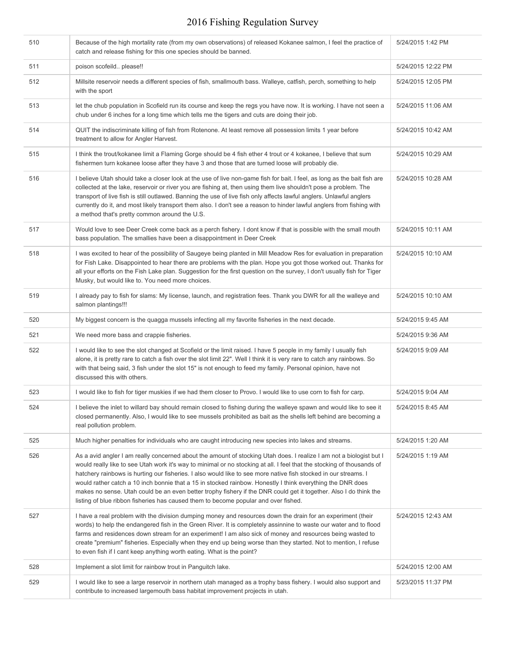| 510 | Because of the high mortality rate (from my own observations) of released Kokanee salmon, I feel the practice of<br>catch and release fishing for this one species should be banned.                                                                                                                                                                                                                                                                                                                                                                                                                                                                                                       | 5/24/2015 1:42 PM  |
|-----|--------------------------------------------------------------------------------------------------------------------------------------------------------------------------------------------------------------------------------------------------------------------------------------------------------------------------------------------------------------------------------------------------------------------------------------------------------------------------------------------------------------------------------------------------------------------------------------------------------------------------------------------------------------------------------------------|--------------------|
| 511 | poison scofeild please!!                                                                                                                                                                                                                                                                                                                                                                                                                                                                                                                                                                                                                                                                   | 5/24/2015 12:22 PM |
| 512 | Millsite reservoir needs a different species of fish, smallmouth bass. Walleye, catfish, perch, something to help<br>with the sport                                                                                                                                                                                                                                                                                                                                                                                                                                                                                                                                                        | 5/24/2015 12:05 PM |
| 513 | let the chub population in Scofield run its course and keep the regs you have now. It is working. I have not seen a<br>chub under 6 inches for a long time which tells me the tigers and cuts are doing their job.                                                                                                                                                                                                                                                                                                                                                                                                                                                                         | 5/24/2015 11:06 AM |
| 514 | QUIT the indiscriminate killing of fish from Rotenone. At least remove all possession limits 1 year before<br>treatment to allow for Angler Harvest.                                                                                                                                                                                                                                                                                                                                                                                                                                                                                                                                       | 5/24/2015 10:42 AM |
| 515 | I think the trout/kokanee limit a Flaming Gorge should be 4 fish ether 4 trout or 4 kokanee, I believe that sum<br>fishermen turn kokanee loose after they have 3 and those that are turned loose will probably die.                                                                                                                                                                                                                                                                                                                                                                                                                                                                       | 5/24/2015 10:29 AM |
| 516 | I believe Utah should take a closer look at the use of live non-game fish for bait. I feel, as long as the bait fish are<br>collected at the lake, reservoir or river you are fishing at, then using them live shouldn't pose a problem. The<br>transport of live fish is still outlawed. Banning the use of live fish only affects lawful anglers. Unlawful anglers<br>currently do it, and most likely transport them also. I don't see a reason to hinder lawful anglers from fishing with<br>a method that's pretty common around the U.S.                                                                                                                                             | 5/24/2015 10:28 AM |
| 517 | Would love to see Deer Creek come back as a perch fishery. I dont know if that is possible with the small mouth<br>bass population. The smallies have been a disappointment in Deer Creek                                                                                                                                                                                                                                                                                                                                                                                                                                                                                                  | 5/24/2015 10:11 AM |
| 518 | I was excited to hear of the possibility of Saugeye being planted in Mill Meadow Res for evaluation in preparation<br>for Fish Lake. Disappointed to hear there are problems with the plan. Hope you got those worked out. Thanks for<br>all your efforts on the Fish Lake plan. Suggestion for the first question on the survey, I don't usually fish for Tiger<br>Musky, but would like to. You need more choices.                                                                                                                                                                                                                                                                       | 5/24/2015 10:10 AM |
| 519 | I already pay to fish for slams: My license, launch, and registration fees. Thank you DWR for all the walleye and<br>salmon plantings!!!                                                                                                                                                                                                                                                                                                                                                                                                                                                                                                                                                   | 5/24/2015 10:10 AM |
| 520 | My biggest concern is the quagga mussels infecting all my favorite fisheries in the next decade.                                                                                                                                                                                                                                                                                                                                                                                                                                                                                                                                                                                           | 5/24/2015 9:45 AM  |
| 521 | We need more bass and crappie fisheries.                                                                                                                                                                                                                                                                                                                                                                                                                                                                                                                                                                                                                                                   | 5/24/2015 9:36 AM  |
| 522 | I would like to see the slot changed at Scofield or the limit raised. I have 5 people in my family I usually fish<br>alone, it is pretty rare to catch a fish over the slot limit 22". Well I think it is very rare to catch any rainbows. So<br>with that being said, 3 fish under the slot 15" is not enough to feed my family. Personal opinion, have not<br>discussed this with others.                                                                                                                                                                                                                                                                                                | 5/24/2015 9:09 AM  |
| 523 | I would like to fish for tiger muskies if we had them closer to Provo. I would like to use corn to fish for carp.                                                                                                                                                                                                                                                                                                                                                                                                                                                                                                                                                                          | 5/24/2015 9:04 AM  |
| 524 | I believe the inlet to willard bay should remain closed to fishing during the walleye spawn and would like to see it<br>closed permanently. Also, I would like to see mussels prohibited as bait as the shells left behind are becoming a<br>real pollution problem.                                                                                                                                                                                                                                                                                                                                                                                                                       | 5/24/2015 8:45 AM  |
| 525 | Much higher penalties for individuals who are caught introducing new species into lakes and streams.                                                                                                                                                                                                                                                                                                                                                                                                                                                                                                                                                                                       | 5/24/2015 1:20 AM  |
| 526 | As a avid angler I am really concerned about the amount of stocking Utah does. I realize I am not a biologist but I<br>would really like to see Utah work it's way to minimal or no stocking at all. I feel that the stocking of thousands of<br>hatchery rainbows is hurting our fisheries. I also would like to see more native fish stocked in our streams. I<br>would rather catch a 10 inch bonnie that a 15 in stocked rainbow. Honestly I think everything the DNR does<br>makes no sense. Utah could be an even better trophy fishery if the DNR could get it together. Also I do think the<br>listing of blue ribbon fisheries has caused them to become popular and over fished. | 5/24/2015 1:19 AM  |
| 527 | I have a real problem with the division dumping money and resources down the drain for an experiment (their<br>words) to help the endangered fish in the Green River. It is completely assinnine to waste our water and to flood<br>farms and residences down stream for an experiment! I am also sick of money and resources being wasted to<br>create "premium" fisheries. Especially when they end up being worse than they started. Not to mention, I refuse<br>to even fish if I cant keep anything worth eating. What is the point?                                                                                                                                                  | 5/24/2015 12:43 AM |
| 528 | Implement a slot limit for rainbow trout in Panguitch lake.                                                                                                                                                                                                                                                                                                                                                                                                                                                                                                                                                                                                                                | 5/24/2015 12:00 AM |
| 529 | I would like to see a large reservoir in northern utah managed as a trophy bass fishery. I would also support and<br>contribute to increased largemouth bass habitat improvement projects in utah.                                                                                                                                                                                                                                                                                                                                                                                                                                                                                         | 5/23/2015 11:37 PM |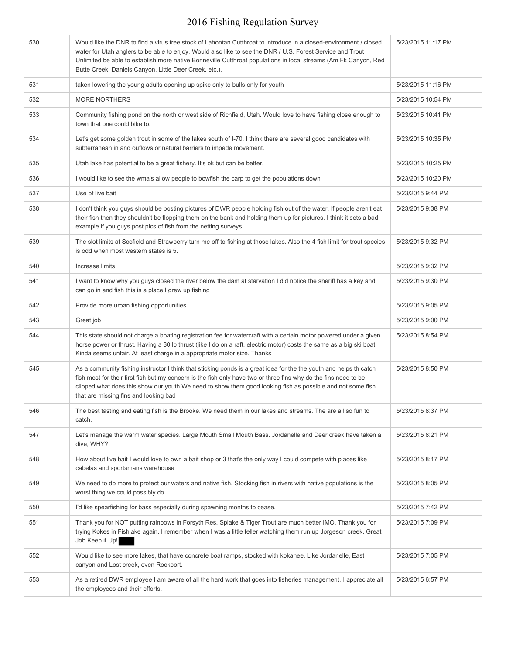| 530 | Would like the DNR to find a virus free stock of Lahontan Cutthroat to introduce in a closed-environment / closed<br>water for Utah anglers to be able to enjoy. Would also like to see the DNR / U.S. Forest Service and Trout<br>Unlimited be able to establish more native Bonneville Cutthroat populations in local streams (Am Fk Canyon, Red<br>Butte Creek, Daniels Canyon, Little Deer Creek, etc.). | 5/23/2015 11:17 PM |
|-----|--------------------------------------------------------------------------------------------------------------------------------------------------------------------------------------------------------------------------------------------------------------------------------------------------------------------------------------------------------------------------------------------------------------|--------------------|
| 531 | taken lowering the young adults opening up spike only to bulls only for youth                                                                                                                                                                                                                                                                                                                                | 5/23/2015 11:16 PM |
| 532 | <b>MORE NORTHERS</b>                                                                                                                                                                                                                                                                                                                                                                                         | 5/23/2015 10:54 PM |
| 533 | Community fishing pond on the north or west side of Richfield, Utah. Would love to have fishing close enough to<br>town that one could bike to.                                                                                                                                                                                                                                                              | 5/23/2015 10:41 PM |
| 534 | Let's get some golden trout in some of the lakes south of I-70. I think there are several good candidates with<br>subterranean in and ouflows or natural barriers to impede movement.                                                                                                                                                                                                                        | 5/23/2015 10:35 PM |
| 535 | Utah lake has potential to be a great fishery. It's ok but can be better.                                                                                                                                                                                                                                                                                                                                    | 5/23/2015 10:25 PM |
| 536 | I would like to see the wma's allow people to bowfish the carp to get the populations down                                                                                                                                                                                                                                                                                                                   | 5/23/2015 10:20 PM |
| 537 | Use of live bait                                                                                                                                                                                                                                                                                                                                                                                             | 5/23/2015 9:44 PM  |
| 538 | I don't think you guys should be posting pictures of DWR people holding fish out of the water. If people aren't eat<br>their fish then they shouldn't be flopping them on the bank and holding them up for pictures. I think it sets a bad<br>example if you guys post pics of fish from the netting surveys.                                                                                                | 5/23/2015 9:38 PM  |
| 539 | The slot limits at Scofield and Strawberry turn me off to fishing at those lakes. Also the 4 fish limit for trout species<br>is odd when most western states is 5.                                                                                                                                                                                                                                           | 5/23/2015 9:32 PM  |
| 540 | Increase limits                                                                                                                                                                                                                                                                                                                                                                                              | 5/23/2015 9:32 PM  |
| 541 | I want to know why you guys closed the river below the dam at starvation I did notice the sheriff has a key and<br>can go in and fish this is a place I grew up fishing                                                                                                                                                                                                                                      | 5/23/2015 9:30 PM  |
| 542 | Provide more urban fishing opportunities.                                                                                                                                                                                                                                                                                                                                                                    | 5/23/2015 9:05 PM  |
| 543 | Great job                                                                                                                                                                                                                                                                                                                                                                                                    | 5/23/2015 9:00 PM  |
| 544 | This state should not charge a boating registration fee for watercraft with a certain motor powered under a given<br>horse power or thrust. Having a 30 lb thrust (like I do on a raft, electric motor) costs the same as a big ski boat.<br>Kinda seems unfair. At least charge in a appropriate motor size. Thanks                                                                                         | 5/23/2015 8:54 PM  |
| 545 | As a community fishing instructor I think that sticking ponds is a great idea for the the youth and helps th catch<br>fish most for their first fish but my concern is the fish only have two or three fins why do the fins need to be<br>clipped what does this show our youth We need to show them good looking fish as possible and not some fish<br>that are missing fins and looking bad                | 5/23/2015 8:50 PM  |
| 546 | The best tasting and eating fish is the Brooke. We need them in our lakes and streams. The are all so fun to<br>catch.                                                                                                                                                                                                                                                                                       | 5/23/2015 8:37 PM  |
| 547 | Let's manage the warm water species. Large Mouth Small Mouth Bass. Jordanelle and Deer creek have taken a<br>dive, WHY?                                                                                                                                                                                                                                                                                      | 5/23/2015 8:21 PM  |
| 548 | How about live bait I would love to own a bait shop or 3 that's the only way I could compete with places like<br>cabelas and sportsmans warehouse                                                                                                                                                                                                                                                            | 5/23/2015 8:17 PM  |
| 549 | We need to do more to protect our waters and native fish. Stocking fish in rivers with native populations is the<br>worst thing we could possibly do.                                                                                                                                                                                                                                                        | 5/23/2015 8:05 PM  |
| 550 | I'd like spearfishing for bass especially during spawning months to cease.                                                                                                                                                                                                                                                                                                                                   | 5/23/2015 7:42 PM  |
| 551 | Thank you for NOT putting rainbows in Forsyth Res. Splake & Tiger Trout are much better IMO. Thank you for<br>trying Kokes in Fishlake again. I remember when I was a little feller watching them run up Jorgeson creek. Great<br>Job Keep it Up!                                                                                                                                                            | 5/23/2015 7:09 PM  |
| 552 | Would like to see more lakes, that have concrete boat ramps, stocked with kokanee. Like Jordanelle, East<br>canyon and Lost creek, even Rockport.                                                                                                                                                                                                                                                            | 5/23/2015 7:05 PM  |
| 553 | As a retired DWR employee I am aware of all the hard work that goes into fisheries management. I appreciate all<br>the employees and their efforts.                                                                                                                                                                                                                                                          | 5/23/2015 6:57 PM  |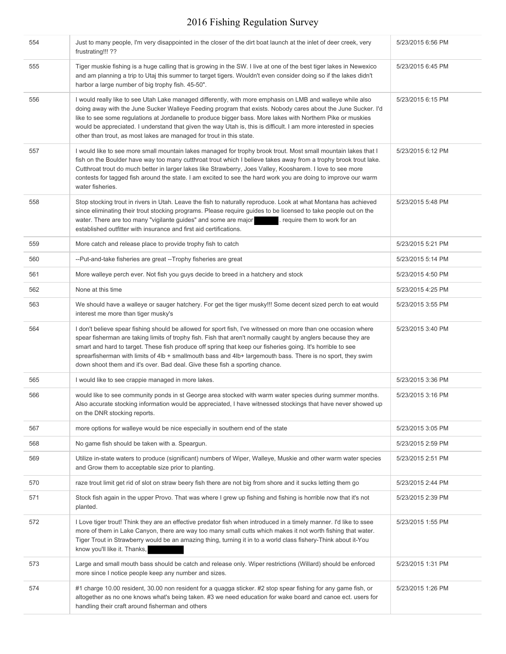| 554 | Just to many people, I'm very disappointed in the closer of the dirt boat launch at the inlet of deer creek, very<br>frustrating!!! ??                                                                                                                                                                                                                                                                                                                                                                                                        | 5/23/2015 6:56 PM |
|-----|-----------------------------------------------------------------------------------------------------------------------------------------------------------------------------------------------------------------------------------------------------------------------------------------------------------------------------------------------------------------------------------------------------------------------------------------------------------------------------------------------------------------------------------------------|-------------------|
| 555 | Tiger muskie fishing is a huge calling that is growing in the SW. I live at one of the best tiger lakes in Newexico<br>and am planning a trip to Utaj this summer to target tigers. Wouldn't even consider doing so if the lakes didn't<br>harbor a large number of big trophy fish. 45-50".                                                                                                                                                                                                                                                  | 5/23/2015 6:45 PM |
| 556 | I would really like to see Utah Lake managed differently, with more emphasis on LMB and walleye while also<br>doing away with the June Sucker Walleye Feeding program that exists. Nobody cares about the June Sucker. I'd<br>like to see some regulations at Jordanelle to produce bigger bass. More lakes with Northern Pike or muskies<br>would be appreciated. I understand that given the way Utah is, this is difficult. I am more interested in species<br>other than trout, as most lakes are managed for trout in this state.        | 5/23/2015 6:15 PM |
| 557 | I would like to see more small mountain lakes managed for trophy brook trout. Most small mountain lakes that I<br>fish on the Boulder have way too many cutthroat trout which I believe takes away from a trophy brook trout lake.<br>Cutthroat trout do much better in larger lakes like Strawberry, Joes Valley, Koosharem. I love to see more<br>contests for tagged fish around the state. I am excited to see the hard work you are doing to improve our warm<br>water fisheries.                                                        | 5/23/2015 6:12 PM |
| 558 | Stop stocking trout in rivers in Utah. Leave the fish to naturally reproduce. Look at what Montana has achieved<br>since eliminating their trout stocking programs. Please require guides to be licensed to take people out on the<br>water. There are too many "vigilante guides" and some are major<br>. require them to work for an<br>established outfitter with insurance and first aid certifications.                                                                                                                                  | 5/23/2015 5:48 PM |
| 559 | More catch and release place to provide trophy fish to catch                                                                                                                                                                                                                                                                                                                                                                                                                                                                                  | 5/23/2015 5:21 PM |
| 560 | --Put-and-take fisheries are great --Trophy fisheries are great                                                                                                                                                                                                                                                                                                                                                                                                                                                                               | 5/23/2015 5:14 PM |
| 561 | More walleye perch ever. Not fish you guys decide to breed in a hatchery and stock                                                                                                                                                                                                                                                                                                                                                                                                                                                            | 5/23/2015 4:50 PM |
| 562 | None at this time                                                                                                                                                                                                                                                                                                                                                                                                                                                                                                                             | 5/23/2015 4:25 PM |
| 563 | We should have a walleye or sauger hatchery. For get the tiger musky!!! Some decent sized perch to eat would<br>interest me more than tiger musky's                                                                                                                                                                                                                                                                                                                                                                                           | 5/23/2015 3:55 PM |
| 564 | I don't believe spear fishing should be allowed for sport fish, I've witnessed on more than one occasion where<br>spear fisherman are taking limits of trophy fish. Fish that aren't normally caught by anglers because they are<br>smart and hard to target. These fish produce off spring that keep our fisheries going. It's horrible to see<br>sprearfisherman with limits of 4lb + smallmouth bass and 4lb+ largemouth bass. There is no sport, they swim<br>down shoot them and it's over. Bad deal. Give these fish a sporting chance. | 5/23/2015 3:40 PM |
| 565 | I would like to see crappie managed in more lakes.                                                                                                                                                                                                                                                                                                                                                                                                                                                                                            | 5/23/2015 3:36 PM |
| 566 | would like to see community ponds in st George area stocked with warm water species during summer months.<br>Also accurate stocking information would be appreciated, I have witnessed stockings that have never showed up<br>on the DNR stocking reports.                                                                                                                                                                                                                                                                                    | 5/23/2015 3:16 PM |
| 567 | more options for walleye would be nice especially in southern end of the state                                                                                                                                                                                                                                                                                                                                                                                                                                                                | 5/23/2015 3:05 PM |
| 568 | No game fish should be taken with a. Speargun.                                                                                                                                                                                                                                                                                                                                                                                                                                                                                                | 5/23/2015 2:59 PM |
| 569 | Utilize in-state waters to produce (significant) numbers of Wiper, Walleye, Muskie and other warm water species<br>and Grow them to acceptable size prior to planting.                                                                                                                                                                                                                                                                                                                                                                        | 5/23/2015 2:51 PM |
| 570 | raze trout limit get rid of slot on straw beery fish there are not big from shore and it sucks letting them go                                                                                                                                                                                                                                                                                                                                                                                                                                | 5/23/2015 2:44 PM |
| 571 | Stock fish again in the upper Provo. That was where I grew up fishing and fishing is horrible now that it's not<br>planted.                                                                                                                                                                                                                                                                                                                                                                                                                   | 5/23/2015 2:39 PM |
| 572 | I Love tiger trout! Think they are an effective predator fish when introduced in a timely manner. I'd like to ssee<br>more of them in Lake Canyon, there are way too many small cutts which makes it not worth fishing that water.<br>Tiger Trout in Strawberry would be an amazing thing, turning it in to a world class fishery-Think about it-You<br>know you'll like it. Thanks,                                                                                                                                                          | 5/23/2015 1:55 PM |
| 573 | Large and small mouth bass should be catch and release only. Wiper restrictions (Willard) should be enforced<br>more since I notice people keep any number and sizes.                                                                                                                                                                                                                                                                                                                                                                         | 5/23/2015 1:31 PM |
| 574 | #1 charge 10.00 resident, 30.00 non resident for a quagga sticker. #2 stop spear fishing for any game fish, or<br>altogether as no one knows what's being taken. #3 we need education for wake board and canoe ect. users for<br>handling their craft around fisherman and others                                                                                                                                                                                                                                                             | 5/23/2015 1:26 PM |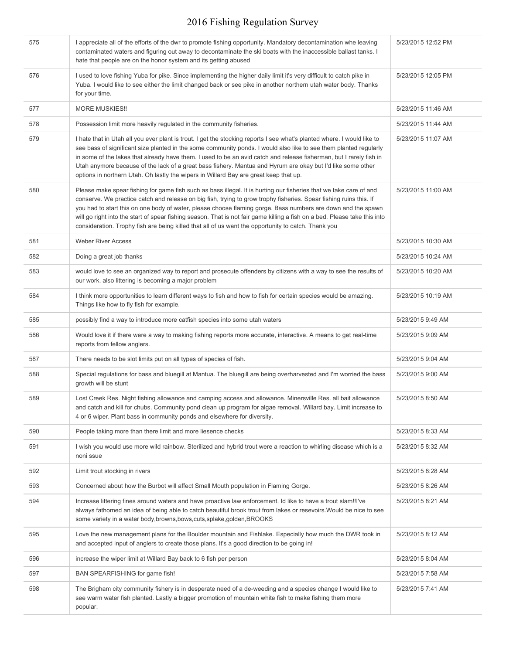| 575 | I appreciate all of the efforts of the dwr to promote fishing opportunity. Mandatory decontamination whe leaving<br>contaminated waters and figuring out away to decontaminate the ski boats with the inaccessible ballast tanks. I<br>hate that people are on the honor system and its getting abused                                                                                                                                                                                                                                                                                        | 5/23/2015 12:52 PM |
|-----|-----------------------------------------------------------------------------------------------------------------------------------------------------------------------------------------------------------------------------------------------------------------------------------------------------------------------------------------------------------------------------------------------------------------------------------------------------------------------------------------------------------------------------------------------------------------------------------------------|--------------------|
| 576 | I used to love fishing Yuba for pike. Since implementing the higher daily limit it's very difficult to catch pike in<br>Yuba. I would like to see either the limit changed back or see pike in another northern utah water body. Thanks<br>for your time.                                                                                                                                                                                                                                                                                                                                     | 5/23/2015 12:05 PM |
| 577 | <b>MORE MUSKIES!!</b>                                                                                                                                                                                                                                                                                                                                                                                                                                                                                                                                                                         | 5/23/2015 11:46 AM |
| 578 | Possession limit more heavily regulated in the community fisheries.                                                                                                                                                                                                                                                                                                                                                                                                                                                                                                                           | 5/23/2015 11:44 AM |
| 579 | I hate that in Utah all you ever plant is trout. I get the stocking reports I see what's planted where. I would like to<br>see bass of significant size planted in the some community ponds. I would also like to see them planted regularly<br>in some of the lakes that already have them. I used to be an avid catch and release fisherman, but I rarely fish in<br>Utah anymore because of the lack of a great bass fishery. Mantua and Hyrum are okay but I'd like some other<br>options in northern Utah. Oh lastly the wipers in Willard Bay are great keep that up.                   | 5/23/2015 11:07 AM |
| 580 | Please make spear fishing for game fish such as bass illegal. It is hurting our fisheries that we take care of and<br>conserve. We practice catch and release on big fish, trying to grow trophy fisheries. Spear fishing ruins this. If<br>you had to start this on one body of water, please choose flaming gorge. Bass numbers are down and the spawn<br>will go right into the start of spear fishing season. That is not fair game killing a fish on a bed. Please take this into<br>consideration. Trophy fish are being killed that all of us want the opportunity to catch. Thank you | 5/23/2015 11:00 AM |
| 581 | <b>Weber River Access</b>                                                                                                                                                                                                                                                                                                                                                                                                                                                                                                                                                                     | 5/23/2015 10:30 AM |
| 582 | Doing a great job thanks                                                                                                                                                                                                                                                                                                                                                                                                                                                                                                                                                                      | 5/23/2015 10:24 AM |
| 583 | would love to see an organized way to report and prosecute offenders by citizens with a way to see the results of<br>our work. also littering is becoming a major problem                                                                                                                                                                                                                                                                                                                                                                                                                     | 5/23/2015 10:20 AM |
| 584 | I think more opportunities to learn different ways to fish and how to fish for certain species would be amazing.<br>Things like how to fly fish for example.                                                                                                                                                                                                                                                                                                                                                                                                                                  | 5/23/2015 10:19 AM |
| 585 | possibly find a way to introduce more catfish species into some utah waters                                                                                                                                                                                                                                                                                                                                                                                                                                                                                                                   | 5/23/2015 9:49 AM  |
| 586 | Would love it if there were a way to making fishing reports more accurate, interactive. A means to get real-time<br>reports from fellow anglers.                                                                                                                                                                                                                                                                                                                                                                                                                                              | 5/23/2015 9:09 AM  |
| 587 | There needs to be slot limits put on all types of species of fish.                                                                                                                                                                                                                                                                                                                                                                                                                                                                                                                            | 5/23/2015 9:04 AM  |
| 588 | Special regulations for bass and bluegill at Mantua. The bluegill are being overharvested and I'm worried the bass<br>growth will be stunt                                                                                                                                                                                                                                                                                                                                                                                                                                                    | 5/23/2015 9:00 AM  |
| 589 | Lost Creek Res. Night fishing allowance and camping access and allowance. Minersville Res. all bait allowance<br>and catch and kill for chubs. Community pond clean up program for algae removal. Willard bay. Limit increase to<br>4 or 6 wiper. Plant bass in community ponds and elsewhere for diversity.                                                                                                                                                                                                                                                                                  | 5/23/2015 8:50 AM  |
| 590 | People taking more than there limit and more liesence checks                                                                                                                                                                                                                                                                                                                                                                                                                                                                                                                                  | 5/23/2015 8:33 AM  |
| 591 | I wish you would use more wild rainbow. Sterilized and hybrid trout were a reaction to whirling disease which is a<br>noni ssue                                                                                                                                                                                                                                                                                                                                                                                                                                                               | 5/23/2015 8:32 AM  |
| 592 | Limit trout stocking in rivers                                                                                                                                                                                                                                                                                                                                                                                                                                                                                                                                                                | 5/23/2015 8:28 AM  |
| 593 | Concerned about how the Burbot will affect Small Mouth population in Flaming Gorge.                                                                                                                                                                                                                                                                                                                                                                                                                                                                                                           | 5/23/2015 8:26 AM  |
| 594 | Increase littering fines around waters and have proactive law enforcement. Id like to have a trout slam!!!'ve<br>always fathomed an idea of being able to catch beautiful brook trout from lakes or resevoirs. Would be nice to see<br>some variety in a water body, browns, bows, cuts, splake, golden, BROOKS                                                                                                                                                                                                                                                                               | 5/23/2015 8:21 AM  |
| 595 | Love the new management plans for the Boulder mountain and Fishlake. Especially how much the DWR took in<br>and accepted input of anglers to create those plans. It's a good direction to be going in!                                                                                                                                                                                                                                                                                                                                                                                        | 5/23/2015 8:12 AM  |
| 596 | increase the wiper limit at Willard Bay back to 6 fish per person                                                                                                                                                                                                                                                                                                                                                                                                                                                                                                                             | 5/23/2015 8:04 AM  |
| 597 | BAN SPEARFISHING for game fish!                                                                                                                                                                                                                                                                                                                                                                                                                                                                                                                                                               | 5/23/2015 7:58 AM  |
| 598 | The Brigham city community fishery is in desperate need of a de-weeding and a species change I would like to<br>see warm water fish planted. Lastly a bigger promotion of mountain white fish to make fishing them more<br>popular.                                                                                                                                                                                                                                                                                                                                                           | 5/23/2015 7:41 AM  |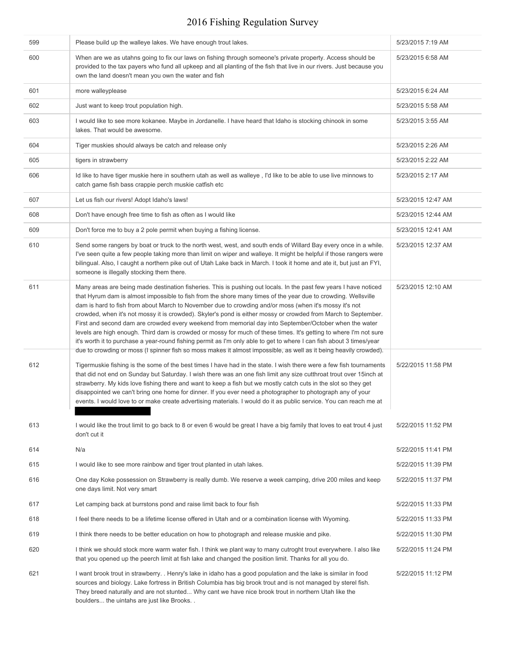| 599 | Please build up the walleye lakes. We have enough trout lakes.                                                                                                                                                                                                                                                                                                                                                                                                                                                                                                                                                                                                                                                                                                                                                                                                                                                                             | 5/23/2015 7:19 AM  |
|-----|--------------------------------------------------------------------------------------------------------------------------------------------------------------------------------------------------------------------------------------------------------------------------------------------------------------------------------------------------------------------------------------------------------------------------------------------------------------------------------------------------------------------------------------------------------------------------------------------------------------------------------------------------------------------------------------------------------------------------------------------------------------------------------------------------------------------------------------------------------------------------------------------------------------------------------------------|--------------------|
| 600 | When are we as utahns going to fix our laws on fishing through someone's private property. Access should be<br>provided to the tax payers who fund all upkeep and all planting of the fish that live in our rivers. Just because you<br>own the land doesn't mean you own the water and fish                                                                                                                                                                                                                                                                                                                                                                                                                                                                                                                                                                                                                                               | 5/23/2015 6:58 AM  |
| 601 | more walleyplease                                                                                                                                                                                                                                                                                                                                                                                                                                                                                                                                                                                                                                                                                                                                                                                                                                                                                                                          | 5/23/2015 6:24 AM  |
| 602 | Just want to keep trout population high.                                                                                                                                                                                                                                                                                                                                                                                                                                                                                                                                                                                                                                                                                                                                                                                                                                                                                                   | 5/23/2015 5:58 AM  |
| 603 | I would like to see more kokanee. Maybe in Jordanelle. I have heard that Idaho is stocking chinook in some<br>lakes. That would be awesome.                                                                                                                                                                                                                                                                                                                                                                                                                                                                                                                                                                                                                                                                                                                                                                                                | 5/23/2015 3:55 AM  |
| 604 | Tiger muskies should always be catch and release only                                                                                                                                                                                                                                                                                                                                                                                                                                                                                                                                                                                                                                                                                                                                                                                                                                                                                      | 5/23/2015 2:26 AM  |
| 605 | tigers in strawberry                                                                                                                                                                                                                                                                                                                                                                                                                                                                                                                                                                                                                                                                                                                                                                                                                                                                                                                       | 5/23/2015 2:22 AM  |
| 606 | Id like to have tiger muskie here in southern utah as well as walleye, I'd like to be able to use live minnows to<br>catch game fish bass crappie perch muskie catfish etc                                                                                                                                                                                                                                                                                                                                                                                                                                                                                                                                                                                                                                                                                                                                                                 | 5/23/2015 2:17 AM  |
| 607 | Let us fish our rivers! Adopt Idaho's laws!                                                                                                                                                                                                                                                                                                                                                                                                                                                                                                                                                                                                                                                                                                                                                                                                                                                                                                | 5/23/2015 12:47 AM |
| 608 | Don't have enough free time to fish as often as I would like                                                                                                                                                                                                                                                                                                                                                                                                                                                                                                                                                                                                                                                                                                                                                                                                                                                                               | 5/23/2015 12:44 AM |
| 609 | Don't force me to buy a 2 pole permit when buying a fishing license.                                                                                                                                                                                                                                                                                                                                                                                                                                                                                                                                                                                                                                                                                                                                                                                                                                                                       | 5/23/2015 12:41 AM |
| 610 | Send some rangers by boat or truck to the north west, west, and south ends of Willard Bay every once in a while.<br>I've seen quite a few people taking more than limit on wiper and walleye. It might be helpful if those rangers were<br>bilingual. Also, I caught a northern pike out of Utah Lake back in March. I took it home and ate it, but just an FYI,<br>someone is illegally stocking them there.                                                                                                                                                                                                                                                                                                                                                                                                                                                                                                                              | 5/23/2015 12:37 AM |
| 611 | Many areas are being made destination fisheries. This is pushing out locals. In the past few years I have noticed<br>that Hyrum dam is almost impossible to fish from the shore many times of the year due to crowding. Wellsville<br>dam is hard to fish from about March to November due to crowding and/or moss (when it's mossy it's not<br>crowded, when it's not mossy it is crowded). Skyler's pond is either mossy or crowded from March to September.<br>First and second dam are crowded every weekend from memorial day into September/October when the water<br>levels are high enough. Third dam is crowded or mossy for much of these times. It's getting to where I'm not sure<br>it's worth it to purchase a year-round fishing permit as I'm only able to get to where I can fish about 3 times/year<br>due to crowding or moss (I spinner fish so moss makes it almost impossible, as well as it being heavily crowded). | 5/23/2015 12:10 AM |
| 612 | Tigermuskie fishing is the some of the best times I have had in the state. I wish there were a few fish tournaments<br>that did not end on Sunday but Saturday. I wish there was an one fish limit any size cutthroat trout over 15inch at<br>strawberry. My kids love fishing there and want to keep a fish but we mostly catch cuts in the slot so they get<br>disappointed we can't bring one home for dinner. If you ever need a photographer to photograph any of your<br>events. I would love to or make create advertising materials. I would do it as public service. You can reach me at                                                                                                                                                                                                                                                                                                                                          | 5/22/2015 11:58 PM |
| 613 | I would like the trout limit to go back to 8 or even 6 would be great I have a big family that loves to eat trout 4 just<br>don't cut it                                                                                                                                                                                                                                                                                                                                                                                                                                                                                                                                                                                                                                                                                                                                                                                                   | 5/22/2015 11:52 PM |
| 614 | N/a                                                                                                                                                                                                                                                                                                                                                                                                                                                                                                                                                                                                                                                                                                                                                                                                                                                                                                                                        | 5/22/2015 11:41 PM |
| 615 | I would like to see more rainbow and tiger trout planted in utah lakes.                                                                                                                                                                                                                                                                                                                                                                                                                                                                                                                                                                                                                                                                                                                                                                                                                                                                    | 5/22/2015 11:39 PM |
| 616 | One day Koke possession on Strawberry is really dumb. We reserve a week camping, drive 200 miles and keep<br>one days limit. Not very smart                                                                                                                                                                                                                                                                                                                                                                                                                                                                                                                                                                                                                                                                                                                                                                                                | 5/22/2015 11:37 PM |
| 617 | Let camping back at burrstons pond and raise limit back to four fish                                                                                                                                                                                                                                                                                                                                                                                                                                                                                                                                                                                                                                                                                                                                                                                                                                                                       | 5/22/2015 11:33 PM |
| 618 | I feel there needs to be a lifetime license offered in Utah and or a combination license with Wyoming.                                                                                                                                                                                                                                                                                                                                                                                                                                                                                                                                                                                                                                                                                                                                                                                                                                     | 5/22/2015 11:33 PM |
| 619 | I think there needs to be better education on how to photograph and release muskie and pike.                                                                                                                                                                                                                                                                                                                                                                                                                                                                                                                                                                                                                                                                                                                                                                                                                                               | 5/22/2015 11:30 PM |
| 620 | I think we should stock more warm water fish. I think we plant way to many cutroght trout everywhere. I also like<br>that you opened up the peerch limit at fish lake and changed the position limit. Thanks for all you do.                                                                                                                                                                                                                                                                                                                                                                                                                                                                                                                                                                                                                                                                                                               | 5/22/2015 11:24 PM |
| 621 | I want brook trout in strawberry. . Henry's lake in idaho has a good population and the lake is similar in food<br>sources and biology. Lake fortress in British Columbia has big brook trout and is not managed by sterel fish.<br>They breed naturally and are not stunted Why cant we have nice brook trout in northern Utah like the<br>boulders the uintahs are just like Brooks                                                                                                                                                                                                                                                                                                                                                                                                                                                                                                                                                      | 5/22/2015 11:12 PM |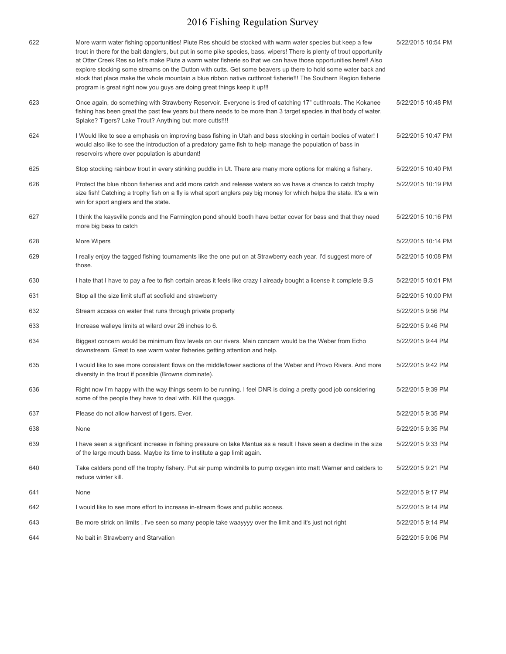| 622 | More warm water fishing opportunities! Piute Res should be stocked with warm water species but keep a few<br>trout in there for the bait danglers, but put in some pike species, bass, wipers! There is plenty of trout opportunity<br>at Otter Creek Res so let's make Piute a warm water fisherie so that we can have those opportunities here!! Also<br>explore stocking some streams on the Dutton with cutts. Get some beavers up there to hold some water back and<br>stock that place make the whole mountain a blue ribbon native cutthroat fisherie!!! The Southern Region fisherie<br>program is great right now you guys are doing great things keep it up!!! | 5/22/2015 10:54 PM |
|-----|--------------------------------------------------------------------------------------------------------------------------------------------------------------------------------------------------------------------------------------------------------------------------------------------------------------------------------------------------------------------------------------------------------------------------------------------------------------------------------------------------------------------------------------------------------------------------------------------------------------------------------------------------------------------------|--------------------|
| 623 | Once again, do something with Strawberry Reservoir. Everyone is tired of catching 17" cutthroats. The Kokanee<br>fishing has been great the past few years but there needs to be more than 3 target species in that body of water.<br>Splake? Tigers? Lake Trout? Anything but more cutts!!!!                                                                                                                                                                                                                                                                                                                                                                            | 5/22/2015 10:48 PM |
| 624 | I Would like to see a emphasis on improving bass fishing in Utah and bass stocking in certain bodies of water! I<br>would also like to see the introduction of a predatory game fish to help manage the population of bass in<br>reservoirs where over population is abundant!                                                                                                                                                                                                                                                                                                                                                                                           | 5/22/2015 10:47 PM |
| 625 | Stop stocking rainbow trout in every stinking puddle in Ut. There are many more options for making a fishery.                                                                                                                                                                                                                                                                                                                                                                                                                                                                                                                                                            | 5/22/2015 10:40 PM |
| 626 | Protect the blue ribbon fisheries and add more catch and release waters so we have a chance to catch trophy<br>size fish! Catching a trophy fish on a fly is what sport anglers pay big money for which helps the state. It's a win<br>win for sport anglers and the state.                                                                                                                                                                                                                                                                                                                                                                                              | 5/22/2015 10:19 PM |
| 627 | I think the kaysville ponds and the Farmington pond should booth have better cover for bass and that they need<br>more big bass to catch                                                                                                                                                                                                                                                                                                                                                                                                                                                                                                                                 | 5/22/2015 10:16 PM |
| 628 | More Wipers                                                                                                                                                                                                                                                                                                                                                                                                                                                                                                                                                                                                                                                              | 5/22/2015 10:14 PM |
| 629 | I really enjoy the tagged fishing tournaments like the one put on at Strawberry each year. I'd suggest more of<br>those.                                                                                                                                                                                                                                                                                                                                                                                                                                                                                                                                                 | 5/22/2015 10:08 PM |
| 630 | I hate that I have to pay a fee to fish certain areas it feels like crazy I already bought a license it complete B.S                                                                                                                                                                                                                                                                                                                                                                                                                                                                                                                                                     | 5/22/2015 10:01 PM |
| 631 | Stop all the size limit stuff at scofield and strawberry                                                                                                                                                                                                                                                                                                                                                                                                                                                                                                                                                                                                                 | 5/22/2015 10:00 PM |
| 632 | Stream access on water that runs through private property                                                                                                                                                                                                                                                                                                                                                                                                                                                                                                                                                                                                                | 5/22/2015 9:56 PM  |
| 633 | Increase walleye limits at wilard over 26 inches to 6.                                                                                                                                                                                                                                                                                                                                                                                                                                                                                                                                                                                                                   | 5/22/2015 9:46 PM  |
| 634 | Biggest concern would be minimum flow levels on our rivers. Main concern would be the Weber from Echo<br>downstream. Great to see warm water fisheries getting attention and help.                                                                                                                                                                                                                                                                                                                                                                                                                                                                                       | 5/22/2015 9:44 PM  |
| 635 | I would like to see more consistent flows on the middle/lower sections of the Weber and Provo Rivers. And more<br>diversity in the trout if possible (Browns dominate).                                                                                                                                                                                                                                                                                                                                                                                                                                                                                                  | 5/22/2015 9:42 PM  |
| 636 | Right now I'm happy with the way things seem to be running. I feel DNR is doing a pretty good job considering<br>some of the people they have to deal with. Kill the quagga.                                                                                                                                                                                                                                                                                                                                                                                                                                                                                             | 5/22/2015 9:39 PM  |
| 637 | Please do not allow harvest of tigers. Ever.                                                                                                                                                                                                                                                                                                                                                                                                                                                                                                                                                                                                                             | 5/22/2015 9:35 PM  |
| 638 | None                                                                                                                                                                                                                                                                                                                                                                                                                                                                                                                                                                                                                                                                     | 5/22/2015 9:35 PM  |
| 639 | I have seen a significant increase in fishing pressure on lake Mantua as a result I have seen a decline in the size<br>of the large mouth bass. Maybe its time to institute a gap limit again.                                                                                                                                                                                                                                                                                                                                                                                                                                                                           | 5/22/2015 9:33 PM  |
| 640 | Take calders pond off the trophy fishery. Put air pump windmills to pump oxygen into matt Warner and calders to<br>reduce winter kill.                                                                                                                                                                                                                                                                                                                                                                                                                                                                                                                                   | 5/22/2015 9:21 PM  |
| 641 | None                                                                                                                                                                                                                                                                                                                                                                                                                                                                                                                                                                                                                                                                     | 5/22/2015 9:17 PM  |
| 642 | I would like to see more effort to increase in-stream flows and public access.                                                                                                                                                                                                                                                                                                                                                                                                                                                                                                                                                                                           | 5/22/2015 9:14 PM  |
| 643 | Be more strick on limits, I've seen so many people take waayyyy over the limit and it's just not right                                                                                                                                                                                                                                                                                                                                                                                                                                                                                                                                                                   | 5/22/2015 9:14 PM  |
| 644 | No bait in Strawberry and Starvation                                                                                                                                                                                                                                                                                                                                                                                                                                                                                                                                                                                                                                     | 5/22/2015 9:06 PM  |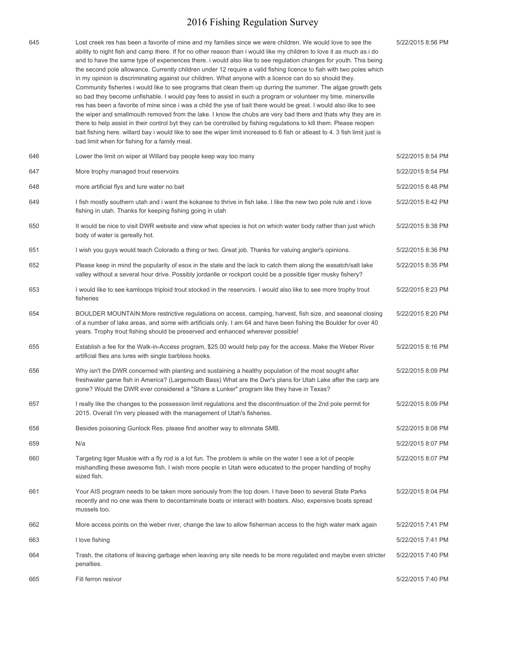| 645 | Lost creek res has been a favorite of mine and my families since we were children. We would love to see the<br>ability to night fish and camp there. If for no other reason than i would like my children to love it as much as i do<br>and to have the same type of experiences there. I would also like to see regulation changes for youth. This being<br>the second pole allowance. Currently children under 12 require a valid fishing licence to fiah with two poles which<br>in my opinion is discriminating against our children. What anyone with a licence can do so should they.<br>Community fisheries i would like to see programs that clean them up durring the summer. The algae growth gets<br>so bad they become unfishable. I would pay fees to assist in such a program or volunteer my time. minersville<br>res has been a favorite of mine since i was a child the yse of bait there would be great. I would also like to see<br>the wiper and smallmouth removed from the lake. I know the chubs are very bad there and thats why they are in<br>there to help assist in their control byt they can be controlled by fishing regulations to kill them. Please reopen<br>bait fishing here. willard bay i would like to see the wiper limit increased to 6 fish or atleast to 4. 3 fish limit just is<br>bad limit when for fishing for a family meal. | 5/22/2015 8:56 PM |
|-----|------------------------------------------------------------------------------------------------------------------------------------------------------------------------------------------------------------------------------------------------------------------------------------------------------------------------------------------------------------------------------------------------------------------------------------------------------------------------------------------------------------------------------------------------------------------------------------------------------------------------------------------------------------------------------------------------------------------------------------------------------------------------------------------------------------------------------------------------------------------------------------------------------------------------------------------------------------------------------------------------------------------------------------------------------------------------------------------------------------------------------------------------------------------------------------------------------------------------------------------------------------------------------------------------------------------------------------------------------------------------------|-------------------|
| 646 | Lower the limit on wiper at Willard bay people keep way too many                                                                                                                                                                                                                                                                                                                                                                                                                                                                                                                                                                                                                                                                                                                                                                                                                                                                                                                                                                                                                                                                                                                                                                                                                                                                                                             | 5/22/2015 8:54 PM |
| 647 | More trophy managed trout reservoirs                                                                                                                                                                                                                                                                                                                                                                                                                                                                                                                                                                                                                                                                                                                                                                                                                                                                                                                                                                                                                                                                                                                                                                                                                                                                                                                                         | 5/22/2015 8:54 PM |
| 648 | more artificial flys and lure water no bait                                                                                                                                                                                                                                                                                                                                                                                                                                                                                                                                                                                                                                                                                                                                                                                                                                                                                                                                                                                                                                                                                                                                                                                                                                                                                                                                  | 5/22/2015 8:48 PM |
| 649 | I fish mostly southern utah and i want the kokanee to thrive in fish lake. I like the new two pole rule and i love<br>fishing in utah. Thanks for keeping fishing going in utah                                                                                                                                                                                                                                                                                                                                                                                                                                                                                                                                                                                                                                                                                                                                                                                                                                                                                                                                                                                                                                                                                                                                                                                              | 5/22/2015 8:42 PM |
| 650 | It would be nice to visit DWR website and view what species is hot on which water body rather than just which<br>body of water is gereally hot.                                                                                                                                                                                                                                                                                                                                                                                                                                                                                                                                                                                                                                                                                                                                                                                                                                                                                                                                                                                                                                                                                                                                                                                                                              | 5/22/2015 8:38 PM |
| 651 | I wish you guys would teach Colorado a thing or two. Great job. Thanks for valuing angler's opinions.                                                                                                                                                                                                                                                                                                                                                                                                                                                                                                                                                                                                                                                                                                                                                                                                                                                                                                                                                                                                                                                                                                                                                                                                                                                                        | 5/22/2015 8:36 PM |
| 652 | Please keep in mind the popularity of esox in the state and the lack to catch them along the wasatch/salt lake<br>valley without a several hour drive. Possibly jordanlle or rockport could be a possible tiger musky fishery?                                                                                                                                                                                                                                                                                                                                                                                                                                                                                                                                                                                                                                                                                                                                                                                                                                                                                                                                                                                                                                                                                                                                               | 5/22/2015 8:35 PM |
| 653 | I would like to see kamloops triploid trout stocked in the reservoirs. I would also like to see more trophy trout<br>fisheries                                                                                                                                                                                                                                                                                                                                                                                                                                                                                                                                                                                                                                                                                                                                                                                                                                                                                                                                                                                                                                                                                                                                                                                                                                               | 5/22/2015 8:23 PM |
| 654 | BOULDER MOUNTAIN: More restrictive regulations on access, camping, harvest, fish size, and seasonal closing<br>of a number of lake areas, and some with artificials only. I am 64 and have been fishing the Boulder for over 40<br>years. Trophy trout fishing should be preserved and enhanced wherever possible!                                                                                                                                                                                                                                                                                                                                                                                                                                                                                                                                                                                                                                                                                                                                                                                                                                                                                                                                                                                                                                                           | 5/22/2015 8:20 PM |
| 655 | Establish a fee for the Walk-in-Access program, \$25.00 would help pay for the access. Make the Weber River<br>artificial flies ans lures with single barbless hooks.                                                                                                                                                                                                                                                                                                                                                                                                                                                                                                                                                                                                                                                                                                                                                                                                                                                                                                                                                                                                                                                                                                                                                                                                        | 5/22/2015 8:16 PM |
| 656 | Why isn't the DWR concerned with planting and sustaining a healthy population of the most sought after<br>freshwater game fish in America? (Largemouth Bass) What are the Dwr's plans for Utah Lake after the carp are<br>gone? Would the DWR ever considered a "Share a Lunker" program like they have in Texas?                                                                                                                                                                                                                                                                                                                                                                                                                                                                                                                                                                                                                                                                                                                                                                                                                                                                                                                                                                                                                                                            | 5/22/2015 8:09 PM |
| 657 | I really like the changes to the possession limit regulations and the discontinuation of the 2nd pole permit for<br>2015. Overall I'm very pleased with the management of Utah's fisheries.                                                                                                                                                                                                                                                                                                                                                                                                                                                                                                                                                                                                                                                                                                                                                                                                                                                                                                                                                                                                                                                                                                                                                                                  | 5/22/2015 8:09 PM |
| 658 | Besides poisoning Gunlock Res. please find another way to elimnate SMB.                                                                                                                                                                                                                                                                                                                                                                                                                                                                                                                                                                                                                                                                                                                                                                                                                                                                                                                                                                                                                                                                                                                                                                                                                                                                                                      | 5/22/2015 8:08 PM |
| 659 | N/a                                                                                                                                                                                                                                                                                                                                                                                                                                                                                                                                                                                                                                                                                                                                                                                                                                                                                                                                                                                                                                                                                                                                                                                                                                                                                                                                                                          | 5/22/2015 8:07 PM |
| 660 | Targeting tiger Muskie with a fly rod is a lot fun. The problem is while on the water I see a lot of people<br>mishandling these awesome fish. I wish more people in Utah were educated to the proper handling of trophy<br>sized fish.                                                                                                                                                                                                                                                                                                                                                                                                                                                                                                                                                                                                                                                                                                                                                                                                                                                                                                                                                                                                                                                                                                                                      | 5/22/2015 8:07 PM |
| 661 | Your AIS program needs to be taken more seriously from the top down. I have been to several State Parks<br>recently and no one was there to decontaminate boats or interact with boaters. Also, expensive boats spread<br>mussels too.                                                                                                                                                                                                                                                                                                                                                                                                                                                                                                                                                                                                                                                                                                                                                                                                                                                                                                                                                                                                                                                                                                                                       | 5/22/2015 8:04 PM |
| 662 | More access points on the weber river, change the law to allow fisherman access to the high water mark again                                                                                                                                                                                                                                                                                                                                                                                                                                                                                                                                                                                                                                                                                                                                                                                                                                                                                                                                                                                                                                                                                                                                                                                                                                                                 | 5/22/2015 7:41 PM |
| 663 | I love fishing                                                                                                                                                                                                                                                                                                                                                                                                                                                                                                                                                                                                                                                                                                                                                                                                                                                                                                                                                                                                                                                                                                                                                                                                                                                                                                                                                               | 5/22/2015 7:41 PM |
| 664 | Trash, the citations of leaving garbage when leaving any site needs to be more regulated and maybe even stricter<br>penalties.                                                                                                                                                                                                                                                                                                                                                                                                                                                                                                                                                                                                                                                                                                                                                                                                                                                                                                                                                                                                                                                                                                                                                                                                                                               | 5/22/2015 7:40 PM |
| 665 | Fill ferron resivor                                                                                                                                                                                                                                                                                                                                                                                                                                                                                                                                                                                                                                                                                                                                                                                                                                                                                                                                                                                                                                                                                                                                                                                                                                                                                                                                                          | 5/22/2015 7:40 PM |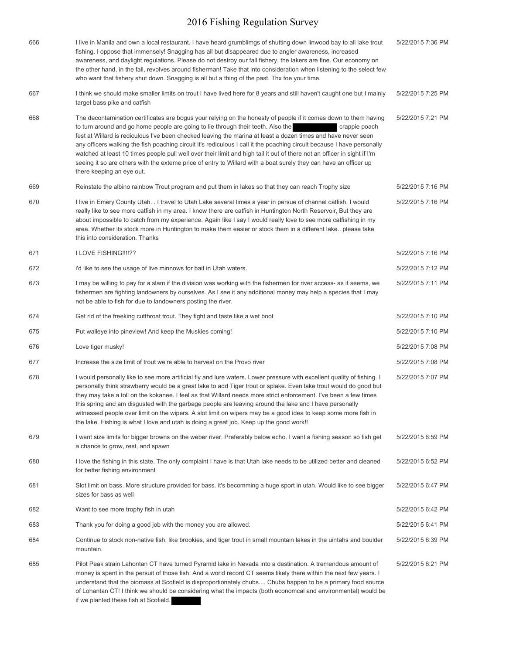| 666 | I live in Manila and own a local restaurant. I have heard grumblimgs of shutting down linwood bay to all lake trout<br>fishing. I oppose that immensely! Snagging has all but disappeared due to angler awareness, increased<br>awareness, and daylight regulations. Please do not destroy our fall fishery, the lakers are fine. Our economy on<br>the other hand, in the fall, revolves around fisherman! Take that into consideration when listening to the select few<br>who want that fishery shut down. Snagging is all but a thing of the past. Thx foe your time.                                                                                                                                                                      | 5/22/2015 7:36 PM |
|-----|------------------------------------------------------------------------------------------------------------------------------------------------------------------------------------------------------------------------------------------------------------------------------------------------------------------------------------------------------------------------------------------------------------------------------------------------------------------------------------------------------------------------------------------------------------------------------------------------------------------------------------------------------------------------------------------------------------------------------------------------|-------------------|
| 667 | I think we should make smaller limits on trout I have lived here for 8 years and still haven't caught one but I mainly<br>target bass pike and catfish                                                                                                                                                                                                                                                                                                                                                                                                                                                                                                                                                                                         | 5/22/2015 7:25 PM |
| 668 | The decontamination certificates are bogus your relying on the honesty of people if it comes down to them having<br>to turn around and go home people are going to lie through their teeth. Also the<br>crappie poach<br>fest at Willard is rediculous I've been checked leaving the marina at least a dozen times and have never seen<br>any officers walking the fish poaching circuit it's rediculous I call it the poaching circuit because I have personally<br>watched at least 10 times people pull well over their limit and high tail it out of there not an officer in sight if I'm<br>seeing it so are others with the exteme price of entry to Willard with a boat surely they can have an officer up<br>there keeping an eye out. | 5/22/2015 7:21 PM |
| 669 | Reinstate the albino rainbow Trout program and put them in lakes so that they can reach Trophy size                                                                                                                                                                                                                                                                                                                                                                                                                                                                                                                                                                                                                                            | 5/22/2015 7:16 PM |
| 670 | I live in Emery County Utah. . I travel to Utah Lake several times a year in persue of channel catfish. I would<br>really like to see more catfish in my area. I know there are catfish in Huntington North Reservoir, But they are<br>about impossible to catch from my experience. Again like I say I would really love to see more catfishing in my<br>area. Whether its stock more in Huntington to make them easier or stock them in a different lake please take<br>this into consideration. Thanks                                                                                                                                                                                                                                      | 5/22/2015 7:16 PM |
| 671 | I LOVE FISHING!!!!??                                                                                                                                                                                                                                                                                                                                                                                                                                                                                                                                                                                                                                                                                                                           | 5/22/2015 7:16 PM |
| 672 | i'd like to see the usage of live minnows for bait in Utah waters.                                                                                                                                                                                                                                                                                                                                                                                                                                                                                                                                                                                                                                                                             | 5/22/2015 7:12 PM |
| 673 | I may be willing to pay for a slam if the division was working with the fishermen for river access- as it seems, we<br>fishermen are fighting landowners by ourselves. As I see it any additional money may help a species that I may<br>not be able to fish for due to landowners posting the river.                                                                                                                                                                                                                                                                                                                                                                                                                                          | 5/22/2015 7:11 PM |
| 674 | Get rid of the freeking cutthroat trout. They fight and taste like a wet boot                                                                                                                                                                                                                                                                                                                                                                                                                                                                                                                                                                                                                                                                  | 5/22/2015 7:10 PM |
| 675 | Put walleye into pineview! And keep the Muskies coming!                                                                                                                                                                                                                                                                                                                                                                                                                                                                                                                                                                                                                                                                                        | 5/22/2015 7:10 PM |
| 676 | Love tiger musky!                                                                                                                                                                                                                                                                                                                                                                                                                                                                                                                                                                                                                                                                                                                              | 5/22/2015 7:08 PM |
| 677 | Increase the size limit of trout we're able to harvest on the Provo river                                                                                                                                                                                                                                                                                                                                                                                                                                                                                                                                                                                                                                                                      | 5/22/2015 7:08 PM |
| 678 | I would personally like to see more artificial fly and lure waters. Lower pressure with excellent quality of fishing. I<br>personally think strawberry would be a great lake to add Tiger trout or splake. Even lake trout would do good but<br>they may take a toll on the kokanee. I feel as that Willard needs more strict enforcement. I've been a few times<br>this spring and am disgusted with the garbage people are leaving around the lake and I have personally<br>witnessed people over limit on the wipers. A slot limit on wipers may be a good idea to keep some more fish in<br>the lake. Fishing is what I love and utah is doing a great job. Keep up the good work!!                                                        | 5/22/2015 7:07 PM |
| 679 | I want size limits for bigger browns on the weber river. Preferably below echo. I want a fishing season so fish get<br>a chance to grow, rest, and spawn                                                                                                                                                                                                                                                                                                                                                                                                                                                                                                                                                                                       | 5/22/2015 6:59 PM |
| 680 | I love the fishing in this state. The only complaint I have is that Utah lake needs to be utilized better and cleaned<br>for better fishing environment                                                                                                                                                                                                                                                                                                                                                                                                                                                                                                                                                                                        | 5/22/2015 6:52 PM |
| 681 | Slot limit on bass. More structure provided for bass. it's becomming a huge sport in utah. Would like to see bigger<br>sizes for bass as well                                                                                                                                                                                                                                                                                                                                                                                                                                                                                                                                                                                                  | 5/22/2015 6:47 PM |
| 682 | Want to see more trophy fish in utah                                                                                                                                                                                                                                                                                                                                                                                                                                                                                                                                                                                                                                                                                                           | 5/22/2015 6:42 PM |
| 683 | Thank you for doing a good job with the money you are allowed.                                                                                                                                                                                                                                                                                                                                                                                                                                                                                                                                                                                                                                                                                 | 5/22/2015 6:41 PM |
| 684 | Continue to stock non-native fish, like brookies, and tiger trout in small mountain lakes in the uintahs and boulder<br>mountain.                                                                                                                                                                                                                                                                                                                                                                                                                                                                                                                                                                                                              | 5/22/2015 6:39 PM |
| 685 | Pilot Peak strain Lahontan CT have turned Pyramid lake in Nevada into a destination. A tremendous amount of<br>money is spent in the persuit of those fish. And a world record CT seems likely there within the next few years. I<br>understand that the biomass at Scofield is disproportionately chubs Chubs happen to be a primary food source<br>of Lohantan CT! I think we should be considering what the impacts (both economcal and environmental) would be<br>if we planted these fish at Scofield.                                                                                                                                                                                                                                    | 5/22/2015 6:21 PM |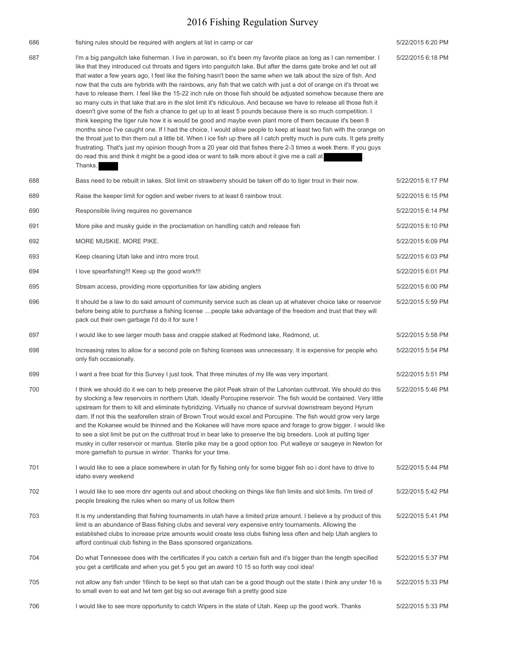| 686 | fishing rules should be required with anglers at list in camp or car                                                                                                                                                                                                                                                                                                                                                                                                                                                                                                                                                                                                                                                                                                                                                                                                                                                                                                                                                                                                                                                                                                                                                                                                                                                                                                                                                                                           | 5/22/2015 6:20 PM |
|-----|----------------------------------------------------------------------------------------------------------------------------------------------------------------------------------------------------------------------------------------------------------------------------------------------------------------------------------------------------------------------------------------------------------------------------------------------------------------------------------------------------------------------------------------------------------------------------------------------------------------------------------------------------------------------------------------------------------------------------------------------------------------------------------------------------------------------------------------------------------------------------------------------------------------------------------------------------------------------------------------------------------------------------------------------------------------------------------------------------------------------------------------------------------------------------------------------------------------------------------------------------------------------------------------------------------------------------------------------------------------------------------------------------------------------------------------------------------------|-------------------|
| 687 | I'm a big panguitch lake fisherman. I live in parowan, so it's been my favorite place as long as I can remember. I<br>like that they introduced cut throats and tigers into panguitch lake. But after the dams gate broke and let out all<br>that water a few years ago, I feel like the fishing hasn't been the same when we talk about the size of fish. And<br>now that the cuts are hybrids with the rainbows, any fish that we catch with just a dot of orange on it's throat we<br>have to release them. I feel like the 15-22 inch rule on those fish should be adjusted somehow because there are<br>so many cuts in that lake that are in the slot limit it's ridiculous. And because we have to release all those fish it<br>doesn't give some of the fish a chance to get up to at least 5 pounds because there is so much competition. I<br>think keeping the tiger rule how it is would be good and maybe even plant more of them because it's been 8<br>months since I've caught one. If I had the choice, I would allow people to keep at least two fish with the orange on<br>the throat just to thin them out a little bit. When I ice fish up there all I catch pretty much is pure cuts. It gets pretty<br>frustrating. That's just my opinion though from a 20 year old that fishes there 2-3 times a week there. If you guys<br>do read this and think it might be a good idea or want to talk more about it give me a call at<br>Thanks. | 5/22/2015 6:18 PM |
| 688 | Bass need to be rebuilt in lakes. Slot limit on strawberry should be taken off do to tiger trout in their now.                                                                                                                                                                                                                                                                                                                                                                                                                                                                                                                                                                                                                                                                                                                                                                                                                                                                                                                                                                                                                                                                                                                                                                                                                                                                                                                                                 | 5/22/2015 6:17 PM |
| 689 | Raise the keeper limit for ogden and weber rivers to at least 6 rainbow trout.                                                                                                                                                                                                                                                                                                                                                                                                                                                                                                                                                                                                                                                                                                                                                                                                                                                                                                                                                                                                                                                                                                                                                                                                                                                                                                                                                                                 | 5/22/2015 6:15 PM |
| 690 | Responsible living requires no governance                                                                                                                                                                                                                                                                                                                                                                                                                                                                                                                                                                                                                                                                                                                                                                                                                                                                                                                                                                                                                                                                                                                                                                                                                                                                                                                                                                                                                      | 5/22/2015 6:14 PM |
| 691 | More pike and musky guide in the proclamation on handling catch and release fish                                                                                                                                                                                                                                                                                                                                                                                                                                                                                                                                                                                                                                                                                                                                                                                                                                                                                                                                                                                                                                                                                                                                                                                                                                                                                                                                                                               | 5/22/2015 6:10 PM |
| 692 | MORE MUSKIE. MORE PIKE.                                                                                                                                                                                                                                                                                                                                                                                                                                                                                                                                                                                                                                                                                                                                                                                                                                                                                                                                                                                                                                                                                                                                                                                                                                                                                                                                                                                                                                        | 5/22/2015 6:09 PM |
| 693 | Keep cleaning Utah lake and intro more trout.                                                                                                                                                                                                                                                                                                                                                                                                                                                                                                                                                                                                                                                                                                                                                                                                                                                                                                                                                                                                                                                                                                                                                                                                                                                                                                                                                                                                                  | 5/22/2015 6:03 PM |
| 694 | I love spearfishing!!! Keep up the good work!!!                                                                                                                                                                                                                                                                                                                                                                                                                                                                                                                                                                                                                                                                                                                                                                                                                                                                                                                                                                                                                                                                                                                                                                                                                                                                                                                                                                                                                | 5/22/2015 6:01 PM |
| 695 | Stream access, providing more opportunities for law abiding anglers                                                                                                                                                                                                                                                                                                                                                                                                                                                                                                                                                                                                                                                                                                                                                                                                                                                                                                                                                                                                                                                                                                                                                                                                                                                                                                                                                                                            | 5/22/2015 6:00 PM |
| 696 | It should be a law to do said amount of community service such as clean up at whatever choice lake or reservoir<br>before being able to purchase a fishing license people take advantage of the freedom and trust that they will<br>pack out their own garbage I'd do it for sure !                                                                                                                                                                                                                                                                                                                                                                                                                                                                                                                                                                                                                                                                                                                                                                                                                                                                                                                                                                                                                                                                                                                                                                            | 5/22/2015 5:59 PM |
| 697 | I would like to see larger mouth bass and crappie stalked at Redmond lake, Redmond, ut.                                                                                                                                                                                                                                                                                                                                                                                                                                                                                                                                                                                                                                                                                                                                                                                                                                                                                                                                                                                                                                                                                                                                                                                                                                                                                                                                                                        | 5/22/2015 5:58 PM |
| 698 | Increasing rates to allow for a second pole on fishing licenses was unnecessary. It is expensive for people who<br>only fish occasionally.                                                                                                                                                                                                                                                                                                                                                                                                                                                                                                                                                                                                                                                                                                                                                                                                                                                                                                                                                                                                                                                                                                                                                                                                                                                                                                                     | 5/22/2015 5:54 PM |
| 699 | I want a free boat for this Survey I just took. That three minutes of my life was very important.                                                                                                                                                                                                                                                                                                                                                                                                                                                                                                                                                                                                                                                                                                                                                                                                                                                                                                                                                                                                                                                                                                                                                                                                                                                                                                                                                              | 5/22/2015 5:51 PM |
| 700 | I think we should do it we can to help preserve the pilot Peak strain of the Lahontan cutthroat. We should do this<br>by stocking a few reservoirs in northern Utah. Ideally Porcupine reservoir. The fish would be contained. Very little<br>upstream for them to kill and eliminate hybridizing. Virtually no chance of survival downstream beyond Hyrum<br>dam. If not this the seaforellen strain of Brown Trout would excel and Porcupine. The fish would grow very large<br>and the Kokanee would be thinned and the Kokanee will have more space and forage to grow bigger. I would like<br>to see a slot limit be put on the cutthroat trout in bear lake to preserve the big breeders. Look at putting tiger<br>musky in cutler reservoir or mantua. Sterile pike may be a good option too. Put walleye or saugeye in Newton for<br>more gamefish to pursue in winter. Thanks for your time.                                                                                                                                                                                                                                                                                                                                                                                                                                                                                                                                                          | 5/22/2015 5:46 PM |
| 701 | I would like to see a place somewhere in utah for fly fishing only for some bigger fish so i dont have to drive to<br>idaho every weekend                                                                                                                                                                                                                                                                                                                                                                                                                                                                                                                                                                                                                                                                                                                                                                                                                                                                                                                                                                                                                                                                                                                                                                                                                                                                                                                      | 5/22/2015 5:44 PM |
| 702 | I would like to see more dnr agents out and about checking on things like fish limits and slot limits. I'm tired of<br>people breaking the rules when so many of us follow them                                                                                                                                                                                                                                                                                                                                                                                                                                                                                                                                                                                                                                                                                                                                                                                                                                                                                                                                                                                                                                                                                                                                                                                                                                                                                | 5/22/2015 5:42 PM |
| 703 | It is my understanding that fishing tournaments in utah have a limited prize amount. I believe a by product of this<br>limit is an abundance of Bass fishing clubs and several very expensive entry tournaments. Allowing the<br>established clubs to increase prize amounts would create less clubs fishing less often and help Utah anglers to<br>afford continual club fishing in the Bass sponsored organizations.                                                                                                                                                                                                                                                                                                                                                                                                                                                                                                                                                                                                                                                                                                                                                                                                                                                                                                                                                                                                                                         | 5/22/2015 5:41 PM |
| 704 | Do what Tennessee does with the certificates if you catch a certain fish and it's bigger than the length specified<br>you get a certificate and when you get 5 you get an award 10 15 so forth way cool idea!                                                                                                                                                                                                                                                                                                                                                                                                                                                                                                                                                                                                                                                                                                                                                                                                                                                                                                                                                                                                                                                                                                                                                                                                                                                  | 5/22/2015 5:37 PM |
| 705 | not allow any fish under 16inch to be kept so that utah can be a good though out the state i think any under 16 is<br>to small even to eat and lwt tem get big so out average fish a pretty good size                                                                                                                                                                                                                                                                                                                                                                                                                                                                                                                                                                                                                                                                                                                                                                                                                                                                                                                                                                                                                                                                                                                                                                                                                                                          | 5/22/2015 5:33 PM |
| 706 | I would like to see more opportunity to catch Wipers in the state of Utah. Keep up the good work. Thanks                                                                                                                                                                                                                                                                                                                                                                                                                                                                                                                                                                                                                                                                                                                                                                                                                                                                                                                                                                                                                                                                                                                                                                                                                                                                                                                                                       | 5/22/2015 5:33 PM |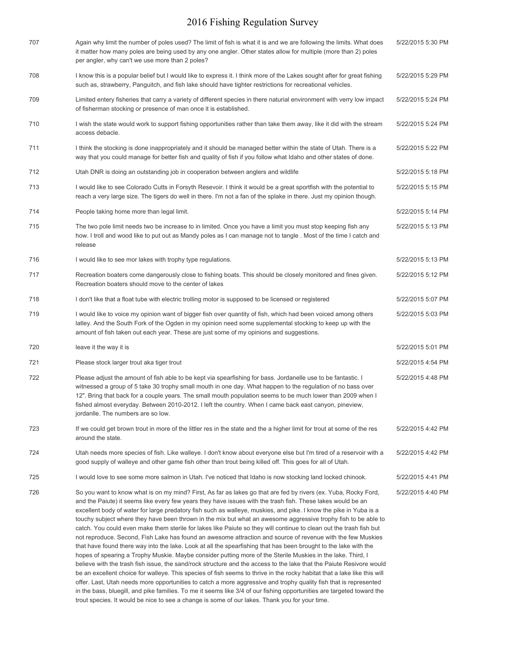| 707 | Again why limit the number of poles used? The limit of fish is what it is and we are following the limits. What does<br>it matter how many poles are being used by any one angler. Other states allow for multiple (more than 2) poles<br>per angler, why can't we use more than 2 poles?                                                                                                                                                                                                                                                                                                                                                                                                                                                                                                                                                                                                                                                                                                                                                                                                                                                                                                                                                                                                                                                                                                                                                                                                                                                           | 5/22/2015 5:30 PM |
|-----|-----------------------------------------------------------------------------------------------------------------------------------------------------------------------------------------------------------------------------------------------------------------------------------------------------------------------------------------------------------------------------------------------------------------------------------------------------------------------------------------------------------------------------------------------------------------------------------------------------------------------------------------------------------------------------------------------------------------------------------------------------------------------------------------------------------------------------------------------------------------------------------------------------------------------------------------------------------------------------------------------------------------------------------------------------------------------------------------------------------------------------------------------------------------------------------------------------------------------------------------------------------------------------------------------------------------------------------------------------------------------------------------------------------------------------------------------------------------------------------------------------------------------------------------------------|-------------------|
| 708 | I know this is a popular belief but I would like to express it. I think more of the Lakes sought after for great fishing<br>such as, strawberry, Panguitch, and fish lake should have tighter restrictions for recreational vehicles.                                                                                                                                                                                                                                                                                                                                                                                                                                                                                                                                                                                                                                                                                                                                                                                                                                                                                                                                                                                                                                                                                                                                                                                                                                                                                                               | 5/22/2015 5:29 PM |
| 709 | Limited entery fisheries that carry a variety of different species in there naturial environment with verry low impact<br>of fisherman stocking or presence of man once it is established.                                                                                                                                                                                                                                                                                                                                                                                                                                                                                                                                                                                                                                                                                                                                                                                                                                                                                                                                                                                                                                                                                                                                                                                                                                                                                                                                                          | 5/22/2015 5:24 PM |
| 710 | I wish the state would work to support fishing opportunities rather than take them away, like it did with the stream<br>access debacle.                                                                                                                                                                                                                                                                                                                                                                                                                                                                                                                                                                                                                                                                                                                                                                                                                                                                                                                                                                                                                                                                                                                                                                                                                                                                                                                                                                                                             | 5/22/2015 5:24 PM |
| 711 | I think the stocking is done inappropriately and it should be managed better within the state of Utah. There is a<br>way that you could manage for better fish and quality of fish if you follow what Idaho and other states of done.                                                                                                                                                                                                                                                                                                                                                                                                                                                                                                                                                                                                                                                                                                                                                                                                                                                                                                                                                                                                                                                                                                                                                                                                                                                                                                               | 5/22/2015 5:22 PM |
| 712 | Utah DNR is doing an outstanding job in cooperation between anglers and wildlife                                                                                                                                                                                                                                                                                                                                                                                                                                                                                                                                                                                                                                                                                                                                                                                                                                                                                                                                                                                                                                                                                                                                                                                                                                                                                                                                                                                                                                                                    | 5/22/2015 5:18 PM |
| 713 | I would like to see Colorado Cutts in Forsyth Resevoir. I think it would be a great sportfish with the potential to<br>reach a very large size. The tigers do well in there. I'm not a fan of the splake in there. Just my opinion though.                                                                                                                                                                                                                                                                                                                                                                                                                                                                                                                                                                                                                                                                                                                                                                                                                                                                                                                                                                                                                                                                                                                                                                                                                                                                                                          | 5/22/2015 5:15 PM |
| 714 | People taking home more than legal limit.                                                                                                                                                                                                                                                                                                                                                                                                                                                                                                                                                                                                                                                                                                                                                                                                                                                                                                                                                                                                                                                                                                                                                                                                                                                                                                                                                                                                                                                                                                           | 5/22/2015 5:14 PM |
| 715 | The two pole limit needs two be increase to in limited. Once you have a limit you must stop keeping fish any<br>how. I troll and wood like to put out as Mandy poles as I can manage not to tangle. Most of the time I catch and<br>release                                                                                                                                                                                                                                                                                                                                                                                                                                                                                                                                                                                                                                                                                                                                                                                                                                                                                                                                                                                                                                                                                                                                                                                                                                                                                                         | 5/22/2015 5:13 PM |
| 716 | I would like to see mor lakes with trophy type regulations.                                                                                                                                                                                                                                                                                                                                                                                                                                                                                                                                                                                                                                                                                                                                                                                                                                                                                                                                                                                                                                                                                                                                                                                                                                                                                                                                                                                                                                                                                         | 5/22/2015 5:13 PM |
| 717 | Recreation boaters come dangerously close to fishing boats. This should be closely monitored and fines given.<br>Recreation boaters should move to the center of lakes                                                                                                                                                                                                                                                                                                                                                                                                                                                                                                                                                                                                                                                                                                                                                                                                                                                                                                                                                                                                                                                                                                                                                                                                                                                                                                                                                                              | 5/22/2015 5:12 PM |
| 718 | I don't like that a float tube with electric trolling motor is supposed to be licensed or registered                                                                                                                                                                                                                                                                                                                                                                                                                                                                                                                                                                                                                                                                                                                                                                                                                                                                                                                                                                                                                                                                                                                                                                                                                                                                                                                                                                                                                                                | 5/22/2015 5:07 PM |
| 719 | I would like to voice my opinion want of bigger fish over quantity of fish, which had been voiced among others<br>latley. And the South Fork of the Ogden in my opinion need some supplemental stocking to keep up with the<br>amount of fish taken out each year. These are just some of my opinions and suggestions.                                                                                                                                                                                                                                                                                                                                                                                                                                                                                                                                                                                                                                                                                                                                                                                                                                                                                                                                                                                                                                                                                                                                                                                                                              | 5/22/2015 5:03 PM |
| 720 | leave it the way it is                                                                                                                                                                                                                                                                                                                                                                                                                                                                                                                                                                                                                                                                                                                                                                                                                                                                                                                                                                                                                                                                                                                                                                                                                                                                                                                                                                                                                                                                                                                              | 5/22/2015 5:01 PM |
| 721 | Please stock larger trout aka tiger trout                                                                                                                                                                                                                                                                                                                                                                                                                                                                                                                                                                                                                                                                                                                                                                                                                                                                                                                                                                                                                                                                                                                                                                                                                                                                                                                                                                                                                                                                                                           | 5/22/2015 4:54 PM |
| 722 | Please adjust the amount of fish able to be kept via spearfishing for bass. Jordanelle use to be fantastic. I<br>witnessed a group of 5 take 30 trophy small mouth in one day. What happen to the regulation of no bass over<br>12". Bring that back for a couple years. The small mouth population seems to be much lower than 2009 when I<br>fished almost everyday. Between 2010-2012. I left the country. When I came back east canyon, pineview,<br>jordanlle. The numbers are so low.                                                                                                                                                                                                                                                                                                                                                                                                                                                                                                                                                                                                                                                                                                                                                                                                                                                                                                                                                                                                                                                         | 5/22/2015 4:48 PM |
| 723 | If we could get brown trout in more of the littler res in the state and the a higher limit for trout at some of the res<br>around the state.                                                                                                                                                                                                                                                                                                                                                                                                                                                                                                                                                                                                                                                                                                                                                                                                                                                                                                                                                                                                                                                                                                                                                                                                                                                                                                                                                                                                        | 5/22/2015 4:42 PM |
| 724 | Utah needs more species of fish. Like walleye. I don't know about everyone else but I'm tired of a reservoir with a<br>good supply of walleye and other game fish other than trout being killed off. This goes for all of Utah.                                                                                                                                                                                                                                                                                                                                                                                                                                                                                                                                                                                                                                                                                                                                                                                                                                                                                                                                                                                                                                                                                                                                                                                                                                                                                                                     | 5/22/2015 4:42 PM |
| 725 | I would love to see some more salmon in Utah. I've noticed that Idaho is now stocking land locked chinook.                                                                                                                                                                                                                                                                                                                                                                                                                                                                                                                                                                                                                                                                                                                                                                                                                                                                                                                                                                                                                                                                                                                                                                                                                                                                                                                                                                                                                                          | 5/22/2015 4:41 PM |
| 726 | So you want to know what is on my mind? First, As far as lakes go that are fed by rivers (ex. Yuba, Rocky Ford,<br>and the Paiute) it seems like every few years they have issues with the trash fish. These lakes would be an<br>excellent body of water for large predatory fish such as walleye, muskies, and pike. I know the pike in Yuba is a<br>touchy subject where they have been thrown in the mix but what an awesome aggressive trophy fish to be able to<br>catch. You could even make them sterile for lakes like Paiute so they will continue to clean out the trash fish but<br>not reproduce. Second, Fish Lake has found an awesome attraction and source of revenue with the few Muskies<br>that have found there way into the lake. Look at all the spearfishing that has been brought to the lake with the<br>hopes of spearing a Trophy Muskie. Maybe consider putting more of the Sterile Muskies in the lake. Third, I<br>believe with the trash fish issue, the sand/rock structure and the access to the lake that the Paiute Resivore would<br>be an excellent choice for walleye. This species of fish seems to thrive in the rocky habitat that a lake like this will<br>offer. Last, Utah needs more opportunities to catch a more aggressive and trophy quality fish that is represented<br>in the bass, bluegill, and pike families. To me it seems like 3/4 of our fishing opportunities are targeted toward the<br>trout species. It would be nice to see a change is some of our lakes. Thank you for your time. | 5/22/2015 4:40 PM |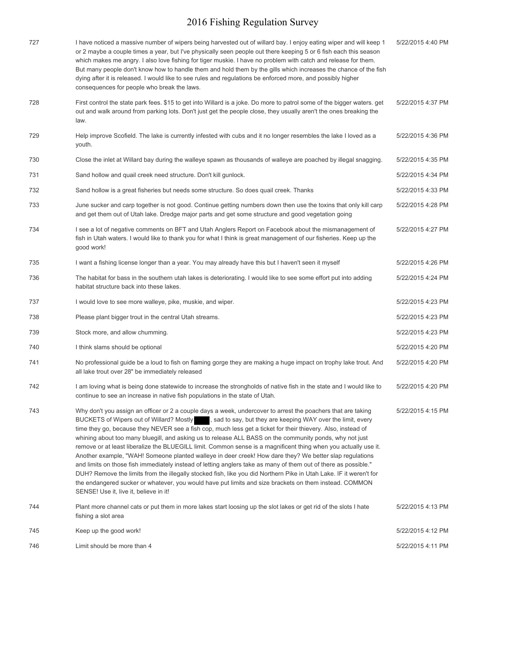| 727 | I have noticed a massive number of wipers being harvested out of willard bay. I enjoy eating wiper and will keep 1<br>or 2 maybe a couple times a year, but I've physically seen people out there keeping 5 or 6 fish each this season                                                                                                                                                                                                                                                                                                                                                                                                                                                                                                                                                                                                                                                                                                                                                                                                                                    | 5/22/2015 4:40 PM |
|-----|---------------------------------------------------------------------------------------------------------------------------------------------------------------------------------------------------------------------------------------------------------------------------------------------------------------------------------------------------------------------------------------------------------------------------------------------------------------------------------------------------------------------------------------------------------------------------------------------------------------------------------------------------------------------------------------------------------------------------------------------------------------------------------------------------------------------------------------------------------------------------------------------------------------------------------------------------------------------------------------------------------------------------------------------------------------------------|-------------------|
|     | which makes me angry. I also love fishing for tiger muskie. I have no problem with catch and release for them.<br>But many people don't know how to handle them and hold them by the gills which increases the chance of the fish<br>dying after it is released. I would like to see rules and regulations be enforced more, and possibly higher<br>consequences for people who break the laws.                                                                                                                                                                                                                                                                                                                                                                                                                                                                                                                                                                                                                                                                           |                   |
| 728 | First control the state park fees. \$15 to get into Willard is a joke. Do more to patrol some of the bigger waters. get<br>out and walk around from parking lots. Don't just get the people close, they usually aren't the ones breaking the<br>law.                                                                                                                                                                                                                                                                                                                                                                                                                                                                                                                                                                                                                                                                                                                                                                                                                      | 5/22/2015 4:37 PM |
| 729 | Help improve Scofield. The lake is currently infested with cubs and it no longer resembles the lake I loved as a<br>youth.                                                                                                                                                                                                                                                                                                                                                                                                                                                                                                                                                                                                                                                                                                                                                                                                                                                                                                                                                | 5/22/2015 4:36 PM |
| 730 | Close the inlet at Willard bay during the walleye spawn as thousands of walleye are poached by illegal snagging.                                                                                                                                                                                                                                                                                                                                                                                                                                                                                                                                                                                                                                                                                                                                                                                                                                                                                                                                                          | 5/22/2015 4:35 PM |
| 731 | Sand hollow and quail creek need structure. Don't kill gunlock.                                                                                                                                                                                                                                                                                                                                                                                                                                                                                                                                                                                                                                                                                                                                                                                                                                                                                                                                                                                                           | 5/22/2015 4:34 PM |
| 732 | Sand hollow is a great fisheries but needs some structure. So does quail creek. Thanks                                                                                                                                                                                                                                                                                                                                                                                                                                                                                                                                                                                                                                                                                                                                                                                                                                                                                                                                                                                    | 5/22/2015 4:33 PM |
| 733 | June sucker and carp together is not good. Continue getting numbers down then use the toxins that only kill carp<br>and get them out of Utah lake. Dredge major parts and get some structure and good vegetation going                                                                                                                                                                                                                                                                                                                                                                                                                                                                                                                                                                                                                                                                                                                                                                                                                                                    | 5/22/2015 4:28 PM |
| 734 | I see a lot of negative comments on BFT and Utah Anglers Report on Facebook about the mismanagement of<br>fish in Utah waters. I would like to thank you for what I think is great management of our fisheries. Keep up the<br>good work!                                                                                                                                                                                                                                                                                                                                                                                                                                                                                                                                                                                                                                                                                                                                                                                                                                 | 5/22/2015 4:27 PM |
| 735 | I want a fishing license longer than a year. You may already have this but I haven't seen it myself                                                                                                                                                                                                                                                                                                                                                                                                                                                                                                                                                                                                                                                                                                                                                                                                                                                                                                                                                                       | 5/22/2015 4:26 PM |
| 736 | The habitat for bass in the southern utah lakes is deteriorating. I would like to see some effort put into adding<br>habitat structure back into these lakes.                                                                                                                                                                                                                                                                                                                                                                                                                                                                                                                                                                                                                                                                                                                                                                                                                                                                                                             | 5/22/2015 4:24 PM |
| 737 | I would love to see more walleye, pike, muskie, and wiper.                                                                                                                                                                                                                                                                                                                                                                                                                                                                                                                                                                                                                                                                                                                                                                                                                                                                                                                                                                                                                | 5/22/2015 4:23 PM |
| 738 | Please plant bigger trout in the central Utah streams.                                                                                                                                                                                                                                                                                                                                                                                                                                                                                                                                                                                                                                                                                                                                                                                                                                                                                                                                                                                                                    | 5/22/2015 4:23 PM |
| 739 | Stock more, and allow chumming.                                                                                                                                                                                                                                                                                                                                                                                                                                                                                                                                                                                                                                                                                                                                                                                                                                                                                                                                                                                                                                           | 5/22/2015 4:23 PM |
| 740 | I think slams should be optional                                                                                                                                                                                                                                                                                                                                                                                                                                                                                                                                                                                                                                                                                                                                                                                                                                                                                                                                                                                                                                          | 5/22/2015 4:20 PM |
| 741 | No professional guide be a loud to fish on flaming gorge they are making a huge impact on trophy lake trout. And<br>all lake trout over 28" be immediately released                                                                                                                                                                                                                                                                                                                                                                                                                                                                                                                                                                                                                                                                                                                                                                                                                                                                                                       | 5/22/2015 4:20 PM |
| 742 | I am loving what is being done statewide to increase the strongholds of native fish in the state and I would like to<br>continue to see an increase in native fish populations in the state of Utah.                                                                                                                                                                                                                                                                                                                                                                                                                                                                                                                                                                                                                                                                                                                                                                                                                                                                      | 5/22/2015 4:20 PM |
| 743 | Why don't you assign an officer or 2 a couple days a week, undercover to arrest the poachers that are taking<br>BUCKETS of Wipers out of Willard? Mostly sad to say, but they are keeping WAY over the limit, every<br>time they go, because they NEVER see a fish cop, much less get a ticket for their thievery. Also, instead of<br>whining about too many bluegill, and asking us to release ALL BASS on the community ponds, why not just<br>remove or at least liberalize the BLUEGILL limit. Common sense is a magnificent thing when you actually use it.<br>Another example, "WAH! Someone planted walleye in deer creek! How dare they? We better slap regulations<br>and limits on those fish immediately instead of letting anglers take as many of them out of there as possible."<br>DUH? Remove the limits from the illegally stocked fish, like you did Northern Pike in Utah Lake. IF it weren't for<br>the endangered sucker or whatever, you would have put limits and size brackets on them instead. COMMON<br>SENSE! Use it, live it, believe in it! | 5/22/2015 4:15 PM |
| 744 | Plant more channel cats or put them in more lakes start loosing up the slot lakes or get rid of the slots I hate<br>fishing a slot area                                                                                                                                                                                                                                                                                                                                                                                                                                                                                                                                                                                                                                                                                                                                                                                                                                                                                                                                   | 5/22/2015 4:13 PM |
| 745 | Keep up the good work!                                                                                                                                                                                                                                                                                                                                                                                                                                                                                                                                                                                                                                                                                                                                                                                                                                                                                                                                                                                                                                                    | 5/22/2015 4:12 PM |
| 746 | Limit should be more than 4                                                                                                                                                                                                                                                                                                                                                                                                                                                                                                                                                                                                                                                                                                                                                                                                                                                                                                                                                                                                                                               | 5/22/2015 4:11 PM |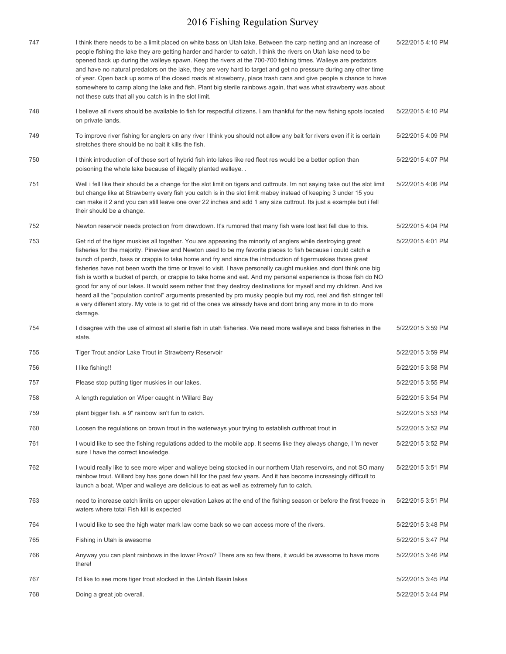| 747 | I think there needs to be a limit placed on white bass on Utah lake. Between the carp netting and an increase of<br>people fishing the lake they are getting harder and harder to catch. I think the rivers on Utah lake need to be<br>opened back up during the walleye spawn. Keep the rivers at the 700-700 fishing times. Walleye are predators<br>and have no natural predators on the lake, they are very hard to target and get no pressure during any other time<br>of year. Open back up some of the closed roads at strawberry, place trash cans and give people a chance to have<br>somewhere to camp along the lake and fish. Plant big sterile rainbows again, that was what strawberry was about<br>not these cuts that all you catch is in the slot limit.                                                                                                                                                                                       | 5/22/2015 4:10 PM |
|-----|-----------------------------------------------------------------------------------------------------------------------------------------------------------------------------------------------------------------------------------------------------------------------------------------------------------------------------------------------------------------------------------------------------------------------------------------------------------------------------------------------------------------------------------------------------------------------------------------------------------------------------------------------------------------------------------------------------------------------------------------------------------------------------------------------------------------------------------------------------------------------------------------------------------------------------------------------------------------|-------------------|
| 748 | I believe all rivers should be available to fish for respectful citizens. I am thankful for the new fishing spots located<br>on private lands.                                                                                                                                                                                                                                                                                                                                                                                                                                                                                                                                                                                                                                                                                                                                                                                                                  | 5/22/2015 4:10 PM |
| 749 | To improve river fishing for anglers on any river I think you should not allow any bait for rivers even if it is certain<br>stretches there should be no bait it kills the fish.                                                                                                                                                                                                                                                                                                                                                                                                                                                                                                                                                                                                                                                                                                                                                                                | 5/22/2015 4:09 PM |
| 750 | I think introduction of of these sort of hybrid fish into lakes like red fleet res would be a better option than<br>poisoning the whole lake because of illegally planted walleye                                                                                                                                                                                                                                                                                                                                                                                                                                                                                                                                                                                                                                                                                                                                                                               | 5/22/2015 4:07 PM |
| 751 | Well i fell like their should be a change for the slot limit on tigers and cuttrouts. Im not saying take out the slot limit<br>but change like at Strawberry every fish you catch is in the slot limit mabey instead of keeping 3 under 15 you<br>can make it 2 and you can still leave one over 22 inches and add 1 any size cuttrout. Its just a example but i fell<br>their should be a change.                                                                                                                                                                                                                                                                                                                                                                                                                                                                                                                                                              | 5/22/2015 4:06 PM |
| 752 | Newton reservoir needs protection from drawdown. It's rumored that many fish were lost last fall due to this.                                                                                                                                                                                                                                                                                                                                                                                                                                                                                                                                                                                                                                                                                                                                                                                                                                                   | 5/22/2015 4:04 PM |
| 753 | Get rid of the tiger muskies all together. You are appeasing the minority of anglers while destroying great<br>fisheries for the majority. Pineview and Newton used to be my favorite places to fish because i could catch a<br>bunch of perch, bass or crappie to take home and fry and since the introduction of tigermuskies those great<br>fisheries have not been worth the time or travel to visit. I have personally caught muskies and dont think one big<br>fish is worth a bucket of perch, or crappie to take home and eat. And my personal experience is those fish do NO<br>good for any of our lakes. It would seem rather that they destroy destinations for myself and my children. And ive<br>heard all the "population control" arguments presented by pro musky people but my rod, reel and fish stringer tell<br>a very different story. My vote is to get rid of the ones we already have and dont bring any more in to do more<br>damage. | 5/22/2015 4:01 PM |
| 754 | I disagree with the use of almost all sterile fish in utah fisheries. We need more walleye and bass fisheries in the<br>state.                                                                                                                                                                                                                                                                                                                                                                                                                                                                                                                                                                                                                                                                                                                                                                                                                                  | 5/22/2015 3:59 PM |
| 755 | Tiger Trout and/or Lake Trout in Strawberry Reservoir                                                                                                                                                                                                                                                                                                                                                                                                                                                                                                                                                                                                                                                                                                                                                                                                                                                                                                           | 5/22/2015 3:59 PM |
| 756 | I like fishing!!                                                                                                                                                                                                                                                                                                                                                                                                                                                                                                                                                                                                                                                                                                                                                                                                                                                                                                                                                | 5/22/2015 3:58 PM |
| 757 | Please stop putting tiger muskies in our lakes.                                                                                                                                                                                                                                                                                                                                                                                                                                                                                                                                                                                                                                                                                                                                                                                                                                                                                                                 | 5/22/2015 3:55 PM |
| 758 | A length regulation on Wiper caught in Willard Bay                                                                                                                                                                                                                                                                                                                                                                                                                                                                                                                                                                                                                                                                                                                                                                                                                                                                                                              | 5/22/2015 3:54 PM |
| 759 | plant bigger fish. a 9" rainbow isn't fun to catch.                                                                                                                                                                                                                                                                                                                                                                                                                                                                                                                                                                                                                                                                                                                                                                                                                                                                                                             | 5/22/2015 3:53 PM |
| 760 | Loosen the regulations on brown trout in the waterways your trying to establish cutthroat trout in                                                                                                                                                                                                                                                                                                                                                                                                                                                                                                                                                                                                                                                                                                                                                                                                                                                              | 5/22/2015 3:52 PM |
| 761 | I would like to see the fishing regulations added to the mobile app. It seems like they always change, I 'm never<br>sure I have the correct knowledge.                                                                                                                                                                                                                                                                                                                                                                                                                                                                                                                                                                                                                                                                                                                                                                                                         | 5/22/2015 3:52 PM |
| 762 | I would really like to see more wiper and walleye being stocked in our northern Utah reservoirs, and not SO many<br>rainbow trout. Willard bay has gone down hill for the past few years. And it has become increasingly difficult to<br>launch a boat. Wiper and walleye are delicious to eat as well as extremely fun to catch.                                                                                                                                                                                                                                                                                                                                                                                                                                                                                                                                                                                                                               | 5/22/2015 3:51 PM |
| 763 | need to increase catch limits on upper elevation Lakes at the end of the fishing season or before the first freeze in<br>waters where total Fish kill is expected                                                                                                                                                                                                                                                                                                                                                                                                                                                                                                                                                                                                                                                                                                                                                                                               | 5/22/2015 3:51 PM |
| 764 | I would like to see the high water mark law come back so we can access more of the rivers.                                                                                                                                                                                                                                                                                                                                                                                                                                                                                                                                                                                                                                                                                                                                                                                                                                                                      | 5/22/2015 3:48 PM |
| 765 | Fishing in Utah is awesome                                                                                                                                                                                                                                                                                                                                                                                                                                                                                                                                                                                                                                                                                                                                                                                                                                                                                                                                      | 5/22/2015 3:47 PM |
| 766 | Anyway you can plant rainbows in the lower Provo? There are so few there, it would be awesome to have more<br>there!                                                                                                                                                                                                                                                                                                                                                                                                                                                                                                                                                                                                                                                                                                                                                                                                                                            | 5/22/2015 3:46 PM |
| 767 | I'd like to see more tiger trout stocked in the Uintah Basin lakes                                                                                                                                                                                                                                                                                                                                                                                                                                                                                                                                                                                                                                                                                                                                                                                                                                                                                              | 5/22/2015 3:45 PM |
| 768 | Doing a great job overall.                                                                                                                                                                                                                                                                                                                                                                                                                                                                                                                                                                                                                                                                                                                                                                                                                                                                                                                                      | 5/22/2015 3:44 PM |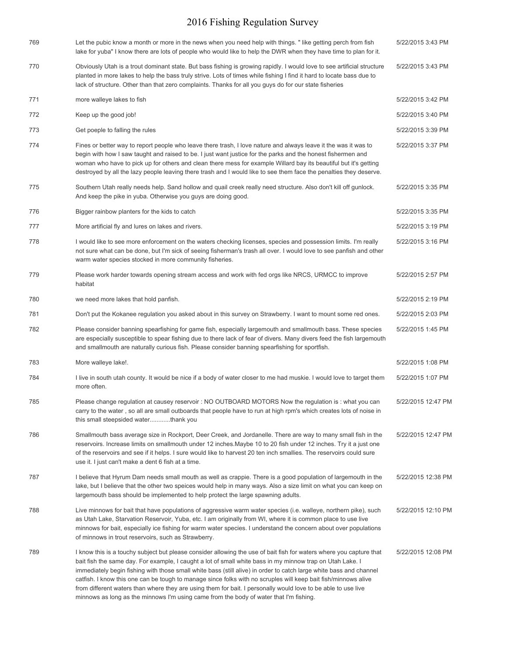| 769 | Let the pubic know a month or more in the news when you need help with things. " like getting perch from fish<br>lake for yuba" I know there are lots of people who would like to help the DWR when they have time to plan for it.                                                                                                                                                                                                                                                                                                                                                                                                                                                  | 5/22/2015 3:43 PM  |
|-----|-------------------------------------------------------------------------------------------------------------------------------------------------------------------------------------------------------------------------------------------------------------------------------------------------------------------------------------------------------------------------------------------------------------------------------------------------------------------------------------------------------------------------------------------------------------------------------------------------------------------------------------------------------------------------------------|--------------------|
| 770 | Obviously Utah is a trout dominant state. But bass fishing is growing rapidly. I would love to see artificial structure<br>planted in more lakes to help the bass truly strive. Lots of times while fishing I find it hard to locate bass due to<br>lack of structure. Other than that zero complaints. Thanks for all you guys do for our state fisheries                                                                                                                                                                                                                                                                                                                          | 5/22/2015 3:43 PM  |
| 771 | more walleye lakes to fish                                                                                                                                                                                                                                                                                                                                                                                                                                                                                                                                                                                                                                                          | 5/22/2015 3:42 PM  |
| 772 | Keep up the good job!                                                                                                                                                                                                                                                                                                                                                                                                                                                                                                                                                                                                                                                               | 5/22/2015 3:40 PM  |
| 773 | Get poeple to falling the rules                                                                                                                                                                                                                                                                                                                                                                                                                                                                                                                                                                                                                                                     | 5/22/2015 3:39 PM  |
| 774 | Fines or better way to report people who leave there trash, I love nature and always leave it the was it was to<br>begin with how I saw taught and raised to be. I just want justice for the parks and the honest fishermen and<br>woman who have to pick up for others and clean there mess for example Willard bay its beautiful but it's getting<br>destroyed by all the lazy people leaving there trash and I would like to see them face the penalties they deserve.                                                                                                                                                                                                           | 5/22/2015 3:37 PM  |
| 775 | Southern Utah really needs help. Sand hollow and quail creek really need structure. Also don't kill off gunlock.<br>And keep the pike in yuba. Otherwise you guys are doing good.                                                                                                                                                                                                                                                                                                                                                                                                                                                                                                   | 5/22/2015 3:35 PM  |
| 776 | Bigger rainbow planters for the kids to catch                                                                                                                                                                                                                                                                                                                                                                                                                                                                                                                                                                                                                                       | 5/22/2015 3:35 PM  |
| 777 | More artificial fly and lures on lakes and rivers.                                                                                                                                                                                                                                                                                                                                                                                                                                                                                                                                                                                                                                  | 5/22/2015 3:19 PM  |
| 778 | I would like to see more enforcement on the waters checking licenses, species and possession limits. I'm really<br>not sure what can be done, but I'm sick of seeing fisherman's trash all over. I would love to see panfish and other<br>warm water species stocked in more community fisheries.                                                                                                                                                                                                                                                                                                                                                                                   | 5/22/2015 3:16 PM  |
| 779 | Please work harder towards opening stream access and work with fed orgs like NRCS, URMCC to improve<br>habitat                                                                                                                                                                                                                                                                                                                                                                                                                                                                                                                                                                      | 5/22/2015 2:57 PM  |
| 780 | we need more lakes that hold panfish.                                                                                                                                                                                                                                                                                                                                                                                                                                                                                                                                                                                                                                               | 5/22/2015 2:19 PM  |
| 781 | Don't put the Kokanee regulation you asked about in this survey on Strawberry. I want to mount some red ones.                                                                                                                                                                                                                                                                                                                                                                                                                                                                                                                                                                       | 5/22/2015 2:03 PM  |
| 782 | Please consider banning spearfishing for game fish, especially largemouth and smallmouth bass. These species<br>are especially susceptible to spear fishing due to there lack of fear of divers. Many divers feed the fish largemouth<br>and smallmouth are naturally curious fish. Please consider banning spearfishing for sportfish.                                                                                                                                                                                                                                                                                                                                             | 5/22/2015 1:45 PM  |
| 783 | More walleye lake!.                                                                                                                                                                                                                                                                                                                                                                                                                                                                                                                                                                                                                                                                 | 5/22/2015 1:08 PM  |
| 784 | I live in south utah county. It would be nice if a body of water closer to me had muskie. I would love to target them<br>more often.                                                                                                                                                                                                                                                                                                                                                                                                                                                                                                                                                | 5/22/2015 1:07 PM  |
| 785 | Please change regulation at causey reservoir : NO OUTBOARD MOTORS Now the regulation is : what you can<br>carry to the water, so all are small outboards that people have to run at high rpm's which creates lots of noise in<br>this small steepsided waterthank you                                                                                                                                                                                                                                                                                                                                                                                                               | 5/22/2015 12:47 PM |
| 786 | Smallmouth bass average size in Rockport, Deer Creek, and Jordanelle. There are way to many small fish in the<br>reservoirs. Increase limits on smallmouth under 12 inches. Maybe 10 to 20 fish under 12 inches. Try it a just one<br>of the reservoirs and see if it helps. I sure would like to harvest 20 ten inch smallies. The reservoirs could sure<br>use it. I just can't make a dent 6 fish at a time.                                                                                                                                                                                                                                                                     | 5/22/2015 12:47 PM |
| 787 | I believe that Hyrum Dam needs small mouth as well as crappie. There is a good population of largemouth in the<br>lake, but I believe that the other two speices would help in many ways. Also a size limit on what you can keep on<br>largemouth bass should be implemented to help protect the large spawning adults.                                                                                                                                                                                                                                                                                                                                                             | 5/22/2015 12:38 PM |
| 788 | Live minnows for bait that have populations of aggressive warm water species (i.e. walleye, northern pike), such<br>as Utah Lake, Starvation Reservoir, Yuba, etc. I am originally from WI, where it is common place to use live<br>minnows for bait, especially ice fishing for warm water species. I understand the concern about over populations<br>of minnows in trout reservoirs, such as Strawberry.                                                                                                                                                                                                                                                                         | 5/22/2015 12:10 PM |
| 789 | I know this is a touchy subject but please consider allowing the use of bait fish for waters where you capture that<br>bait fish the same day. For example, I caught a lot of small white bass in my minnow trap on Utah Lake. I<br>immediately begin fishing with those small white bass (still alive) in order to catch large white bass and channel<br>catfish. I know this one can be tough to manage since folks with no scruples will keep bait fish/minnows alive<br>from different waters than where they are using them for bait. I personally would love to be able to use live<br>minnows as long as the minnows I'm using came from the body of water that I'm fishing. | 5/22/2015 12:08 PM |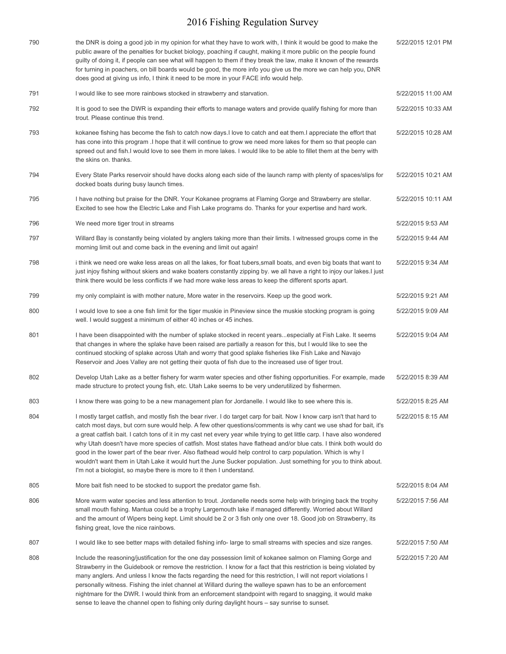| 790 | the DNR is doing a good job in my opinion for what they have to work with, I think it would be good to make the<br>public aware of the penalties for bucket biology, poaching if caught, making it more public on the people found<br>guilty of doing it, if people can see what will happen to them if they break the law, make it known of the rewards<br>for turning in poachers, on bill boards would be good, the more info you give us the more we can help you, DNR<br>does good at giving us info, I think it need to be more in your FACE info would help.                                                                                                                                                                                                                                     | 5/22/2015 12:01 PM |
|-----|---------------------------------------------------------------------------------------------------------------------------------------------------------------------------------------------------------------------------------------------------------------------------------------------------------------------------------------------------------------------------------------------------------------------------------------------------------------------------------------------------------------------------------------------------------------------------------------------------------------------------------------------------------------------------------------------------------------------------------------------------------------------------------------------------------|--------------------|
| 791 | I would like to see more rainbows stocked in strawberry and starvation.                                                                                                                                                                                                                                                                                                                                                                                                                                                                                                                                                                                                                                                                                                                                 | 5/22/2015 11:00 AM |
| 792 | It is good to see the DWR is expanding their efforts to manage waters and provide qualify fishing for more than<br>trout. Please continue this trend.                                                                                                                                                                                                                                                                                                                                                                                                                                                                                                                                                                                                                                                   | 5/22/2015 10:33 AM |
| 793 | kokanee fishing has become the fish to catch now days. I love to catch and eat them. I appreciate the effort that<br>has cone into this program .I hope that it will continue to grow we need more lakes for them so that people can<br>spreed out and fish.I would love to see them in more lakes. I would like to be able to fillet them at the berry with<br>the skins on. thanks.                                                                                                                                                                                                                                                                                                                                                                                                                   | 5/22/2015 10:28 AM |
| 794 | Every State Parks reservoir should have docks along each side of the launch ramp with plenty of spaces/slips for<br>docked boats during busy launch times.                                                                                                                                                                                                                                                                                                                                                                                                                                                                                                                                                                                                                                              | 5/22/2015 10:21 AM |
| 795 | I have nothing but praise for the DNR. Your Kokanee programs at Flaming Gorge and Strawberry are stellar.<br>Excited to see how the Electric Lake and Fish Lake programs do. Thanks for your expertise and hard work.                                                                                                                                                                                                                                                                                                                                                                                                                                                                                                                                                                                   | 5/22/2015 10:11 AM |
| 796 | We need more tiger trout in streams                                                                                                                                                                                                                                                                                                                                                                                                                                                                                                                                                                                                                                                                                                                                                                     | 5/22/2015 9:53 AM  |
| 797 | Willard Bay is constantly being violated by anglers taking more than their limits. I witnessed groups come in the<br>morning limit out and come back in the evening and limit out again!                                                                                                                                                                                                                                                                                                                                                                                                                                                                                                                                                                                                                | 5/22/2015 9:44 AM  |
| 798 | i think we need ore wake less areas on all the lakes, for float tubers, small boats, and even big boats that want to<br>just injoy fishing without skiers and wake boaters constantly zipping by. we all have a right to injoy our lakes. I just<br>think there would be less conflicts if we had more wake less areas to keep the different sports apart.                                                                                                                                                                                                                                                                                                                                                                                                                                              | 5/22/2015 9:34 AM  |
| 799 | my only complaint is with mother nature, More water in the reservoirs. Keep up the good work.                                                                                                                                                                                                                                                                                                                                                                                                                                                                                                                                                                                                                                                                                                           | 5/22/2015 9:21 AM  |
| 800 | I would love to see a one fish limit for the tiger muskie in Pineview since the muskie stocking program is going<br>well. I would suggest a minimum of either 40 inches or 45 inches.                                                                                                                                                                                                                                                                                                                                                                                                                                                                                                                                                                                                                   | 5/22/2015 9:09 AM  |
| 801 | I have been disappointed with the number of splake stocked in recent yearsespecially at Fish Lake. It seems<br>that changes in where the splake have been raised are partially a reason for this, but I would like to see the<br>continued stocking of splake across Utah and worry that good splake fisheries like Fish Lake and Navajo<br>Reservoir and Joes Valley are not getting their quota of fish due to the increased use of tiger trout.                                                                                                                                                                                                                                                                                                                                                      | 5/22/2015 9:04 AM  |
| 802 | Develop Utah Lake as a better fishery for warm water species and other fishing opportunities. For example, made<br>made structure to protect young fish, etc. Utah Lake seems to be very underutilized by fishermen.                                                                                                                                                                                                                                                                                                                                                                                                                                                                                                                                                                                    | 5/22/2015 8:39 AM  |
| 803 | I know there was going to be a new management plan for Jordanelle. I would like to see where this is.                                                                                                                                                                                                                                                                                                                                                                                                                                                                                                                                                                                                                                                                                                   | 5/22/2015 8:25 AM  |
| 804 | I mostly target catfish, and mostly fish the bear river. I do target carp for bait. Now I know carp isn't that hard to<br>catch most days, but corn sure would help. A few other questions/comments is why cant we use shad for bait, it's<br>a great catfish bait. I catch tons of it in my cast net every year while trying to get little carp. I have also wondered<br>why Utah doesn't have more species of catfish. Most states have flathead and/or blue cats. I think both would do<br>good in the lower part of the bear river. Also flathead would help control to carp population. Which is why I<br>wouldn't want them in Utah Lake it would hurt the June Sucker population. Just something for you to think about.<br>I'm not a biologist, so maybe there is more to it then I understand. | 5/22/2015 8:15 AM  |
| 805 | More bait fish need to be stocked to support the predator game fish.                                                                                                                                                                                                                                                                                                                                                                                                                                                                                                                                                                                                                                                                                                                                    | 5/22/2015 8:04 AM  |
| 806 | More warm water species and less attention to trout. Jordanelle needs some help with bringing back the trophy<br>small mouth fishing. Mantua could be a trophy Largemouth lake if managed differently. Worried about Willard<br>and the amount of Wipers being kept. Limit should be 2 or 3 fish only one over 18. Good job on Strawberry, its<br>fishing great, love the nice rainbows.                                                                                                                                                                                                                                                                                                                                                                                                                | 5/22/2015 7:56 AM  |
| 807 | I would like to see better maps with detailed fishing info-large to small streams with species and size ranges.                                                                                                                                                                                                                                                                                                                                                                                                                                                                                                                                                                                                                                                                                         | 5/22/2015 7:50 AM  |
| 808 | Include the reasoning/justification for the one day possession limit of kokanee salmon on Flaming Gorge and<br>Strawberry in the Guidebook or remove the restriction. I know for a fact that this restriction is being violated by<br>many anglers. And unless I know the facts regarding the need for this restriction, I will not report violations I<br>personally witness. Fishing the inlet channel at Willard during the walleye spawn has to be an enforcement<br>nightmare for the DWR. I would think from an enforcement standpoint with regard to snagging, it would make<br>sense to leave the channel open to fishing only during daylight hours – say sunrise to sunset.                                                                                                                   | 5/22/2015 7:20 AM  |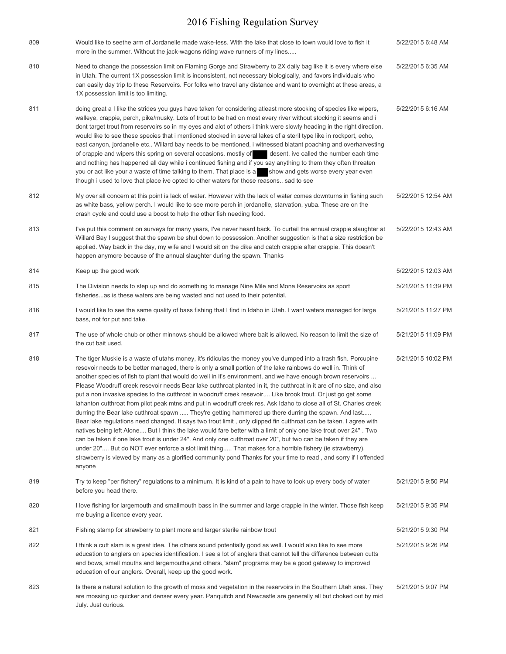| 809 | Would like to seethe arm of Jordanelle made wake-less. With the lake that close to town would love to fish it<br>more in the summer. Without the jack-wagons riding wave runners of my lines                                                                                                                                                                                                                                                                                                                                                                                                                                                                                                                                                                                                                                                                                                                                                                                                                                                                                                                                                                                                                                                                                                                                                                                                                                 | 5/22/2015 6:48 AM  |
|-----|------------------------------------------------------------------------------------------------------------------------------------------------------------------------------------------------------------------------------------------------------------------------------------------------------------------------------------------------------------------------------------------------------------------------------------------------------------------------------------------------------------------------------------------------------------------------------------------------------------------------------------------------------------------------------------------------------------------------------------------------------------------------------------------------------------------------------------------------------------------------------------------------------------------------------------------------------------------------------------------------------------------------------------------------------------------------------------------------------------------------------------------------------------------------------------------------------------------------------------------------------------------------------------------------------------------------------------------------------------------------------------------------------------------------------|--------------------|
| 810 | Need to change the possession limit on Flaming Gorge and Strawberry to 2X daily bag like it is every where else<br>in Utah. The current 1X possession limit is inconsistent, not necessary biologically, and favors individuals who<br>can easily day trip to these Reservoirs. For folks who travel any distance and want to overnight at these areas, a<br>1X possession limit is too limiting.                                                                                                                                                                                                                                                                                                                                                                                                                                                                                                                                                                                                                                                                                                                                                                                                                                                                                                                                                                                                                            | 5/22/2015 6:35 AM  |
| 811 | doing great a I like the strides you guys have taken for considering atleast more stocking of species like wipers,<br>walleye, crappie, perch, pike/musky. Lots of trout to be had on most every river without stocking it seems and i<br>dont target trout from reservoirs so in my eyes and alot of others i think were slowly heading in the right direction.<br>would like to see these species that i mentioned stocked in several lakes of a steril type like in rockport, echo,<br>east canyon, jordanelle etc Willard bay needs to be mentioned, i witnessed blatant poaching and overharvesting<br>of crappie and wipers this spring on several occasions, mostly of desent, ive called the number each time<br>and nothing has happened all day while i continued fishing and if you say anything to them they often threaten<br>you or act like your a waste of time talking to them. That place is a show and gets worse every year even<br>though i used to love that place ive opted to other waters for those reasons sad to see                                                                                                                                                                                                                                                                                                                                                                              | 5/22/2015 6:16 AM  |
| 812 | My over all concern at this point is lack of water. However with the lack of water comes downturns in fishing such<br>as white bass, yellow perch. I would like to see more perch in jordanelle, starvation, yuba. These are on the<br>crash cycle and could use a boost to help the other fish needing food.                                                                                                                                                                                                                                                                                                                                                                                                                                                                                                                                                                                                                                                                                                                                                                                                                                                                                                                                                                                                                                                                                                                | 5/22/2015 12:54 AM |
| 813 | I've put this comment on surveys for many years, I've never heard back. To curtail the annual crappie slaughter at<br>Willard Bay I suggest that the spawn be shut down to possession. Another suggestion is that a size restriction be<br>applied. Way back in the day, my wife and I would sit on the dike and catch crappie after crappie. This doesn't<br>happen anymore because of the annual slaughter during the spawn. Thanks                                                                                                                                                                                                                                                                                                                                                                                                                                                                                                                                                                                                                                                                                                                                                                                                                                                                                                                                                                                        | 5/22/2015 12:43 AM |
| 814 | Keep up the good work                                                                                                                                                                                                                                                                                                                                                                                                                                                                                                                                                                                                                                                                                                                                                                                                                                                                                                                                                                                                                                                                                                                                                                                                                                                                                                                                                                                                        | 5/22/2015 12:03 AM |
| 815 | The Division needs to step up and do something to manage Nine Mile and Mona Reservoirs as sport<br>fisheriesas is these waters are being wasted and not used to their potential.                                                                                                                                                                                                                                                                                                                                                                                                                                                                                                                                                                                                                                                                                                                                                                                                                                                                                                                                                                                                                                                                                                                                                                                                                                             | 5/21/2015 11:39 PM |
| 816 | I would like to see the same quality of bass fishing that I find in Idaho in Utah. I want waters managed for large<br>bass, not for put and take.                                                                                                                                                                                                                                                                                                                                                                                                                                                                                                                                                                                                                                                                                                                                                                                                                                                                                                                                                                                                                                                                                                                                                                                                                                                                            | 5/21/2015 11:27 PM |
| 817 | The use of whole chub or other minnows should be allowed where bait is allowed. No reason to limit the size of<br>the cut bait used.                                                                                                                                                                                                                                                                                                                                                                                                                                                                                                                                                                                                                                                                                                                                                                                                                                                                                                                                                                                                                                                                                                                                                                                                                                                                                         | 5/21/2015 11:09 PM |
| 818 | The tiger Muskie is a waste of utahs money, it's ridiculas the money you've dumped into a trash fish. Porcupine<br>resevoir needs to be better managed, there is only a small portion of the lake rainbows do well in. Think of<br>another species of fish to plant that would do well in it's environment, and we have enough brown reservoirs<br>Please Woodruff creek resevoir needs Bear lake cutthroat planted in it, the cutthroat in it are of no size, and also<br>put a non invasive species to the cutthroat in woodruff creek resevoir, Like brook trout. Or just go get some<br>lahanton cutthroat from pilot peak mtns and put in woodruff creek res. Ask Idaho to close all of St. Charles creek<br>durring the Bear lake cutthroat spawn  They're getting hammered up there durring the spawn. And last<br>Bear lake regulations need changed. It says two trout limit, only clipped fin cutthroat can be taken. I agree with<br>natives being left Alone But I think the lake would fare better with a limit of only one lake trout over 24". Two<br>can be taken if one lake trout is under 24". And only one cutthroat over 20", but two can be taken if they are<br>under 20" But do NOT ever enforce a slot limit thing That makes for a horrible fishery (ie strawberry),<br>strawberry is viewed by many as a glorified community pond Thanks for your time to read, and sorry if I offended<br>anyone | 5/21/2015 10:02 PM |
| 819 | Try to keep "per fishery" regulations to a minimum. It is kind of a pain to have to look up every body of water<br>before you head there.                                                                                                                                                                                                                                                                                                                                                                                                                                                                                                                                                                                                                                                                                                                                                                                                                                                                                                                                                                                                                                                                                                                                                                                                                                                                                    | 5/21/2015 9:50 PM  |
| 820 | I love fishing for largemouth and smallmouth bass in the summer and large crappie in the winter. Those fish keep<br>me buying a licence every year.                                                                                                                                                                                                                                                                                                                                                                                                                                                                                                                                                                                                                                                                                                                                                                                                                                                                                                                                                                                                                                                                                                                                                                                                                                                                          | 5/21/2015 9:35 PM  |
| 821 | Fishing stamp for strawberry to plant more and larger sterile rainbow trout                                                                                                                                                                                                                                                                                                                                                                                                                                                                                                                                                                                                                                                                                                                                                                                                                                                                                                                                                                                                                                                                                                                                                                                                                                                                                                                                                  | 5/21/2015 9:30 PM  |
| 822 | I think a cutt slam is a great idea. The others sound potentially good as well. I would also like to see more<br>education to anglers on species identification. I see a lot of anglers that cannot tell the difference between cutts<br>and bows, small mouths and largemouths, and others. "slam" programs may be a good gateway to improved<br>education of our anglers. Overall, keep up the good work.                                                                                                                                                                                                                                                                                                                                                                                                                                                                                                                                                                                                                                                                                                                                                                                                                                                                                                                                                                                                                  | 5/21/2015 9:26 PM  |
| 823 | Is there a natural solution to the growth of moss and vegetation in the reservoirs in the Southern Utah area. They<br>are mossing up quicker and denser every year. Panquitch and Newcastle are generally all but choked out by mid<br>July. Just curious.                                                                                                                                                                                                                                                                                                                                                                                                                                                                                                                                                                                                                                                                                                                                                                                                                                                                                                                                                                                                                                                                                                                                                                   | 5/21/2015 9:07 PM  |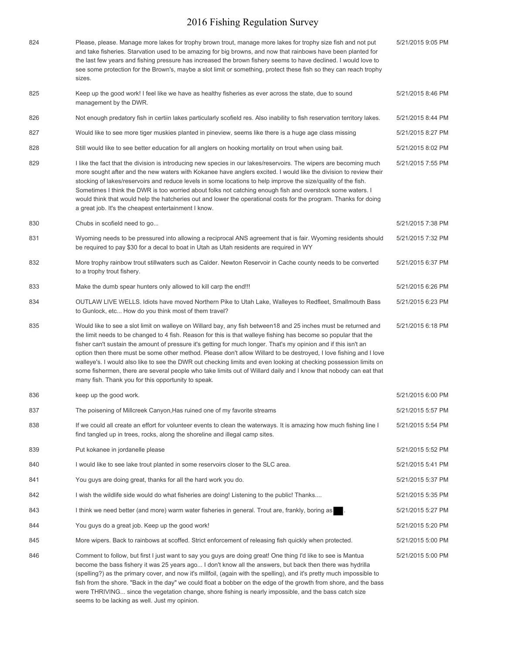| 824 | Please, please. Manage more lakes for trophy brown trout, manage more lakes for trophy size fish and not put<br>and take fisheries. Starvation used to be amazing for big browns, and now that rainbows have been planted for<br>the last few years and fishing pressure has increased the brown fishery seems to have declined. I would love to<br>see some protection for the Brown's, maybe a slot limit or something, protect these fish so they can reach trophy<br>sizes.                                                                                                                                                                                                                                                                                                | 5/21/2015 9:05 PM |
|-----|--------------------------------------------------------------------------------------------------------------------------------------------------------------------------------------------------------------------------------------------------------------------------------------------------------------------------------------------------------------------------------------------------------------------------------------------------------------------------------------------------------------------------------------------------------------------------------------------------------------------------------------------------------------------------------------------------------------------------------------------------------------------------------|-------------------|
| 825 | Keep up the good work! I feel like we have as healthy fisheries as ever across the state, due to sound<br>management by the DWR.                                                                                                                                                                                                                                                                                                                                                                                                                                                                                                                                                                                                                                               | 5/21/2015 8:46 PM |
| 826 | Not enough predatory fish in certiin lakes particularly scofield res. Also inability to fish reservation territory lakes.                                                                                                                                                                                                                                                                                                                                                                                                                                                                                                                                                                                                                                                      | 5/21/2015 8:44 PM |
| 827 | Would like to see more tiger muskies planted in pineview, seems like there is a huge age class missing                                                                                                                                                                                                                                                                                                                                                                                                                                                                                                                                                                                                                                                                         | 5/21/2015 8:27 PM |
| 828 | Still would like to see better education for all anglers on hooking mortality on trout when using bait.                                                                                                                                                                                                                                                                                                                                                                                                                                                                                                                                                                                                                                                                        | 5/21/2015 8:02 PM |
| 829 | I like the fact that the division is introducing new species in our lakes/reservoirs. The wipers are becoming much<br>more sought after and the new waters with Kokanee have anglers excited. I would like the division to review their<br>stocking of lakes/reservoirs and reduce levels in some locations to help improve the size/quality of the fish.<br>Sometimes I think the DWR is too worried about folks not catching enough fish and overstock some waters. I<br>would think that would help the hatcheries out and lower the operational costs for the program. Thanks for doing<br>a great job. It's the cheapest entertainment I know.                                                                                                                            | 5/21/2015 7:55 PM |
| 830 | Chubs in scofield need to go                                                                                                                                                                                                                                                                                                                                                                                                                                                                                                                                                                                                                                                                                                                                                   | 5/21/2015 7:38 PM |
| 831 | Wyoming needs to be pressured into allowing a reciprocal ANS agreement that is fair. Wyoming residents should<br>be required to pay \$30 for a decal to boat in Utah as Utah residents are required in WY                                                                                                                                                                                                                                                                                                                                                                                                                                                                                                                                                                      | 5/21/2015 7:32 PM |
| 832 | More trophy rainbow trout stillwaters such as Calder. Newton Reservoir in Cache county needs to be converted<br>to a trophy trout fishery.                                                                                                                                                                                                                                                                                                                                                                                                                                                                                                                                                                                                                                     | 5/21/2015 6:37 PM |
| 833 | Make the dumb spear hunters only allowed to kill carp the end!!!                                                                                                                                                                                                                                                                                                                                                                                                                                                                                                                                                                                                                                                                                                               | 5/21/2015 6:26 PM |
| 834 | OUTLAW LIVE WELLS. Idiots have moved Northern Pike to Utah Lake, Walleyes to Redfleet, Smallmouth Bass<br>to Gunlock, etc How do you think most of them travel?                                                                                                                                                                                                                                                                                                                                                                                                                                                                                                                                                                                                                | 5/21/2015 6:23 PM |
| 835 | Would like to see a slot limit on walleye on Willard bay, any fish between 18 and 25 inches must be returned and<br>the limit needs to be changed to 4 fish. Reason for this is that walleye fishing has become so popular that the<br>fisher can't sustain the amount of pressure it's getting for much longer. That's my opinion and if this isn't an<br>option then there must be some other method. Please don't allow Willard to be destroyed, I love fishing and I love<br>walleye's. I would also like to see the DWR out checking limits and even looking at checking possession limits on<br>some fishermen, there are several people who take limits out of Willard daily and I know that nobody can eat that<br>many fish. Thank you for this opportunity to speak. | 5/21/2015 6:18 PM |
| 836 | keep up the good work.                                                                                                                                                                                                                                                                                                                                                                                                                                                                                                                                                                                                                                                                                                                                                         | 5/21/2015 6:00 PM |
| 837 | The poisening of Millcreek Canyon, Has ruined one of my favorite streams                                                                                                                                                                                                                                                                                                                                                                                                                                                                                                                                                                                                                                                                                                       | 5/21/2015 5:57 PM |
| 838 | If we could all create an effort for volunteer events to clean the waterways. It is amazing how much fishing line I<br>find tangled up in trees, rocks, along the shoreline and illegal camp sites.                                                                                                                                                                                                                                                                                                                                                                                                                                                                                                                                                                            | 5/21/2015 5:54 PM |
| 839 | Put kokanee in jordanelle please                                                                                                                                                                                                                                                                                                                                                                                                                                                                                                                                                                                                                                                                                                                                               | 5/21/2015 5:52 PM |
| 840 | I would like to see lake trout planted in some reservoirs closer to the SLC area.                                                                                                                                                                                                                                                                                                                                                                                                                                                                                                                                                                                                                                                                                              | 5/21/2015 5:41 PM |
| 841 | You guys are doing great, thanks for all the hard work you do.                                                                                                                                                                                                                                                                                                                                                                                                                                                                                                                                                                                                                                                                                                                 | 5/21/2015 5:37 PM |
| 842 | I wish the wildlife side would do what fisheries are doing! Listening to the public! Thanks                                                                                                                                                                                                                                                                                                                                                                                                                                                                                                                                                                                                                                                                                    | 5/21/2015 5:35 PM |
| 843 | I think we need better (and more) warm water fisheries in general. Trout are, frankly, boring as                                                                                                                                                                                                                                                                                                                                                                                                                                                                                                                                                                                                                                                                               | 5/21/2015 5:27 PM |
| 844 | You guys do a great job. Keep up the good work!                                                                                                                                                                                                                                                                                                                                                                                                                                                                                                                                                                                                                                                                                                                                | 5/21/2015 5:20 PM |
| 845 | More wipers. Back to rainbows at scoffed. Strict enforcement of releasing fish quickly when protected.                                                                                                                                                                                                                                                                                                                                                                                                                                                                                                                                                                                                                                                                         | 5/21/2015 5:00 PM |
| 846 | Comment to follow, but first I just want to say you guys are doing great! One thing I'd like to see is Mantua<br>become the bass fishery it was 25 years ago I don't know all the answers, but back then there was hydrilla<br>(spelling?) as the primary cover, and now it's millfoil, (again with the spelling), and it's pretty much impossible to                                                                                                                                                                                                                                                                                                                                                                                                                          | 5/21/2015 5:00 PM |

fish from the shore. "Back in the day" we could float a bobber on the edge of the growth from shore, and the bass were THRIVING... since the vegetation change, shore fishing is nearly impossible, and the bass catch size seems to be lacking as well. Just my opinion.